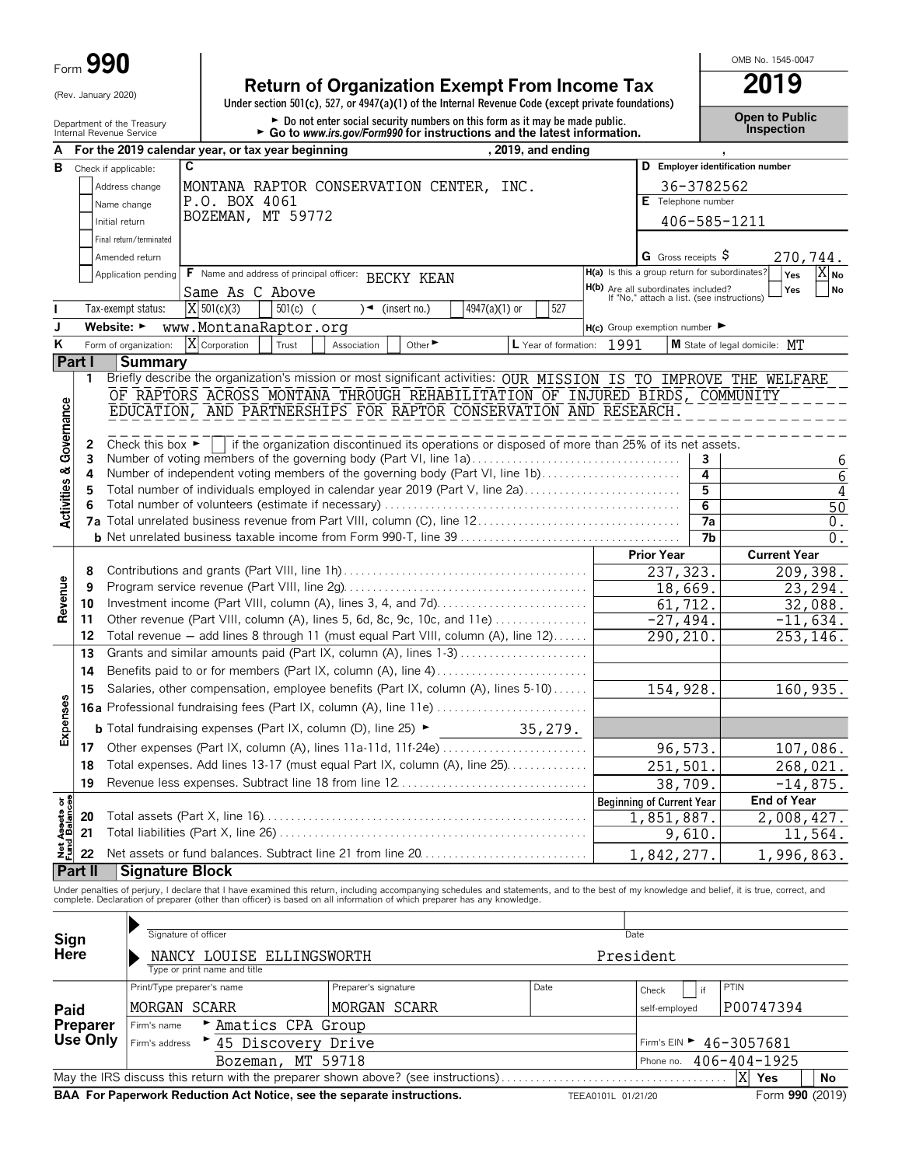## (Rev. January 2020) **Return of Organization Exempt From Income Tax**<br>Under section 501(c), 527, or 4947(a)(1) of the Internal Revenue Code (except private foundations)

OMB No. 1545-0047

| Department of the Treasury<br>Internal Revenue Service | United Section Julian (6), JZI, OF 404 (8)(1) OF the internal revenue Coue (except private foundations)<br>► Do not enter social security numbers on this form as it may be made public.<br>$\triangleright$ Go to www.irs.gov/Form990 for instructions and the latest information. | <b>Open to Public</b><br><b>Inspection</b> |
|--------------------------------------------------------|-------------------------------------------------------------------------------------------------------------------------------------------------------------------------------------------------------------------------------------------------------------------------------------|--------------------------------------------|
|--------------------------------------------------------|-------------------------------------------------------------------------------------------------------------------------------------------------------------------------------------------------------------------------------------------------------------------------------------|--------------------------------------------|

|                                    |         |                                      | , 2019, and ending<br>For the 2019 calendar year, or tax year beginning                                           |                                                                                   |                      |                                  |
|------------------------------------|---------|--------------------------------------|-------------------------------------------------------------------------------------------------------------------|-----------------------------------------------------------------------------------|----------------------|----------------------------------|
| в                                  |         | Check if applicable:                 | C                                                                                                                 |                                                                                   |                      | D Employer identification number |
|                                    |         | Address change                       | MONTANA RAPTOR CONSERVATION CENTER, INC.                                                                          |                                                                                   | 36-3782562           |                                  |
|                                    |         | Name change                          | P.O. BOX 4061                                                                                                     |                                                                                   | E Telephone number   |                                  |
|                                    |         | Initial return                       | BOZEMAN, MT 59772                                                                                                 |                                                                                   | 406-585-1211         |                                  |
|                                    |         | Final return/terminated              |                                                                                                                   |                                                                                   |                      |                                  |
|                                    |         | Amended return                       |                                                                                                                   |                                                                                   | G Gross receipts $S$ | 270,744.                         |
|                                    |         | Application pending                  | F Name and address of principal officer: BECKY KEAN                                                               | H(a) Is this a group return for subordinates?                                     |                      | Yes<br>$ X _{\mathsf{No}}$       |
|                                    |         |                                      | Same As C Above                                                                                                   | H(b) Are all subordinates included?<br>If "No," attach a list. (see instructions) |                      | Yes<br>No                        |
| T                                  |         | Tax-exempt status:                   | $ X $ 501(c)(3)<br>$501(c)$ (<br>4947(a)(1) or<br>527<br>$\sqrt{4}$ (insert no.)                                  |                                                                                   |                      |                                  |
| J                                  |         | Website: ►                           | www.MontanaRaptor.org                                                                                             | $H(c)$ Group exemption number $\blacktriangleright$                               |                      |                                  |
| ĸ                                  |         | Form of organization:                | $ X $ Corporation<br>Trust<br>Other $\blacktriangleright$<br>L Year of formation:<br>Association                  | 1991                                                                              |                      | M State of legal domicile: MT    |
|                                    | Part I  | <b>Summary</b>                       |                                                                                                                   |                                                                                   |                      |                                  |
|                                    | 1.      |                                      | Briefly describe the organization's mission or most significant activities: OUR MISSION IS TO IMPROVE THE WELFARE |                                                                                   |                      |                                  |
|                                    |         |                                      | OF RAPTORS ACROSS MONTANA THROUGH REHABILITATION OF INJURED BIRDS, COMMUNITY                                      |                                                                                   |                      |                                  |
|                                    |         |                                      | EDUCATION, AND PARTNERSHIPS FOR RAPTOR CONSERVATION AND RESEARCH.                                                 |                                                                                   |                      |                                  |
| <b>Activities &amp; Governance</b> | 2       | Check this box $\blacktriangleright$ | if the organization discontinued its operations or disposed of more than 25% of its net assets.                   |                                                                                   |                      |                                  |
|                                    | 3       |                                      | Number of voting members of the governing body (Part VI, line 1a)                                                 |                                                                                   | 3                    | 6                                |
|                                    | 4       |                                      | Number of independent voting members of the governing body (Part VI, line 1b)                                     |                                                                                   | 4                    | $\overline{6}$                   |
|                                    | 5       |                                      | Total number of individuals employed in calendar year 2019 (Part V, line 2a)                                      |                                                                                   | $\overline{5}$       | 4                                |
|                                    | 6       |                                      |                                                                                                                   |                                                                                   | $\overline{6}$       | $\overline{50}$                  |
|                                    |         |                                      |                                                                                                                   |                                                                                   | 7a                   | 0.                               |
|                                    |         |                                      |                                                                                                                   |                                                                                   | 7b                   | 0.                               |
|                                    | 8       |                                      |                                                                                                                   | <b>Prior Year</b>                                                                 | 237, 323.            | <b>Current Year</b><br>209,398.  |
|                                    | 9       |                                      |                                                                                                                   |                                                                                   | 18,669.              | 23, 294.                         |
| Revenue                            | 10      |                                      |                                                                                                                   |                                                                                   | 61, 712.             | 32,088.                          |
|                                    | 11      |                                      | Other revenue (Part VIII, column (A), lines 5, 6d, 8c, 9c, 10c, and 11e)                                          |                                                                                   | $-27,494.$           | $-11,634.$                       |
|                                    | 12      |                                      | Total revenue - add lines 8 through 11 (must equal Part VIII, column (A), line 12)                                |                                                                                   | 290, 210             | 253, 146.                        |
|                                    | 13      |                                      | Grants and similar amounts paid (Part IX, column (A), lines 1-3)                                                  |                                                                                   |                      |                                  |
|                                    | 14      |                                      |                                                                                                                   |                                                                                   |                      |                                  |
|                                    | 15      |                                      | Salaries, other compensation, employee benefits (Part IX, column (A), lines 5-10)                                 |                                                                                   | 154,928.             | 160,935.                         |
|                                    |         |                                      | <b>16a</b> Professional fundraising fees (Part IX, column (A), line 11e)                                          |                                                                                   |                      |                                  |
| Expenses                           |         |                                      | <b>b</b> Total fundraising expenses (Part IX, column (D), line 25) $\blacktriangleright$<br>35, 279.              |                                                                                   |                      |                                  |
|                                    | 17      |                                      |                                                                                                                   |                                                                                   | 96,573.              | 107,086.                         |
|                                    | 18      |                                      | Total expenses. Add lines 13-17 (must equal Part IX, column (A), line 25)                                         |                                                                                   | 251,501.             | 268,021.                         |
|                                    | 19      |                                      |                                                                                                                   |                                                                                   | 38,709.              | $-14,875.$                       |
| $5\frac{6}{2}$                     |         |                                      |                                                                                                                   | <b>Beginning of Current Year</b>                                                  |                      | <b>End of Year</b>               |
|                                    | 20      |                                      |                                                                                                                   | 1,851,887.                                                                        |                      | 2,008,427.                       |
| Net Assets<br>Fund Balano          | 21      |                                      |                                                                                                                   |                                                                                   | 9,610.               | 11,564.                          |
|                                    | 22      |                                      |                                                                                                                   | 1,842,277.                                                                        |                      | 1,996,863.                       |
|                                    | Part II | <b>Signature Block</b>               |                                                                                                                   |                                                                                   |                      |                                  |
|                                    |         |                                      |                                                                                                                   |                                                                                   |                      |                                  |

Under penalties of perjury, I declare that I have examined this return, including accompanying schedules and statements, and to the best of my knowledge and belief, it is true, correct, and<br>complete. Declaration of prepare

| Sign             | Signature of officer                                                   |                      |                    | Date                                        |                 |  |  |
|------------------|------------------------------------------------------------------------|----------------------|--------------------|---------------------------------------------|-----------------|--|--|
| <b>Here</b>      | NANCY LOUISE ELLINGSWORTH                                              |                      | President          |                                             |                 |  |  |
|                  | Type or print name and title                                           |                      |                    |                                             |                 |  |  |
| Paid<br>Preparer | Print/Type preparer's name                                             | Preparer's signature | Date               | $ $ if<br>Check                             | <b>PTIN</b>     |  |  |
|                  | MORGAN SCARR                                                           | MORGAN SCARR         |                    | P00747394<br>self-employed                  |                 |  |  |
|                  | Amatics CPA Group<br>Firm's name                                       |                      |                    |                                             |                 |  |  |
| Use Only         | Firm's address > 45 Discovery Drive                                    |                      |                    | Firm's EIN $\blacktriangleright$ 46-3057681 |                 |  |  |
|                  | Bozeman, MT 59718                                                      |                      |                    | Phone no. 406-404-1925                      |                 |  |  |
| XI<br>Yes        |                                                                        |                      |                    |                                             |                 |  |  |
|                  | BAA For Paperwork Reduction Act Notice, see the separate instructions. |                      | TEEA0101L 01/21/20 |                                             | Form 990 (2019) |  |  |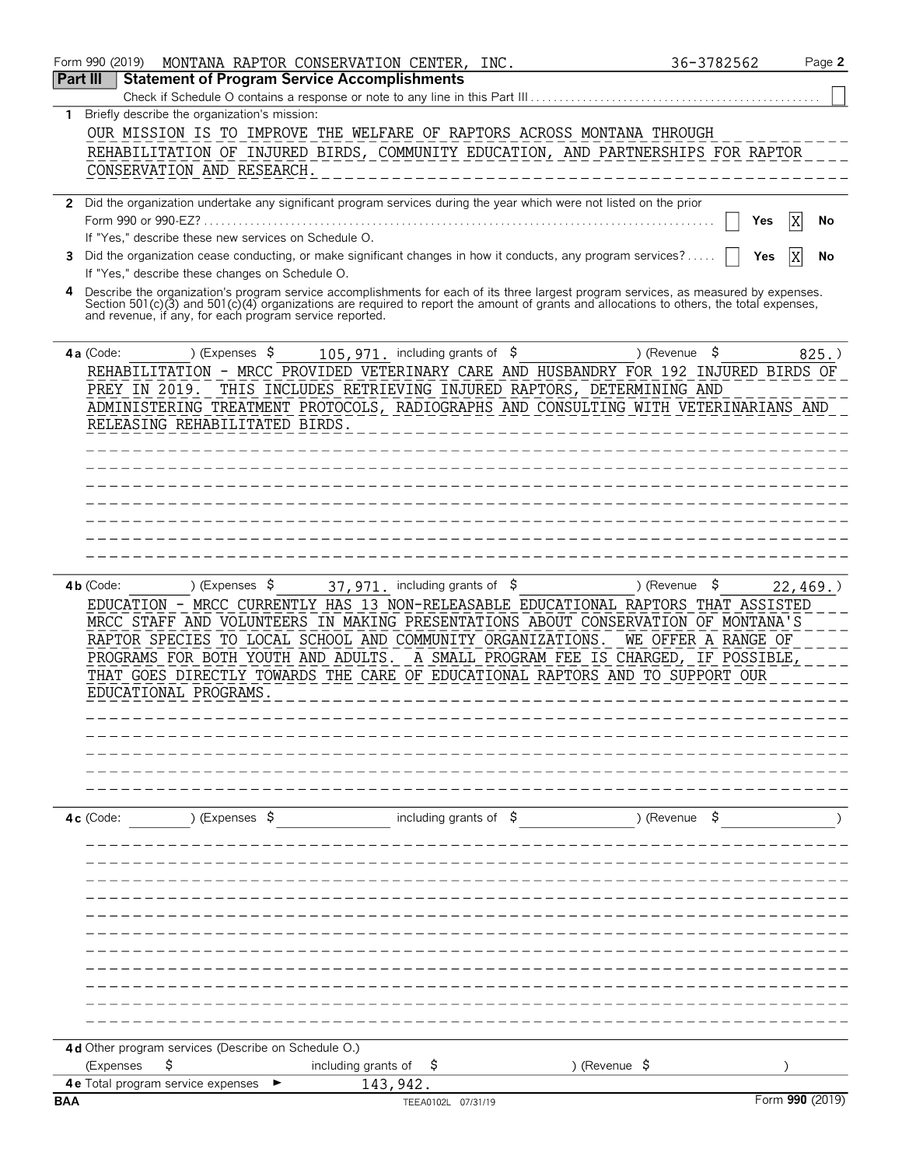|                 | Form 990 (2019)<br>MONTANA RAPTOR CONSERVATION CENTER, INC.                                                                                                                                                                                                                                                                                                                                                                                                                                                                        | 36-3782562                 | Page 2          |
|-----------------|------------------------------------------------------------------------------------------------------------------------------------------------------------------------------------------------------------------------------------------------------------------------------------------------------------------------------------------------------------------------------------------------------------------------------------------------------------------------------------------------------------------------------------|----------------------------|-----------------|
| <b>Part III</b> | <b>Statement of Program Service Accomplishments</b>                                                                                                                                                                                                                                                                                                                                                                                                                                                                                |                            |                 |
| 1.              | Briefly describe the organization's mission:                                                                                                                                                                                                                                                                                                                                                                                                                                                                                       |                            |                 |
|                 | OUR MISSION IS TO IMPROVE THE WELFARE OF RAPTORS ACROSS MONTANA THROUGH                                                                                                                                                                                                                                                                                                                                                                                                                                                            |                            |                 |
|                 | REHABILITATION OF INJURED BIRDS, COMMUNITY EDUCATION, AND PARTNERSHIPS FOR RAPTOR                                                                                                                                                                                                                                                                                                                                                                                                                                                  |                            |                 |
|                 | CONSERVATION AND RESEARCH.                                                                                                                                                                                                                                                                                                                                                                                                                                                                                                         |                            |                 |
|                 |                                                                                                                                                                                                                                                                                                                                                                                                                                                                                                                                    |                            |                 |
|                 | 2 Did the organization undertake any significant program services during the year which were not listed on the prior                                                                                                                                                                                                                                                                                                                                                                                                               |                            |                 |
|                 |                                                                                                                                                                                                                                                                                                                                                                                                                                                                                                                                    | Yes                        | ΙX<br>No        |
|                 | If "Yes," describe these new services on Schedule O.                                                                                                                                                                                                                                                                                                                                                                                                                                                                               |                            |                 |
| 3               | Did the organization cease conducting, or make significant changes in how it conducts, any program services?<br>If "Yes," describe these changes on Schedule O.                                                                                                                                                                                                                                                                                                                                                                    | Yes                        | ΙX<br>No        |
| 4               |                                                                                                                                                                                                                                                                                                                                                                                                                                                                                                                                    |                            |                 |
|                 | Describe the organization's program service accomplishments for each of its three largest program services, as measured by expenses.<br>Section 501(c)(3) and 501(c)(4) organizations are required to report the amount of grants<br>and revenue, if any, for each program service reported.                                                                                                                                                                                                                                       |                            |                 |
|                 |                                                                                                                                                                                                                                                                                                                                                                                                                                                                                                                                    |                            |                 |
|                 | ) (Expenses $$$<br>105, 971. including grants of \$<br>) (Revenue<br>4a (Code:                                                                                                                                                                                                                                                                                                                                                                                                                                                     | \$                         | $825.$ )        |
|                 | REHABILITATION - MRCC PROVIDED VETERINARY CARE AND HUSBANDRY FOR 192 INJURED BIRDS OF                                                                                                                                                                                                                                                                                                                                                                                                                                              |                            |                 |
|                 | PREY IN 2019. THIS INCLUDES RETRIEVING INJURED RAPTORS, DETERMINING AND                                                                                                                                                                                                                                                                                                                                                                                                                                                            |                            |                 |
|                 | ADMINISTERING TREATMENT PROTOCOLS, RADIOGRAPHS AND CONSULTING WITH VETERINARIANS AND                                                                                                                                                                                                                                                                                                                                                                                                                                               |                            |                 |
|                 | RELEASING REHABILITATED BIRDS.                                                                                                                                                                                                                                                                                                                                                                                                                                                                                                     |                            |                 |
|                 |                                                                                                                                                                                                                                                                                                                                                                                                                                                                                                                                    |                            |                 |
|                 |                                                                                                                                                                                                                                                                                                                                                                                                                                                                                                                                    |                            |                 |
|                 |                                                                                                                                                                                                                                                                                                                                                                                                                                                                                                                                    |                            |                 |
|                 |                                                                                                                                                                                                                                                                                                                                                                                                                                                                                                                                    |                            |                 |
|                 |                                                                                                                                                                                                                                                                                                                                                                                                                                                                                                                                    |                            |                 |
|                 |                                                                                                                                                                                                                                                                                                                                                                                                                                                                                                                                    |                            |                 |
|                 |                                                                                                                                                                                                                                                                                                                                                                                                                                                                                                                                    |                            |                 |
|                 | ) (Expenses $\frac{1}{2}$<br>$4b$ (Code:<br>37,971. including grants of \$<br>) (Revenue<br>EDUCATION - MRCC CURRENTLY HAS 13 NON-RELEASABLE EDUCATIONAL RAPTORS THAT ASSISTED<br>MRCC STAFF AND VOLUNTEERS IN MAKING PRESENTATIONS ABOUT CONSERVATION OF MONTANA'S<br>RAPTOR SPECIES TO LOCAL SCHOOL AND COMMUNITY ORGANIZATIONS.<br>PROGRAMS FOR BOTH YOUTH AND ADULTS.<br>A SMALL PROGRAM FEE IS CHARGED, IF POSSIBLE<br>THAT GOES DIRECTLY TOWARDS THE CARE OF EDUCATIONAL RAPTORS AND TO SUPPORT OUR<br>EDUCATIONAL PROGRAMS. | -\$<br>WE OFFER A RANGE OF | 22, 469.        |
|                 |                                                                                                                                                                                                                                                                                                                                                                                                                                                                                                                                    |                            |                 |
|                 |                                                                                                                                                                                                                                                                                                                                                                                                                                                                                                                                    |                            |                 |
|                 |                                                                                                                                                                                                                                                                                                                                                                                                                                                                                                                                    |                            |                 |
|                 |                                                                                                                                                                                                                                                                                                                                                                                                                                                                                                                                    |                            |                 |
|                 |                                                                                                                                                                                                                                                                                                                                                                                                                                                                                                                                    |                            |                 |
|                 | including grants of $$$<br>) (Expenses $\sqrt{5}$<br>) (Revenue<br>4c (Code:                                                                                                                                                                                                                                                                                                                                                                                                                                                       |                            |                 |
|                 |                                                                                                                                                                                                                                                                                                                                                                                                                                                                                                                                    |                            |                 |
|                 |                                                                                                                                                                                                                                                                                                                                                                                                                                                                                                                                    |                            |                 |
|                 |                                                                                                                                                                                                                                                                                                                                                                                                                                                                                                                                    |                            |                 |
|                 |                                                                                                                                                                                                                                                                                                                                                                                                                                                                                                                                    |                            |                 |
|                 |                                                                                                                                                                                                                                                                                                                                                                                                                                                                                                                                    |                            |                 |
|                 |                                                                                                                                                                                                                                                                                                                                                                                                                                                                                                                                    |                            |                 |
|                 |                                                                                                                                                                                                                                                                                                                                                                                                                                                                                                                                    |                            |                 |
|                 |                                                                                                                                                                                                                                                                                                                                                                                                                                                                                                                                    |                            |                 |
|                 |                                                                                                                                                                                                                                                                                                                                                                                                                                                                                                                                    |                            |                 |
|                 |                                                                                                                                                                                                                                                                                                                                                                                                                                                                                                                                    |                            |                 |
|                 |                                                                                                                                                                                                                                                                                                                                                                                                                                                                                                                                    |                            |                 |
|                 | 4d Other program services (Describe on Schedule O.)                                                                                                                                                                                                                                                                                                                                                                                                                                                                                |                            |                 |
|                 | ) (Revenue $\frac{1}{2}$<br>\$<br>including grants of<br>(Expenses<br>Ş                                                                                                                                                                                                                                                                                                                                                                                                                                                            |                            |                 |
|                 | 4e Total program service expenses<br>143,942.                                                                                                                                                                                                                                                                                                                                                                                                                                                                                      |                            |                 |
| <b>BAA</b>      | TEEA0102L 07/31/19                                                                                                                                                                                                                                                                                                                                                                                                                                                                                                                 |                            | Form 990 (2019) |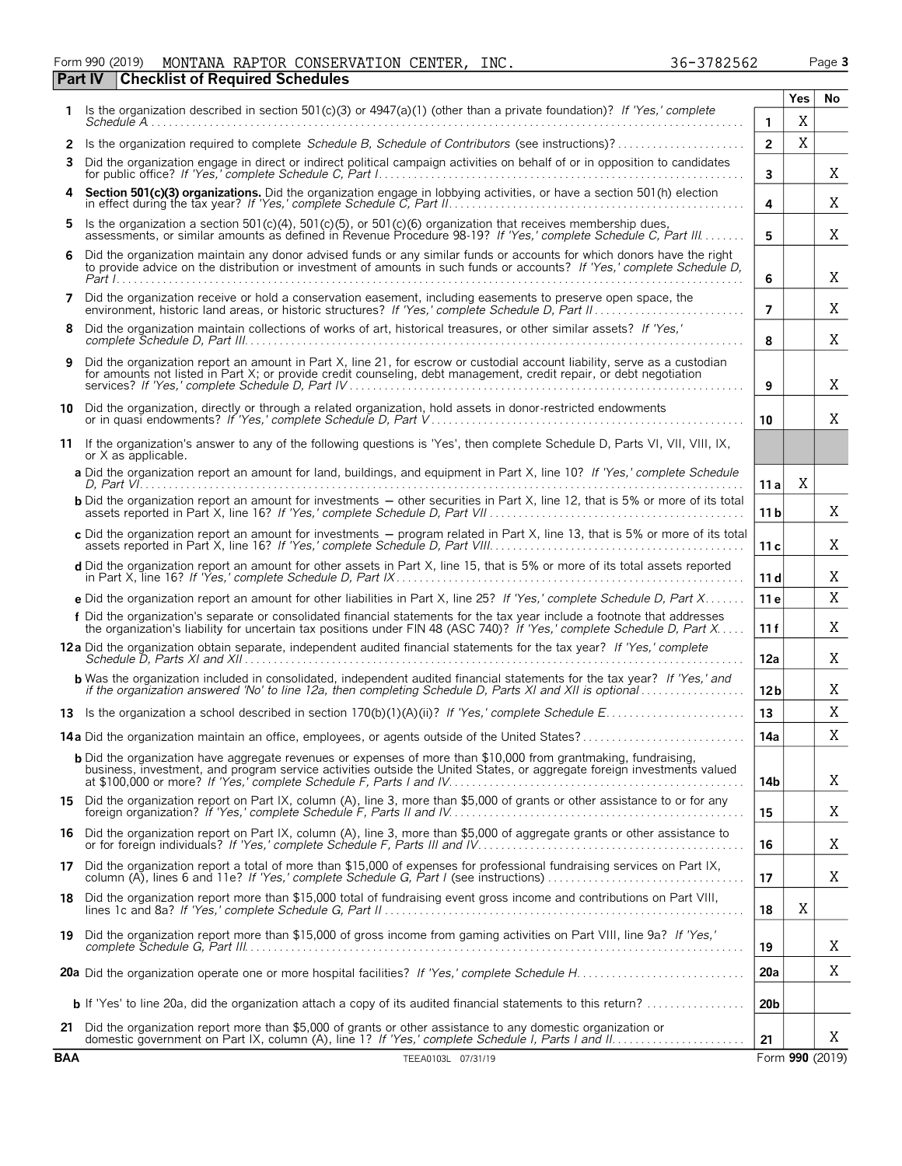| Form 990 (2019) |                                                | MONTANA RAPTOR CONSERVATION CENTER, 1 | INC. | 36-3782562 | Page 3 |
|-----------------|------------------------------------------------|---------------------------------------|------|------------|--------|
|                 | <b>Part IV Checklist of Required Schedules</b> |                                       |      |            |        |

|--|

|      |                                                                                                                                                                                                                                                     |                 | Yes | No |
|------|-----------------------------------------------------------------------------------------------------------------------------------------------------------------------------------------------------------------------------------------------------|-----------------|-----|----|
| 1.   | Is the organization described in section $501(c)(3)$ or $4947(a)(1)$ (other than a private foundation)? If 'Yes,' complete<br>$S$ chedule $A$                                                                                                       | 1               | X   |    |
|      |                                                                                                                                                                                                                                                     | $\overline{2}$  | X   |    |
| 3    | Did the organization engage in direct or indirect political campaign activities on behalf of or in opposition to candidates                                                                                                                         | 3               |     | X  |
| 4    | Section 501(c)(3) organizations. Did the organization engage in lobbying activities, or have a section 501(h) election                                                                                                                              | 4               |     | X  |
| 5.   | Is the organization a section 501(c)(4), 501(c)(5), or 501(c)(6) organization that receives membership dues,<br>assessments, or similar amounts as defined in Revenue Procedure 98-19? If 'Yes,' complete Schedule C. Part III                      | 5               |     | X  |
| 6    | Did the organization maintain any donor advised funds or any similar funds or accounts for which donors have the right<br>to provide advice on the distribution or investment of amounts in such funds or accounts? If 'Yes,' complete Schedule D,  | 6               |     | X  |
| 7    | Did the organization receive or hold a conservation easement, including easements to preserve open space, the                                                                                                                                       | $\overline{7}$  |     | X  |
| 8    | Did the organization maintain collections of works of art, historical treasures, or other similar assets? If 'Yes,'                                                                                                                                 | 8               |     | X  |
| 9    | Did the organization report an amount in Part X, line 21, for escrow or custodial account liability, serve as a custodian<br>for amounts not listed in Part X; or provide credit counseling, debt management, credit repair, or debt negotiation    | 9               |     | X  |
| 10   | Did the organization, directly or through a related organization, hold assets in donor-restricted endowments                                                                                                                                        | 10              |     | X  |
|      | 11 If the organization's answer to any of the following questions is 'Yes', then complete Schedule D, Parts VI, VII, VIII, IX,<br>or X as applicable.                                                                                               |                 |     |    |
|      | a Did the organization report an amount for land, buildings, and equipment in Part X, line 10? If 'Yes,' complete Schedule                                                                                                                          | 11 a            | X   |    |
|      | <b>b</b> Did the organization report an amount for investments - other securities in Part X, line 12, that is 5% or more of its total                                                                                                               | 11 b            |     | X  |
|      | c Did the organization report an amount for investments - program related in Part X, line 13, that is 5% or more of its total                                                                                                                       | 11 c            |     | X  |
|      | d Did the organization report an amount for other assets in Part X, line 15, that is 5% or more of its total assets reported                                                                                                                        | 11 d            |     | X  |
|      | e Did the organization report an amount for other liabilities in Part X, line 25? If 'Yes,' complete Schedule D, Part X                                                                                                                             | 11 e            |     | X  |
|      | f Did the organization's separate or consolidated financial statements for the tax year include a footnote that addresses<br>the organization's liability for uncertain tax positions under FIN 48 (ASC 740)? If 'Yes,' complete Schedule D, Part X | 11 f            |     | X  |
|      | 12a Did the organization obtain separate, independent audited financial statements for the tax year? If 'Yes,' complete                                                                                                                             | 12a             |     | X  |
|      | <b>b</b> Was the organization included in consolidated, independent audited financial statements for the tax year? If 'Yes,' and<br>if the organization answered 'No' to line 12a, then completing Schedule D, Parts XI and XII is optional         | 12 b            |     | X  |
|      |                                                                                                                                                                                                                                                     | 13              |     | Χ  |
|      | <b>14a</b> Did the organization maintain an office, employees, or agents outside of the United States?                                                                                                                                              | 14a             |     | X  |
|      | <b>b</b> Did the organization have aggregate revenues or expenses of more than \$10,000 from grantmaking, fundraising,<br>business, investment, and program service activities outside the United States, or aggregate foreign investments valued   | 14b             |     | X  |
|      | 15 Did the organization report on Part IX, column (A), line 3, more than \$5,000 of grants or other assistance to or for any                                                                                                                        | 15              |     | X  |
| 16   | Did the organization report on Part IX, column (A), line 3, more than \$5,000 of aggregate grants or other assistance to                                                                                                                            | 16              |     | X  |
| 17   | Did the organization report a total of more than \$15,000 of expenses for professional fundraising services on Part IX,                                                                                                                             | 17              |     | Χ  |
| 18 . | Did the organization report more than \$15,000 total of fundraising event gross income and contributions on Part VIII,                                                                                                                              | 18              | Χ   |    |
|      | 19 Did the organization report more than \$15,000 of gross income from gaming activities on Part VIII, line 9a? If 'Yes,'                                                                                                                           | 19              |     | X  |
|      |                                                                                                                                                                                                                                                     | <b>20a</b>      |     | X  |
|      | <b>b</b> If 'Yes' to line 20a, did the organization attach a copy of its audited financial statements to this return? $\ldots$                                                                                                                      | 20 <sub>b</sub> |     |    |
|      | 21 Did the organization report more than \$5,000 of grants or other assistance to any domestic organization or                                                                                                                                      | 21              |     | X  |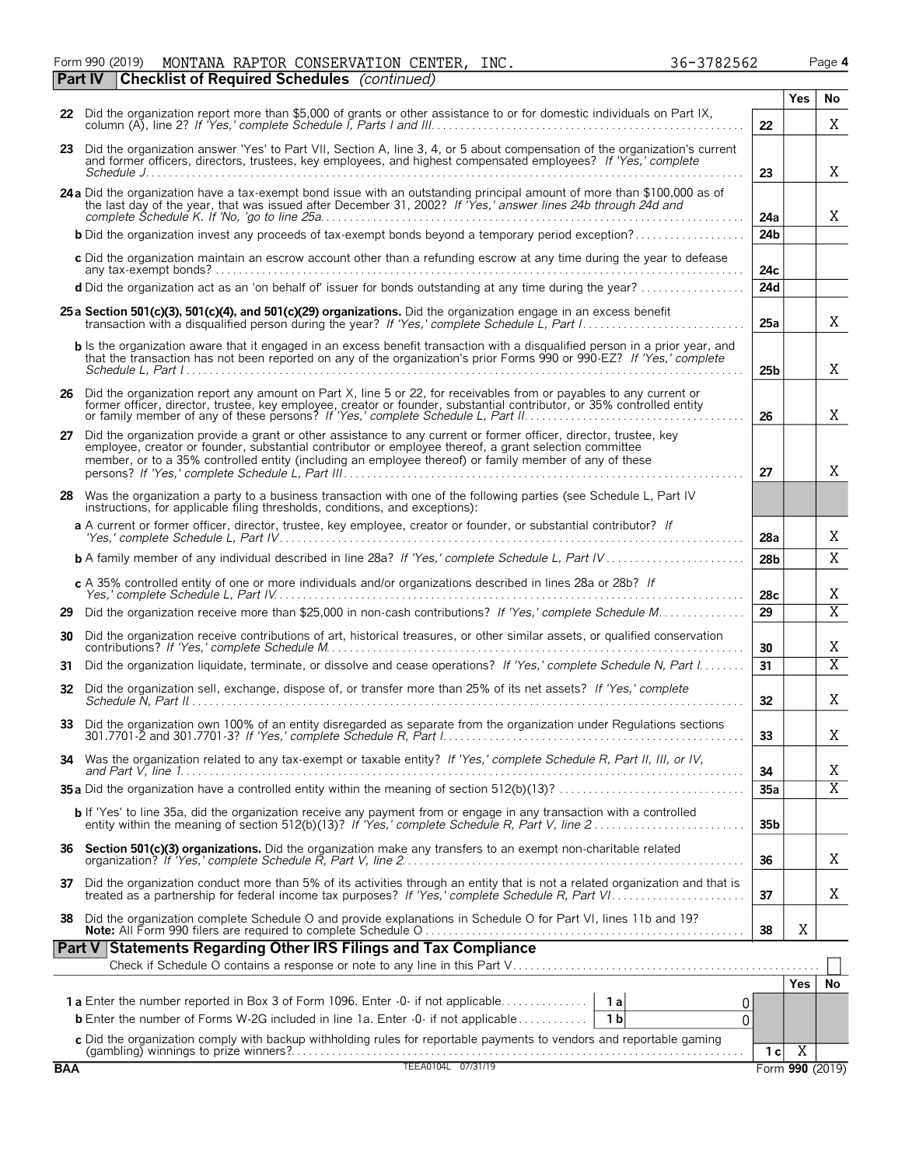Form 990 (2019) **MONTANA** RAPTOR CONSERVATION CENTER, INC. 36-3782562 Page **4** 

|    | <b>Checklist of Required Schedules</b> (continued)<br>Part IV                                                                                                                                                                                                                                                                         |                 |            |                |
|----|---------------------------------------------------------------------------------------------------------------------------------------------------------------------------------------------------------------------------------------------------------------------------------------------------------------------------------------|-----------------|------------|----------------|
|    |                                                                                                                                                                                                                                                                                                                                       |                 | <b>Yes</b> | No             |
|    | 22 Did the organization report more than \$5,000 of grants or other assistance to or for domestic individuals on Part IX,                                                                                                                                                                                                             | 22              |            | X              |
|    | 23 Did the organization answer 'Yes' to Part VII, Section A, line 3, 4, or 5 about compensation of the organization's current and former officers, directors, trustees, key employees, and highest compensated employees? If '                                                                                                        | 23              |            | X              |
|    | 24 a Did the organization have a tax-exempt bond issue with an outstanding principal amount of more than \$100,000 as of<br>the last day of the year, that was issued after December 31, 2002? If Yes,' answer lines 24b through 24d and                                                                                              | 24a             |            | X              |
|    | <b>b</b> Did the organization invest any proceeds of tax-exempt bonds beyond a temporary period exception?                                                                                                                                                                                                                            | 24 <sub>b</sub> |            |                |
|    | c Did the organization maintain an escrow account other than a refunding escrow at any time during the year to defease                                                                                                                                                                                                                | 24c             |            |                |
|    | d Did the organization act as an 'on behalf of' issuer for bonds outstanding at any time during the year?                                                                                                                                                                                                                             | 24d             |            |                |
|    | 25 a Section 501(c)(3), 501(c)(4), and 501(c)(29) organizations. Did the organization engage in an excess benefit                                                                                                                                                                                                                     | 25a             |            | X              |
|    | b Is the organization aware that it engaged in an excess benefit transaction with a disqualified person in a prior year, and<br>that the transaction has not been reported on any of the organization's prior Forms 990 or 990-EZ? If 'Yes,' complete                                                                                 | 25 <sub>b</sub> |            | X              |
|    | 26 Did the organization report any amount on Part X, line 5 or 22, for receivables from or payables to any current or<br>former officer, director, trustee, key employee, creator or founder, substantial contributor, or 35% controlled entity<br>or family member of any of these persons? If 'Yes,' complete Schedule L, Part II.  | 26              |            | Χ              |
| 27 | Did the organization provide a grant or other assistance to any current or former officer, director, trustee, key<br>employee, creator or founder, substantial contributor or employee thereof, a grant selection committee<br>member, or to a 35% controlled entity (including an employee thereof) or family member of any of these | 27              |            | X              |
|    | 28 Was the organization a party to a business transaction with one of the following parties (see Schedule L, Part IV<br>instructions, for applicable filing thresholds, conditions, and exceptions):                                                                                                                                  |                 |            |                |
|    | a A current or former officer, director, trustee, key employee, creator or founder, or substantial contributor? If                                                                                                                                                                                                                    | 28a             |            | Χ              |
|    |                                                                                                                                                                                                                                                                                                                                       | 28 <sub>b</sub> |            | X              |
|    | c A 35% controlled entity of one or more individuals and/or organizations described in lines 28a or 28b? If                                                                                                                                                                                                                           | 28c             |            | Χ              |
|    |                                                                                                                                                                                                                                                                                                                                       | 29              |            | $\overline{X}$ |
| 30 | Did the organization receive contributions of art, historical treasures, or other similar assets, or qualified conservation                                                                                                                                                                                                           | 30              |            | Χ              |
| 31 | Did the organization liquidate, terminate, or dissolve and cease operations? If 'Yes,' complete Schedule N, Part I                                                                                                                                                                                                                    | 31              |            | $\overline{X}$ |
|    | 32 Did the organization sell, exchange, dispose of, or transfer more than 25% of its net assets? If 'Yes,' complete                                                                                                                                                                                                                   | 32              |            | Χ              |
|    | 33 Did the organization own 100% of an entity disregarded as separate from the organization under Requlations sections                                                                                                                                                                                                                | 33              |            | Χ              |
|    | 34 Was the organization related to any tax-exempt or taxable entity? If 'Yes,' complete Schedule R, Part II, III, or IV,                                                                                                                                                                                                              | 34              |            | Χ              |
|    |                                                                                                                                                                                                                                                                                                                                       | 35a             |            | $\overline{X}$ |
|    | <b>b</b> If 'Yes' to line 35a, did the organization receive any payment from or engage in any transaction with a controlled entity within the meaning of section 512(b)(13)? If 'Yes,' complete Schedule R, Part V, line 2                                                                                                            | 35b             |            |                |
| 36 | Section 501(c)(3) organizations. Did the organization make any transfers to an exempt non-charitable related                                                                                                                                                                                                                          | 36              |            | Χ              |

37 Did the organization conduct more than 5% of its activities through an entity that is not a related organization and that is<br>treated as a partnership for federal income tax purposes? If 'Yes,' complete Schedule R, Part

**38** Did the organization complete Schedule O and provide explanations in Schedule O for Part VI, lines 11b and 19? **Note:** All Form 990 filers are required to complete Schedule O . . . . . . . . . . . . . . . . . . . . . . . . . . . . . . . . . . . . . . . . . . . . . . . . . . . . . . . **38**

 $\overline{a}$ 

| Part V Statements Regarding Other IRS Filings and Tax Compliance                                                                                                                                                                  |  |  |     |  |  |  |  |  |  |
|-----------------------------------------------------------------------------------------------------------------------------------------------------------------------------------------------------------------------------------|--|--|-----|--|--|--|--|--|--|
|                                                                                                                                                                                                                                   |  |  |     |  |  |  |  |  |  |
|                                                                                                                                                                                                                                   |  |  | res |  |  |  |  |  |  |
| <b>1a</b> Enter the number reported in Box 3 of Form 1096. Enter -0- if not applicable<br>1a<br><b>b</b> Enter the number of Forms W-2G included in line 1a. Enter -0- if not applicable $\ldots \ldots \ldots$<br>1 <sub>h</sub> |  |  |     |  |  |  |  |  |  |
|                                                                                                                                                                                                                                   |  |  |     |  |  |  |  |  |  |
|                                                                                                                                                                                                                                   |  |  |     |  |  |  |  |  |  |
|                                                                                                                                                                                                                                   |  |  |     |  |  |  |  |  |  |

X

X

|  |  | 36-37825 |  |  |
|--|--|----------|--|--|
|  |  |          |  |  |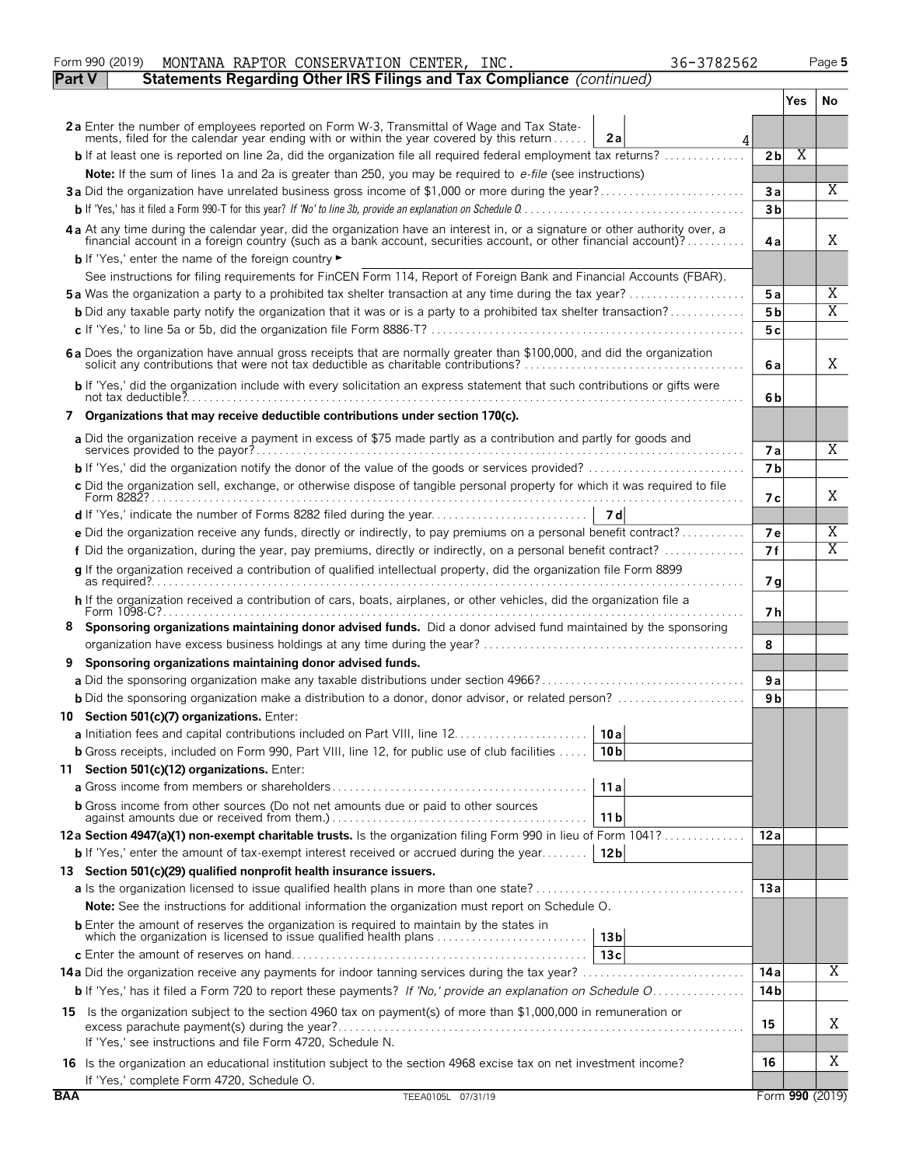|               | MONTANA RAPTOR CONSERVATION CENTER, INC.<br>Form 990 (2019)<br>36-3782562                                                                                                                                                                       |                      |                         | Page 5          |
|---------------|-------------------------------------------------------------------------------------------------------------------------------------------------------------------------------------------------------------------------------------------------|----------------------|-------------------------|-----------------|
| <b>Part V</b> | Statements Regarding Other IRS Filings and Tax Compliance (continued)                                                                                                                                                                           |                      |                         |                 |
|               |                                                                                                                                                                                                                                                 |                      | Yes                     | No              |
|               | 2a Enter the number of employees reported on Form W-3, Transmittal of Wage and Tax State-<br>ments, filed for the calendar year ending with or within the year covered by this return<br>2a<br>4                                                |                      |                         |                 |
|               | <b>b</b> If at least one is reported on line 2a, did the organization file all required federal employment tax returns?                                                                                                                         | 2 <sub>b</sub>       | $\overline{\mathrm{X}}$ |                 |
|               | Note: If the sum of lines 1a and 2a is greater than 250, you may be required to e-file (see instructions)                                                                                                                                       |                      |                         |                 |
|               | 3a Did the organization have unrelated business gross income of \$1,000 or more during the year?                                                                                                                                                | Зa                   |                         | X               |
|               |                                                                                                                                                                                                                                                 | 3 <sub>b</sub>       |                         |                 |
|               | 4a At any time during the calendar year, did the organization have an interest in, or a signature or other authority over, a<br>riancial account in a foreign country (such as a bank account, securities account, or other financial account)? | 4a                   |                         | Χ               |
|               | <b>b</b> If 'Yes,' enter the name of the foreign country                                                                                                                                                                                        |                      |                         |                 |
|               | See instructions for filing requirements for FinCEN Form 114, Report of Foreign Bank and Financial Accounts (FBAR).                                                                                                                             |                      |                         |                 |
|               | 5a Was the organization a party to a prohibited tax shelter transaction at any time during the tax year?                                                                                                                                        | 5a                   |                         | Χ<br>X          |
|               | <b>b</b> Did any taxable party notify the organization that it was or is a party to a prohibited tax shelter transaction?                                                                                                                       | 5b                   |                         |                 |
|               |                                                                                                                                                                                                                                                 | 5 c                  |                         |                 |
|               | 6a Does the organization have annual gross receipts that are normally greater than \$100,000, and did the organization                                                                                                                          | 6a                   |                         | Χ               |
|               | b If 'Yes,' did the organization include with every solicitation an express statement that such contributions or gifts were                                                                                                                     | 6b                   |                         |                 |
|               | 7 Organizations that may receive deductible contributions under section 170(c).                                                                                                                                                                 |                      |                         |                 |
|               | a Did the organization receive a payment in excess of \$75 made partly as a contribution and partly for goods and                                                                                                                               |                      |                         | $\overline{X}$  |
|               | <b>b</b> If 'Yes,' did the organization notify the donor of the value of the goods or services provided? $\ldots$                                                                                                                               | 7a<br>7 <sub>b</sub> |                         |                 |
|               | c Did the organization sell, exchange, or otherwise dispose of tangible personal property for which it was required to file                                                                                                                     |                      |                         |                 |
|               |                                                                                                                                                                                                                                                 | 7 с                  |                         | Χ               |
|               |                                                                                                                                                                                                                                                 |                      |                         |                 |
|               | e Did the organization receive any funds, directly or indirectly, to pay premiums on a personal benefit contract?                                                                                                                               | 7е                   |                         | Χ               |
|               | f Did the organization, during the year, pay premiums, directly or indirectly, on a personal benefit contract?                                                                                                                                  | 7f                   |                         | X               |
|               | g If the organization received a contribution of qualified intellectual property, did the organization file Form 8899                                                                                                                           | 7 g                  |                         |                 |
|               | h If the organization received a contribution of cars, boats, airplanes, or other vehicles, did the organization file a                                                                                                                         | 7 h                  |                         |                 |
| 8             | Sponsoring organizations maintaining donor advised funds. Did a donor advised fund maintained by the sponsoring                                                                                                                                 |                      |                         |                 |
|               |                                                                                                                                                                                                                                                 | 8                    |                         |                 |
| 9             | Sponsoring organizations maintaining donor advised funds.                                                                                                                                                                                       |                      |                         |                 |
|               | <b>b</b> Did the sponsoring organization make a distribution to a donor, donor advisor, or related person?                                                                                                                                      | 9a                   |                         |                 |
|               | 10 Section 501(c)(7) organizations. Enter:                                                                                                                                                                                                      | 9 b                  |                         |                 |
|               | 10 a                                                                                                                                                                                                                                            |                      |                         |                 |
|               | <b>b</b> Gross receipts, included on Form 990, Part VIII, line 12, for public use of club facilities<br>10 <sub>b</sub>                                                                                                                         |                      |                         |                 |
| 11            | Section 501(c)(12) organizations. Enter:                                                                                                                                                                                                        |                      |                         |                 |
|               | 11a                                                                                                                                                                                                                                             |                      |                         |                 |
|               | <b>b</b> Gross income from other sources (Do not net amounts due or paid to other sources                                                                                                                                                       |                      |                         |                 |
|               | 11 b                                                                                                                                                                                                                                            |                      |                         |                 |
|               | 12a Section 4947(a)(1) non-exempt charitable trusts. Is the organization filing Form 990 in lieu of Form 1041?                                                                                                                                  | 12a                  |                         |                 |
|               | <b>b</b> If 'Yes,' enter the amount of tax-exempt interest received or accrued during the year<br>12 <sub>b</sub>                                                                                                                               |                      |                         |                 |
|               | 13 Section 501(c)(29) qualified nonprofit health insurance issuers.                                                                                                                                                                             |                      |                         |                 |
|               | <b>Note:</b> See the instructions for additional information the organization must report on Schedule O.                                                                                                                                        | 13 a                 |                         |                 |
|               | <b>b</b> Enter the amount of reserves the organization is required to maintain by the states in                                                                                                                                                 |                      |                         |                 |
|               | which the organization is licensed to issue qualified health plans<br>13 <sub>b</sub>                                                                                                                                                           |                      |                         |                 |
|               | 13c                                                                                                                                                                                                                                             | 14 a                 |                         | X               |
|               | <b>b</b> If 'Yes,' has it filed a Form 720 to report these payments? If 'No,' provide an explanation on Schedule O                                                                                                                              | 14 <sub>b</sub>      |                         |                 |
|               |                                                                                                                                                                                                                                                 |                      |                         |                 |
|               | 15 Is the organization subject to the section 4960 tax on payment(s) of more than \$1,000,000 in remuneration or<br>If 'Yes,' see instructions and file Form 4720, Schedule N.                                                                  | 15                   |                         | Χ               |
|               | 16 Is the organization an educational institution subject to the section 4968 excise tax on net investment income?                                                                                                                              | 16                   |                         | Χ               |
|               | If 'Yes,' complete Form 4720, Schedule O.                                                                                                                                                                                                       |                      |                         |                 |
| <b>BAA</b>    | TEEA0105L 07/31/19                                                                                                                                                                                                                              |                      |                         | Form 990 (2019) |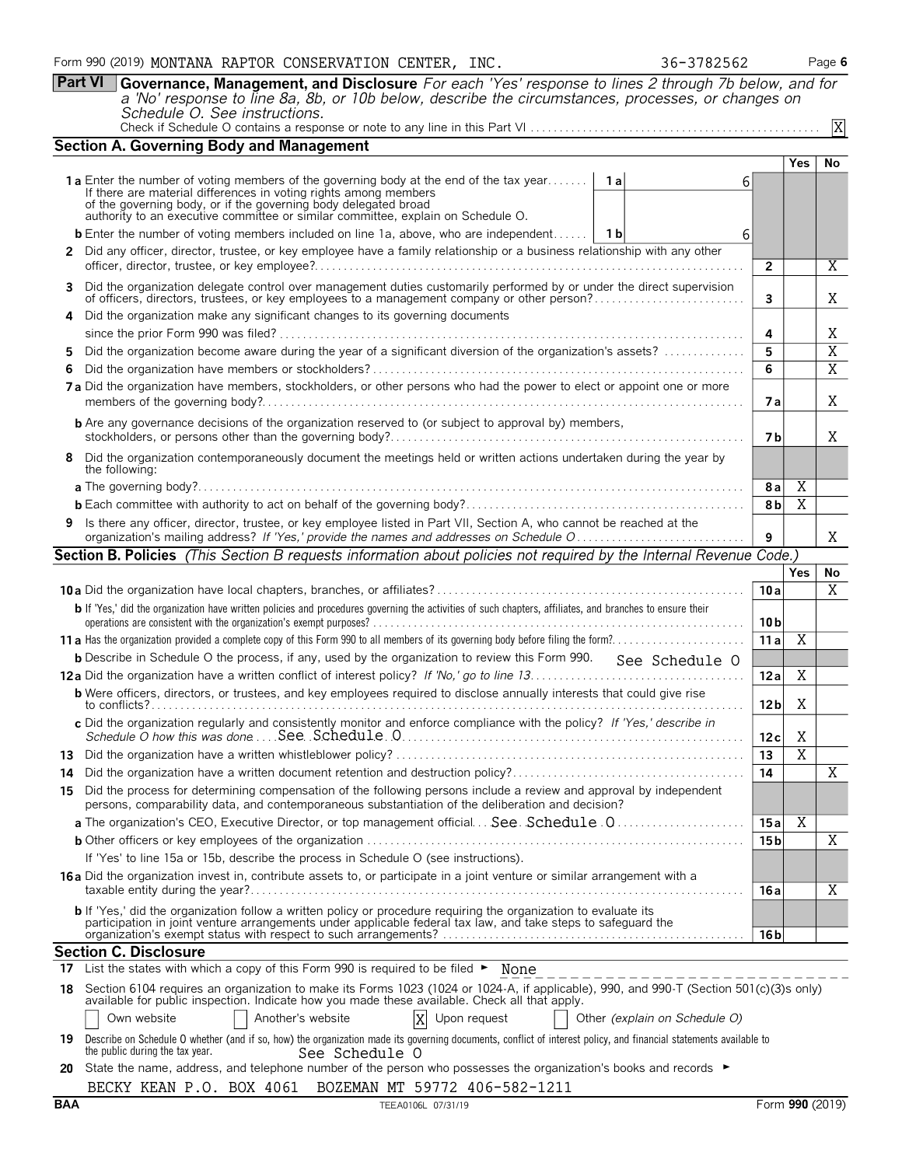**Part VI Governance, Management, and Disclosure** *For each 'Yes' response to lines 2 through 7b below, and for a 'No' response to line 8a, 8b, or 10b below, describe the circumstances, processes, or changes on*

| Schedule O. See instructions. |  |
|-------------------------------|--|
|                               |  |

|    | <b>Section A. Governing Body and Management</b>                                                                                                                                                                                                                                                    |                               |                 |                |                |
|----|----------------------------------------------------------------------------------------------------------------------------------------------------------------------------------------------------------------------------------------------------------------------------------------------------|-------------------------------|-----------------|----------------|----------------|
|    |                                                                                                                                                                                                                                                                                                    |                               |                 | <b>Yes</b>     | No             |
|    | <b>1a</b> Enter the number of voting members of the governing body at the end of the tax year<br>If there are material differences in voting rights among members                                                                                                                                  | 1 a                           | 6               |                |                |
|    | of the governing body, or if the governing body delegated broad authority to an executive committee or similar committee, explain on Schedule O.                                                                                                                                                   |                               |                 |                |                |
|    | <b>b</b> Enter the number of voting members included on line 1a, above, who are independent                                                                                                                                                                                                        | 1 b                           | 6               |                |                |
|    | 2 Did any officer, director, trustee, or key employee have a family relationship or a business relationship with any other                                                                                                                                                                         |                               |                 |                |                |
|    |                                                                                                                                                                                                                                                                                                    |                               | $\mathbf{2}$    |                | X              |
| 3  | Did the organization delegate control over management duties customarily performed by or under the direct supervision of officers, directors, trustees, or key employees to a management company or other person?                                                                                  |                               | 3               |                | Χ              |
| 4  | Did the organization make any significant changes to its governing documents                                                                                                                                                                                                                       |                               |                 |                |                |
|    |                                                                                                                                                                                                                                                                                                    |                               | 4               |                | Χ              |
| 5. | Did the organization become aware during the year of a significant diversion of the organization's assets?                                                                                                                                                                                         |                               | 5               |                | $\overline{X}$ |
| 6  |                                                                                                                                                                                                                                                                                                    |                               | 6               |                | $\overline{X}$ |
|    | 7a Did the organization have members, stockholders, or other persons who had the power to elect or appoint one or more                                                                                                                                                                             |                               | 7а              |                | Χ              |
|    | <b>b</b> Are any governance decisions of the organization reserved to (or subject to approval by) members,                                                                                                                                                                                         |                               | 7 b             |                | Χ              |
| 8  | Did the organization contemporaneously document the meetings held or written actions undertaken during the year by<br>the following:                                                                                                                                                               |                               |                 |                |                |
|    |                                                                                                                                                                                                                                                                                                    |                               | 8 a             | Χ              |                |
|    |                                                                                                                                                                                                                                                                                                    |                               | 8b              | Χ              |                |
|    | 9 Is there any officer, director, trustee, or key employee listed in Part VII, Section A, who cannot be reached at the                                                                                                                                                                             |                               | 9               |                | X              |
|    | <b>Section B. Policies</b> (This Section B requests information about policies not required by the Internal Revenue Code.)                                                                                                                                                                         |                               |                 |                |                |
|    |                                                                                                                                                                                                                                                                                                    |                               |                 | <b>Yes</b>     | No             |
|    |                                                                                                                                                                                                                                                                                                    |                               | 10a             |                | X              |
|    | b If 'Yes,' did the organization have written policies and procedures governing the activities of such chapters, affiliates, and branches to ensure their                                                                                                                                          |                               | 10 <sub>b</sub> |                |                |
|    |                                                                                                                                                                                                                                                                                                    |                               | 11a             | Χ              |                |
|    | <b>b</b> Describe in Schedule O the process, if any, used by the organization to review this Form 990. See Schedule O                                                                                                                                                                              |                               |                 |                |                |
|    |                                                                                                                                                                                                                                                                                                    |                               | 12a             | Χ              |                |
|    | <b>b</b> Were officers, directors, or trustees, and key employees required to disclose annually interests that could give rise                                                                                                                                                                     |                               | 12 <sub>b</sub> | X              |                |
|    | c Did the organization regularly and consistently monitor and enforce compliance with the policy? If 'Yes,' describe in                                                                                                                                                                            |                               | 12c             | Χ              |                |
|    |                                                                                                                                                                                                                                                                                                    |                               | 13              | $\overline{X}$ |                |
| 14 |                                                                                                                                                                                                                                                                                                    |                               | 14              |                | Χ              |
| 15 | Did the process for determining compensation of the following persons include a review and approval by independent<br>persons, comparability data, and contemporaneous substantiation of the deliberation and decision?                                                                            |                               |                 |                |                |
|    | a The organization's CEO, Executive Director, or top management official See. Schedule.0                                                                                                                                                                                                           |                               | 15 a            | Χ              |                |
|    |                                                                                                                                                                                                                                                                                                    |                               | 15 b            |                | X              |
|    | If 'Yes' to line 15a or 15b, describe the process in Schedule O (see instructions).                                                                                                                                                                                                                |                               |                 |                |                |
|    | <b>16a</b> Did the organization invest in, contribute assets to, or participate in a joint venture or similar arrangement with a                                                                                                                                                                   |                               | 16 a            |                | Χ              |
|    | b If 'Yes,' did the organization follow a written policy or procedure requiring the organization to evaluate its<br>participation in joint venture arrangements under applicable federal tax law, and take steps to safequard the<br>presented and power status with respect to such arrangements? |                               | 16 b            |                |                |
|    | <b>Section C. Disclosure</b>                                                                                                                                                                                                                                                                       |                               |                 |                |                |
|    | 17 List the states with which a copy of this Form 990 is required to be filed • None                                                                                                                                                                                                               |                               |                 |                |                |
|    | 18 Section 6104 requires an organization to make its Forms 1023 (1024 or 1024-A, if applicable), 990, and 990-T (Section 501(c)(3)s only)<br>available for public inspection. Indicate how you made these available. Check all that apply.                                                         |                               |                 |                |                |
|    | Another's website<br>Own website<br>Upon request                                                                                                                                                                                                                                                   | Other (explain on Schedule O) |                 |                |                |
|    | 19 Describe on Schedule O whether (and if so, how) the organization made its governing documents, conflict of interest policy, and financial statements available to<br>the public during the tax year.<br>See Schedule O                                                                          |                               |                 |                |                |
|    | 20 State the name, address, and telephone number of the person who possesses the organization's books and records ►                                                                                                                                                                                |                               |                 |                |                |
|    | BECKY KEAN P.O. BOX 4061 BOZEMAN MT 59772 406-582-1211                                                                                                                                                                                                                                             |                               |                 |                |                |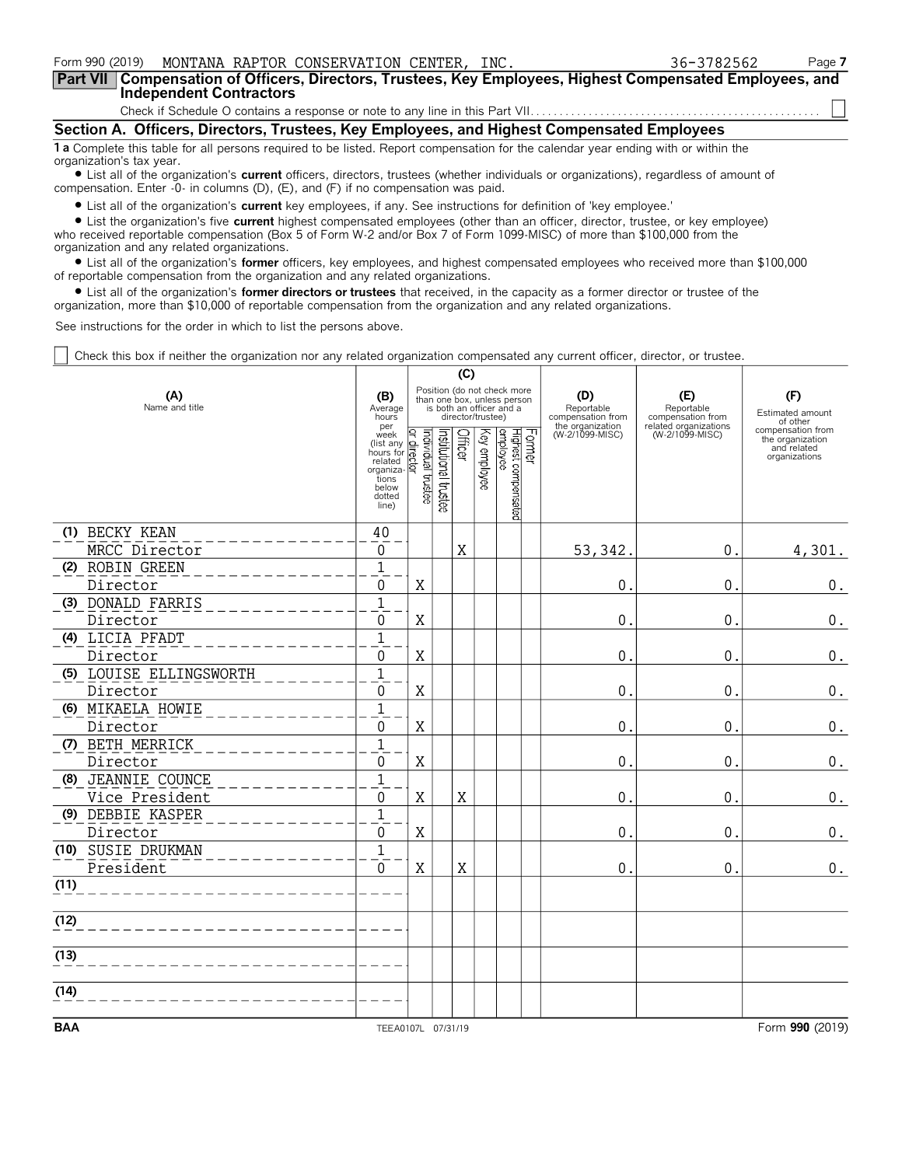**Part VII Compensation of Officers, Directors, Trustees, Key Employees, Highest Compensated Employees, and Independent Contractors**

Check if Schedule O contains a response or note to any line in this Part VII. . . . . . . .

**Section A. Officers, Directors, Trustees, Key Employees, and Highest Compensated Employees 1 a** Complete this table for all persons required to be listed. Report compensation for the calendar year ending with or within the

organization's tax year. ? List all of the organization's **current** officers, directors, trustees (whether individuals or organizations), regardless of amount of compensation. Enter -0- in columns (D), (E), and (F) if no compensation was paid.

? List all of the organization's **current** key employees, if any. See instructions for definition of 'key employee.'

? List the organization's five **current** highest compensated employees (other than an officer, director, trustee, or key employee) who received reportable compensation (Box 5 of Form W-2 and/or Box 7 of Form 1099-MISC) of more than \$100,000 from the organization and any related organizations.

? List all of the organization's **former** officers, key employees, and highest compensated employees who received more than \$100,000 of reportable compensation from the organization and any related organizations.

? List all of the organization's **former directors or trustees** that received, in the capacity as a former director or trustee of the organization, more than \$10,000 of reportable compensation from the organization and any related organizations.

See instructions for the order in which to list the persons above.

Check this box if neither the organization nor any related organization compensated any current officer, director, or trustee.

|                         |                                                                                                    | (C)                                      |                       |             |                   |                                                                                        |        |                                                            |                                                                 |                                                                       |
|-------------------------|----------------------------------------------------------------------------------------------------|------------------------------------------|-----------------------|-------------|-------------------|----------------------------------------------------------------------------------------|--------|------------------------------------------------------------|-----------------------------------------------------------------|-----------------------------------------------------------------------|
| (A)<br>Name and title   |                                                                                                    |                                          |                       |             | director/trustee) | Position (do not check more<br>than one box, unless person<br>is both an officer and a |        | (D)<br>Reportable<br>compensation from<br>the organization | (E)<br>Reportable<br>compensation from<br>related organizations | (F)<br>Estimated amount<br>of other                                   |
|                         | per<br>week<br>(list any<br>hours for<br>related<br>organiza.<br>tions<br>below<br>dotted<br>line) | Ρ<br>Individual trustee<br>$\frac{1}{2}$ | Institutional trustee | Officer     | Key employee      | Highest compensated<br>employee                                                        | Former | (W-2/1099-MISC)                                            | (W-2/1099-MISC)                                                 | compensation from<br>the organization<br>and related<br>organizations |
| (1) BECKY KEAN          | 40                                                                                                 |                                          |                       |             |                   |                                                                                        |        |                                                            |                                                                 |                                                                       |
| MRCC Director           | $\mathbf 0$                                                                                        |                                          |                       | $\mathbf X$ |                   |                                                                                        |        | 53,342                                                     | 0.                                                              | 4,301.                                                                |
| (2) ROBIN GREEN         | $\mathbf{1}$                                                                                       |                                          |                       |             |                   |                                                                                        |        |                                                            |                                                                 |                                                                       |
| Director                | $\mathbf{0}$                                                                                       | X                                        |                       |             |                   |                                                                                        |        | 0                                                          | 0.                                                              | $0$ .                                                                 |
| (3) DONALD FARRIS       | $\mathbf{1}$                                                                                       |                                          |                       |             |                   |                                                                                        |        |                                                            |                                                                 |                                                                       |
| Director                | $\mathbf{0}$                                                                                       | $\mathbf X$                              |                       |             |                   |                                                                                        |        | $\mathbf 0$                                                | 0.                                                              | $0$ .                                                                 |
| (4) LICIA PFADT         | $\mathbf{1}$                                                                                       |                                          |                       |             |                   |                                                                                        |        |                                                            |                                                                 |                                                                       |
| Director                | 0                                                                                                  | X                                        |                       |             |                   |                                                                                        |        | 0                                                          | 0.                                                              | 0.                                                                    |
| (5) LOUISE ELLINGSWORTH | $\mathbf{1}$                                                                                       |                                          |                       |             |                   |                                                                                        |        |                                                            |                                                                 |                                                                       |
| Director                | $\Omega$                                                                                           | X                                        |                       |             |                   |                                                                                        |        | 0                                                          | 0.                                                              | 0.                                                                    |
| (6) MIKAELA HOWIE       | $\mathbf{1}$                                                                                       |                                          |                       |             |                   |                                                                                        |        |                                                            |                                                                 |                                                                       |
| Director                | $\Omega$                                                                                           | X                                        |                       |             |                   |                                                                                        |        | 0                                                          | 0.                                                              | $\mathbf 0$ .                                                         |
| (7) BETH MERRICK        | $\overline{1}$                                                                                     |                                          |                       |             |                   |                                                                                        |        |                                                            |                                                                 |                                                                       |
| Director                | $\mathbf 0$                                                                                        | X                                        |                       |             |                   |                                                                                        |        | $\mathbf 0$                                                | 0.                                                              | $\boldsymbol{0}$ .                                                    |
| (8) JEANNIE COUNCE      | $\mathbf{1}$                                                                                       |                                          |                       |             |                   |                                                                                        |        |                                                            |                                                                 |                                                                       |
| Vice President          | $\pmb{0}$                                                                                          | X                                        |                       | $\mathbf X$ |                   |                                                                                        |        | 0                                                          | 0.                                                              | $\boldsymbol{0}$ .                                                    |
| (9) DEBBIE KASPER       | $\overline{1}$                                                                                     |                                          |                       |             |                   |                                                                                        |        |                                                            |                                                                 |                                                                       |
| Director                | 0                                                                                                  | X                                        |                       |             |                   |                                                                                        |        | 0                                                          | 0.                                                              | $\boldsymbol{0}$ .                                                    |
| (10) SUSIE DRUKMAN      | $\mathbf{1}$                                                                                       |                                          |                       |             |                   |                                                                                        |        |                                                            |                                                                 |                                                                       |
| President               | ี้ดั                                                                                               | X                                        |                       | X           |                   |                                                                                        |        | $\mathbf 0$                                                | 0.                                                              | $0$ .                                                                 |
| (11)                    |                                                                                                    |                                          |                       |             |                   |                                                                                        |        |                                                            |                                                                 |                                                                       |
| (12)                    |                                                                                                    |                                          |                       |             |                   |                                                                                        |        |                                                            |                                                                 |                                                                       |
| (13)                    |                                                                                                    |                                          |                       |             |                   |                                                                                        |        |                                                            |                                                                 |                                                                       |
| (14)                    |                                                                                                    |                                          |                       |             |                   |                                                                                        |        |                                                            |                                                                 |                                                                       |
| <b>BAA</b>              |                                                                                                    |                                          |                       |             |                   |                                                                                        |        |                                                            |                                                                 | Form 990 (2019)                                                       |
|                         | TEEA0107L 07/31/19                                                                                 |                                          |                       |             |                   |                                                                                        |        |                                                            |                                                                 |                                                                       |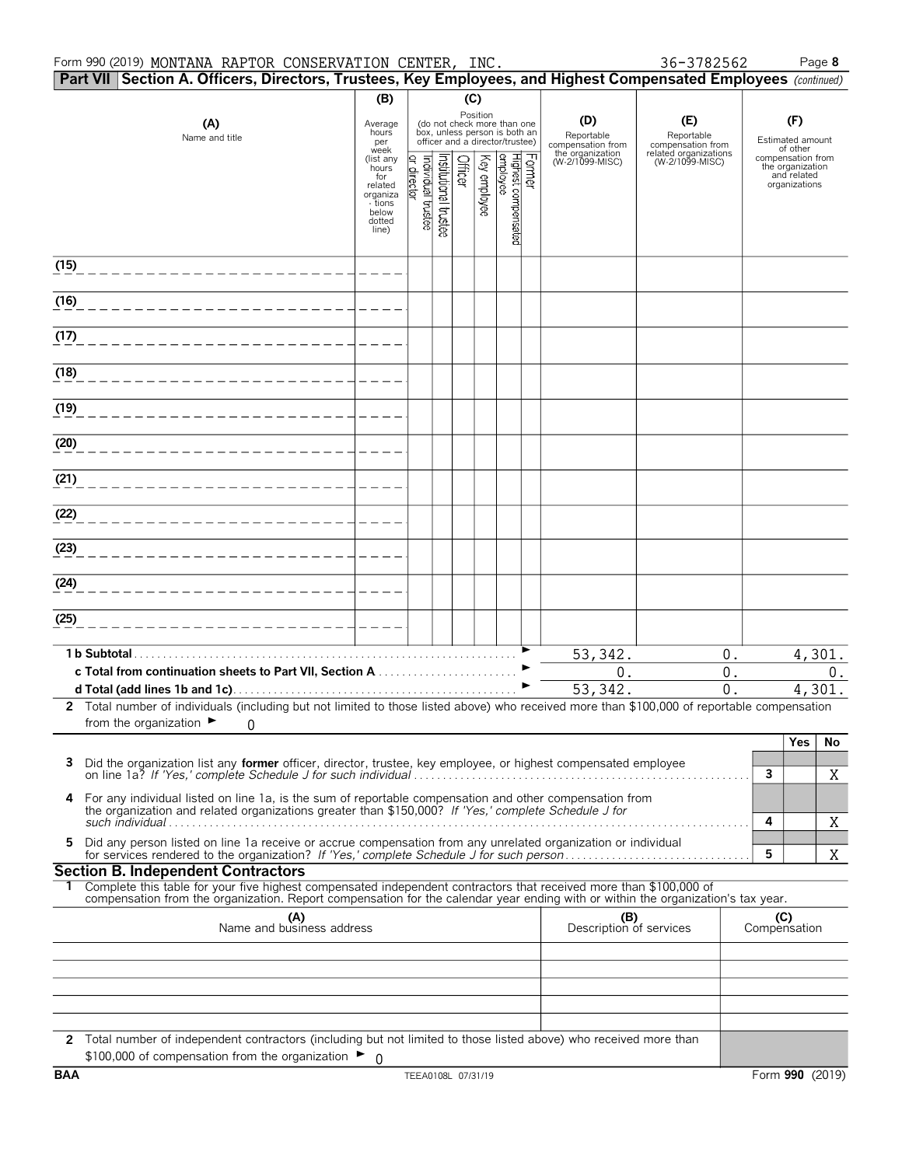#### Form 990 (2019) Page **8** MONTANA RAPTOR CONSERVATION CENTER, INC. 36-3782562

|      |                                                                                                                                                                                                                                                        |                                                  |                                  |                      | Part VII Section A. Officers, Directors, Trustees, Key Employees, and Highest Compensated Employees (continued) |              |                                                                                                             |  |                                                            |                                                                 |        |                                                          |        |
|------|--------------------------------------------------------------------------------------------------------------------------------------------------------------------------------------------------------------------------------------------------------|--------------------------------------------------|----------------------------------|----------------------|-----------------------------------------------------------------------------------------------------------------|--------------|-------------------------------------------------------------------------------------------------------------|--|------------------------------------------------------------|-----------------------------------------------------------------|--------|----------------------------------------------------------|--------|
|      |                                                                                                                                                                                                                                                        | (B)                                              |                                  |                      | (C)                                                                                                             |              |                                                                                                             |  |                                                            |                                                                 |        |                                                          |        |
|      | (A)<br>Name and title                                                                                                                                                                                                                                  | Average<br>hours<br>per<br>week                  |                                  |                      |                                                                                                                 |              | Position<br>(do not check more than one<br>box, unless person is both an<br>officer and a director/trustee) |  | (D)<br>Reportable<br>compensation from<br>the organization | (E)<br>Reportable<br>compensation from<br>related organizations |        | (F)<br>Estimated amount<br>of other<br>compensation from |        |
|      |                                                                                                                                                                                                                                                        | (list any<br>hours<br>for<br>related<br>organiza | or director<br>ndividual trustee | nstitutional trustee | Officer                                                                                                         | Key employee |                                                                                                             |  | (W-2/1099-MISC)                                            | (W-2/1099-MISC)                                                 |        | the organization<br>and related<br>organizations         |        |
|      |                                                                                                                                                                                                                                                        | - tions<br>below<br>dotted<br>line)              |                                  |                      |                                                                                                                 |              | Former<br>Highest compensated<br> employee                                                                  |  |                                                            |                                                                 |        |                                                          |        |
| (15) |                                                                                                                                                                                                                                                        |                                                  |                                  |                      |                                                                                                                 |              |                                                                                                             |  |                                                            |                                                                 |        |                                                          |        |
| (16) |                                                                                                                                                                                                                                                        |                                                  |                                  |                      |                                                                                                                 |              |                                                                                                             |  |                                                            |                                                                 |        |                                                          |        |
| (17) |                                                                                                                                                                                                                                                        |                                                  |                                  |                      |                                                                                                                 |              |                                                                                                             |  |                                                            |                                                                 |        |                                                          |        |
| (18) |                                                                                                                                                                                                                                                        |                                                  |                                  |                      |                                                                                                                 |              |                                                                                                             |  |                                                            |                                                                 |        |                                                          |        |
| (19) |                                                                                                                                                                                                                                                        |                                                  |                                  |                      |                                                                                                                 |              |                                                                                                             |  |                                                            |                                                                 |        |                                                          |        |
| (20) |                                                                                                                                                                                                                                                        |                                                  |                                  |                      |                                                                                                                 |              |                                                                                                             |  |                                                            |                                                                 |        |                                                          |        |
| (21) |                                                                                                                                                                                                                                                        |                                                  |                                  |                      |                                                                                                                 |              |                                                                                                             |  |                                                            |                                                                 |        |                                                          |        |
| (22) |                                                                                                                                                                                                                                                        |                                                  |                                  |                      |                                                                                                                 |              |                                                                                                             |  |                                                            |                                                                 |        |                                                          |        |
| (23) |                                                                                                                                                                                                                                                        |                                                  |                                  |                      |                                                                                                                 |              |                                                                                                             |  |                                                            |                                                                 |        |                                                          |        |
| (24) |                                                                                                                                                                                                                                                        |                                                  |                                  |                      |                                                                                                                 |              |                                                                                                             |  |                                                            |                                                                 |        |                                                          |        |
| (25) |                                                                                                                                                                                                                                                        |                                                  |                                  |                      |                                                                                                                 |              |                                                                                                             |  |                                                            |                                                                 |        |                                                          |        |
|      | 1 b Subtotal.                                                                                                                                                                                                                                          |                                                  |                                  |                      |                                                                                                                 |              |                                                                                                             |  | 53,342.                                                    | $0$ .                                                           |        |                                                          | 4,301. |
|      | c Total from continuation sheets to Part VII, Section A                                                                                                                                                                                                |                                                  |                                  |                      |                                                                                                                 |              |                                                                                                             |  | $0$ .                                                      | $0$ .                                                           |        |                                                          | $0$ .  |
|      | 2 Total number of individuals (including but not limited to those listed above) who received more than \$100,000 of reportable compensation                                                                                                            |                                                  |                                  |                      |                                                                                                                 |              |                                                                                                             |  | 53, 342.                                                   | 0.                                                              |        |                                                          | 4,301. |
|      | from the organization $\blacktriangleright$<br>$\Omega$                                                                                                                                                                                                |                                                  |                                  |                      |                                                                                                                 |              |                                                                                                             |  |                                                            |                                                                 |        | <b>Yes</b>                                               | No     |
| 3    | Did the organization list any <b>former</b> officer, director, trustee, key employee, or highest compensated employee                                                                                                                                  |                                                  |                                  |                      |                                                                                                                 |              |                                                                                                             |  |                                                            |                                                                 | 3      |                                                          | Χ      |
| 4    | For any individual listed on line 1a, is the sum of reportable compensation and other compensation from<br>the organization and related organizations greater than \$150,000? If 'Yes,' complete Schedule J for                                        |                                                  |                                  |                      |                                                                                                                 |              |                                                                                                             |  |                                                            |                                                                 |        |                                                          |        |
| 5    | Did any person listed on line 1a receive or accrue compensation from any unrelated organization or individual                                                                                                                                          |                                                  |                                  |                      |                                                                                                                 |              |                                                                                                             |  |                                                            |                                                                 | 4<br>5 |                                                          | Χ<br>X |
|      | <b>Section B. Independent Contractors</b>                                                                                                                                                                                                              |                                                  |                                  |                      |                                                                                                                 |              |                                                                                                             |  |                                                            |                                                                 |        |                                                          |        |
| 1.   | Complete this table for your five highest compensated independent contractors that received more than \$100,000 of<br>compensation from the organization. Report compensation for the calendar year ending with or within the organization's tax year. |                                                  |                                  |                      |                                                                                                                 |              |                                                                                                             |  |                                                            |                                                                 |        |                                                          |        |
|      | (A)<br>Name and business address                                                                                                                                                                                                                       |                                                  |                                  |                      |                                                                                                                 |              |                                                                                                             |  | (B)<br>Description of services                             |                                                                 |        | (C)<br>Compensation                                      |        |
|      |                                                                                                                                                                                                                                                        |                                                  |                                  |                      |                                                                                                                 |              |                                                                                                             |  |                                                            |                                                                 |        |                                                          |        |
|      |                                                                                                                                                                                                                                                        |                                                  |                                  |                      |                                                                                                                 |              |                                                                                                             |  |                                                            |                                                                 |        |                                                          |        |
|      | 2 Total number of independent contractors (including but not limited to those listed above) who received more than<br>\$100,000 of compensation from the organization $\blacktriangleright$ 0                                                          |                                                  |                                  |                      |                                                                                                                 |              |                                                                                                             |  |                                                            |                                                                 |        |                                                          |        |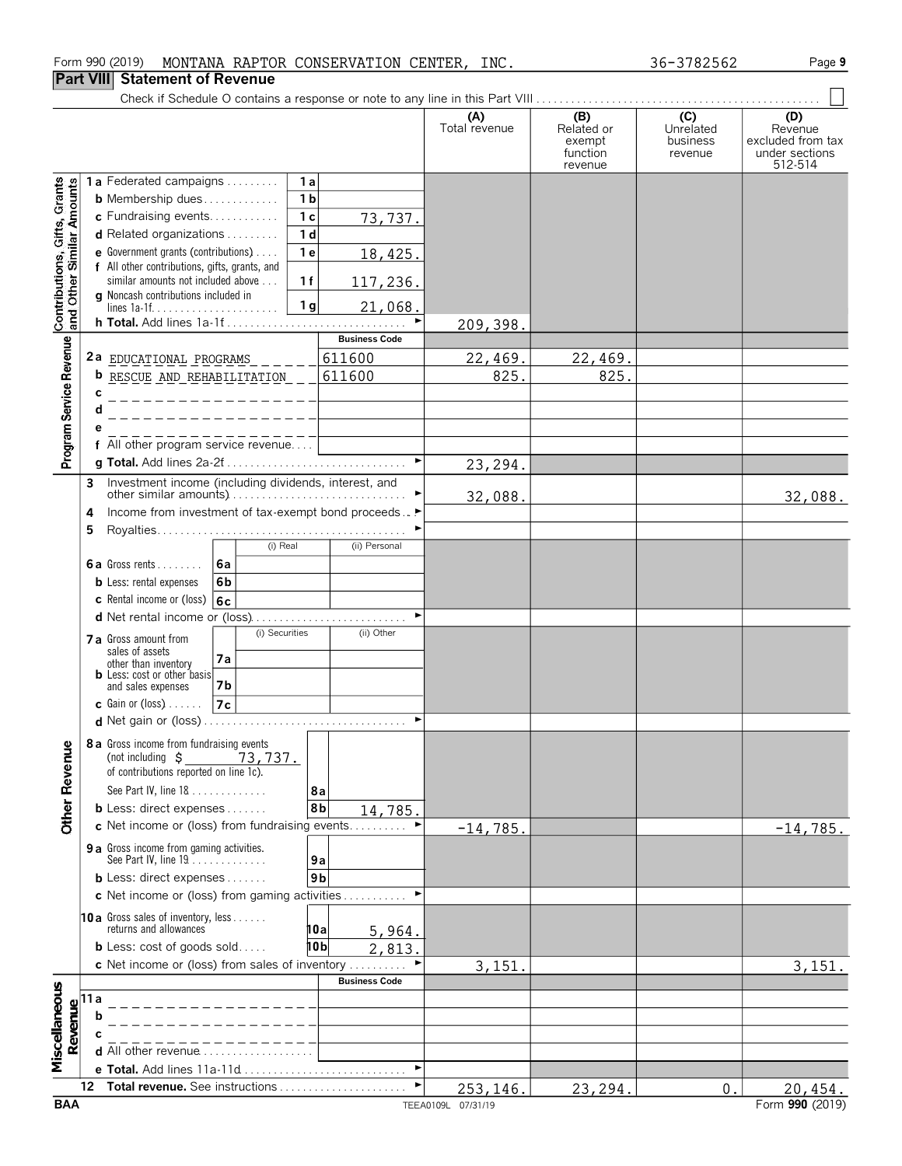### **Part VIII Statement of Revenue**

Check if Schedule O contains a response or note to any line in this Part VIII . . . . . . . . . . . . . . . . . . . . . . . . . . . . . . . . . . . . . . . . . . . . . . . . .

Page 9

|                                                           |                                |                                                                      |                |                |                       | (A)<br>Total revenue | (B)<br>Related or  | (C)<br>Unrelated    | (D)<br>Revenue                      |
|-----------------------------------------------------------|--------------------------------|----------------------------------------------------------------------|----------------|----------------|-----------------------|----------------------|--------------------|---------------------|-------------------------------------|
|                                                           |                                |                                                                      |                |                |                       |                      | exempt<br>function | business<br>revenue | excluded from tax<br>under sections |
|                                                           |                                | 1a Federated campaigns                                               |                | 1a             |                       |                      | revenue            |                     | 512-514                             |
| Contributions, Gifts, Grants<br>and Other Similar Amounts |                                | <b>b</b> Membership dues                                             |                | 1 <sub>b</sub> |                       |                      |                    |                     |                                     |
|                                                           | c Fundraising events           |                                                                      |                | 1 <sub>c</sub> | 73,737.               |                      |                    |                     |                                     |
|                                                           |                                | d Related organizations                                              |                | 1 <sub>d</sub> |                       |                      |                    |                     |                                     |
|                                                           |                                | <b>e</b> Government grants (contributions) $\ldots$                  |                | 1 <sub>e</sub> | 18,425.               |                      |                    |                     |                                     |
|                                                           |                                | f All other contributions, gifts, grants, and                        |                |                |                       |                      |                    |                     |                                     |
|                                                           |                                | similar amounts not included above                                   |                | 1f             | 117,236.              |                      |                    |                     |                                     |
|                                                           |                                | <b>q</b> Noncash contributions included in                           |                | 1 <sub>g</sub> | 21,068.               |                      |                    |                     |                                     |
|                                                           |                                |                                                                      |                |                | ►                     | 209,398.             |                    |                     |                                     |
|                                                           |                                |                                                                      |                |                | <b>Business Code</b>  |                      |                    |                     |                                     |
|                                                           |                                | 2a $EDICAIIONAL PROGRAMS$ _ _ _ _ _                                  |                |                | 611600                | 22,469.              | 22,469.            |                     |                                     |
|                                                           |                                | <b>b</b> RESCUE AND REHABILITATION __                                |                |                | 611600                | 825.                 | 825.               |                     |                                     |
|                                                           | C                              | $- - - - - - - - -$                                                  |                |                |                       |                      |                    |                     |                                     |
|                                                           |                                |                                                                      |                |                |                       |                      |                    |                     |                                     |
|                                                           |                                |                                                                      |                |                |                       |                      |                    |                     |                                     |
| Program Service Revenue                                   |                                | f All other program service revenue                                  |                |                | $\blacktriangleright$ |                      |                    |                     |                                     |
|                                                           |                                |                                                                      |                |                |                       | 23,294.              |                    |                     |                                     |
|                                                           | 3                              | Investment income (including dividends, interest, and                |                |                |                       | 32,088.              |                    |                     | 32,088.                             |
|                                                           | 4                              | Income from investment of tax-exempt bond proceeds▶                  |                |                |                       |                      |                    |                     |                                     |
|                                                           | 5                              |                                                                      |                |                |                       |                      |                    |                     |                                     |
|                                                           |                                |                                                                      | (i) Real       |                | (ii) Personal         |                      |                    |                     |                                     |
|                                                           |                                | 6a<br>$6a$ Gross rents                                               |                |                |                       |                      |                    |                     |                                     |
|                                                           |                                | 6 <sub>b</sub><br><b>b</b> Less: rental expenses                     |                |                |                       |                      |                    |                     |                                     |
|                                                           |                                | <b>c</b> Rental income or (loss) $ 6c $                              |                |                |                       |                      |                    |                     |                                     |
|                                                           |                                |                                                                      |                |                |                       |                      |                    |                     |                                     |
|                                                           |                                | 7a Gross amount from<br>sales of assets                              | (i) Securities |                | (ii) Other            |                      |                    |                     |                                     |
|                                                           |                                | 7a<br>other than inventory                                           |                |                |                       |                      |                    |                     |                                     |
|                                                           |                                | <b>b</b> Less: cost or other basis<br>7b<br>and sales expenses       |                |                |                       |                      |                    |                     |                                     |
|                                                           |                                | 7c<br><b>c</b> Gain or (loss) $\ldots$                               |                |                |                       |                      |                    |                     |                                     |
|                                                           |                                |                                                                      |                |                |                       |                      |                    |                     |                                     |
|                                                           |                                | 8 a Gross income from fundraising events                             |                |                |                       |                      |                    |                     |                                     |
| nue                                                       |                                | (not including $\sin 73, 737$ .                                      |                |                |                       |                      |                    |                     |                                     |
|                                                           |                                | of contributions reported on line 1c).                               |                |                |                       |                      |                    |                     |                                     |
|                                                           |                                | See Part IV, line 18                                                 |                | 8а             |                       |                      |                    |                     |                                     |
| <b>Other Reve</b>                                         |                                | <b>b</b> Less: direct expenses $\ldots$                              |                |                | 8b<br>14,785.         |                      |                    |                     |                                     |
|                                                           |                                | c Net income or (loss) from fundraising events                       |                |                |                       | $-14,785.$           |                    |                     | $-14,785.$                          |
|                                                           |                                | 9 a Gross income from gaming activities.<br>See Part IV, line 19     |                |                | 9a                    |                      |                    |                     |                                     |
|                                                           |                                | <b>b</b> Less: direct expenses                                       |                |                | 9 <sub>b</sub>        |                      |                    |                     |                                     |
|                                                           |                                | c Net income or (loss) from gaming activities                        |                |                |                       |                      |                    |                     |                                     |
|                                                           |                                |                                                                      |                |                |                       |                      |                    |                     |                                     |
|                                                           |                                | <b>10 a</b> Gross sales of inventory, less<br>returns and allowances |                |                | 10al<br>5,964.        |                      |                    |                     |                                     |
|                                                           |                                | <b>b</b> Less: $cost$ of goods $sol$                                 |                |                | 10b<br>2,813.         |                      |                    |                     |                                     |
|                                                           |                                | c Net income or (loss) from sales of inventory $\dots\dots\dots$     |                |                |                       | 3,151                |                    |                     | 3,151.                              |
|                                                           |                                |                                                                      |                |                | <b>Business Code</b>  |                      |                    |                     |                                     |
| Miscellaneous                                             | Revenue<br>$\alpha$ b $\alpha$ |                                                                      |                |                |                       |                      |                    |                     |                                     |
|                                                           |                                |                                                                      |                |                |                       |                      |                    |                     |                                     |
|                                                           |                                | <b>d</b> All other revenue                                           |                |                |                       |                      |                    |                     |                                     |
|                                                           |                                | e Total. Add lines 11a-11d                                           |                |                | $\blacktriangleright$ |                      |                    |                     |                                     |
|                                                           | 12                             | Total revenue. See instructions                                      |                |                |                       | 253,146.             | 23,294.            | 0.                  | 20,454.                             |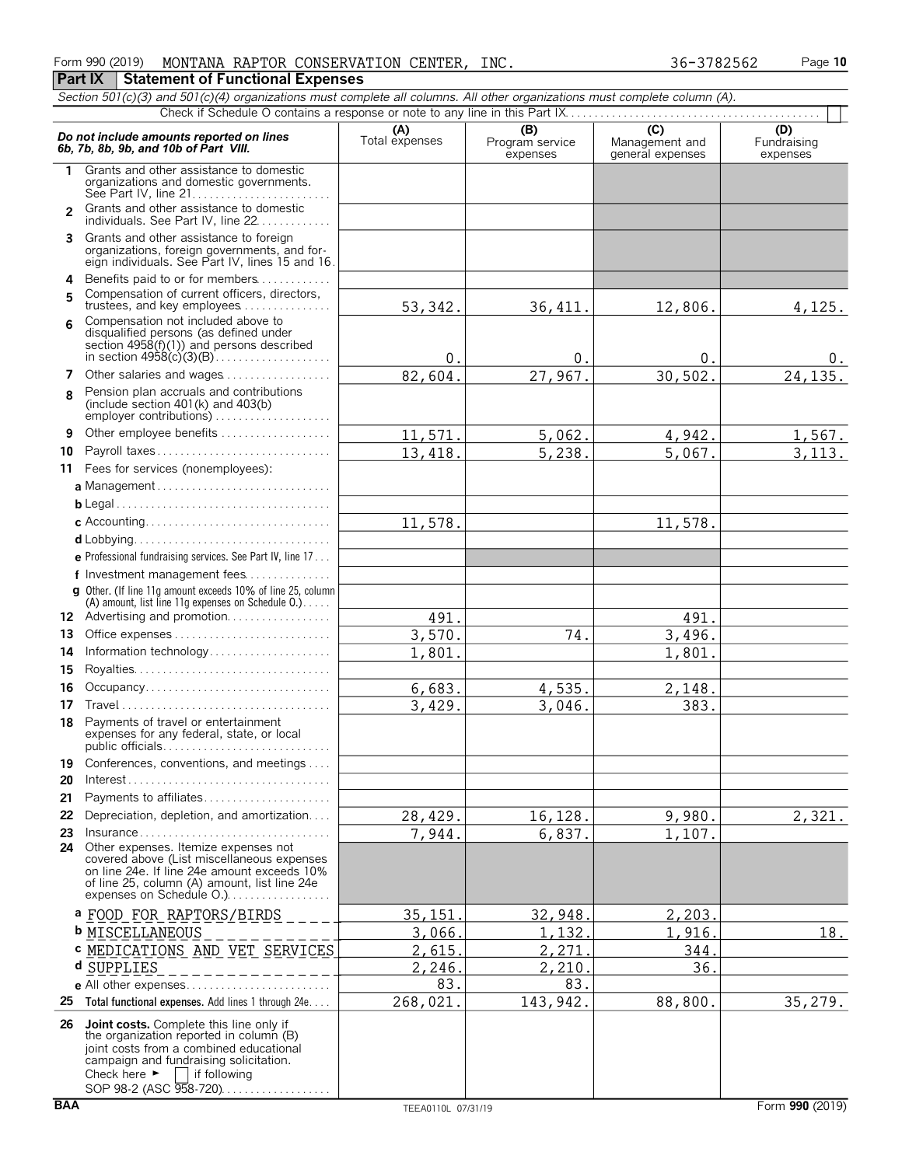| Form 990 (2019) |                                  | MONTANA RAPTOR CONSERVATION CENTER, | INC. | 36-3782562 | Page 10 |
|-----------------|----------------------------------|-------------------------------------|------|------------|---------|
| <b>Part IX</b>  | Statement of Functional Expenses |                                     |      |            |         |

|          | Section 501(c)(3) and 501(c)(4) organizations must complete all columns. All other organizations must complete column (A).                                                                                                                                   |                       |                                    |                                           |                                |
|----------|--------------------------------------------------------------------------------------------------------------------------------------------------------------------------------------------------------------------------------------------------------------|-----------------------|------------------------------------|-------------------------------------------|--------------------------------|
|          |                                                                                                                                                                                                                                                              |                       |                                    |                                           |                                |
|          | Do not include amounts reported on lines<br>6b, 7b, 8b, 9b, and 10b of Part VIII.                                                                                                                                                                            | (A)<br>Total expenses | (B)<br>Program service<br>expenses | (C)<br>Management and<br>general expenses | (D)<br>Fundraising<br>expenses |
| 1.       | Grants and other assistance to domestic<br>organizations and domestic governments.<br>See Part IV, line 21                                                                                                                                                   |                       |                                    |                                           |                                |
|          | Grants and other assistance to domestic<br>individuals. See Part IV, line 22.                                                                                                                                                                                |                       |                                    |                                           |                                |
|          | 3 Grants and other assistance to foreign<br>organizations, foreign governments, and for-<br>eign individuals. See Part IV, lines 15 and 16.                                                                                                                  |                       |                                    |                                           |                                |
|          | 4 Benefits paid to or for members                                                                                                                                                                                                                            |                       |                                    |                                           |                                |
| 5        | Compensation of current officers, directors,<br>trustees, and key employees                                                                                                                                                                                  | 53, 342.              | 36, 411.                           | 12,806.                                   | 4, 125.                        |
| 6        | Compensation not included above to<br>disqualified persons (as defined under<br>section $4958(f)(1)$ and persons described<br>in section $49\overline{58}(\overline{c})(3)(B)$                                                                               | 0.                    | $0$ .                              | 0.                                        | 0.                             |
| 7        | Other salaries and wages                                                                                                                                                                                                                                     | 82,604.               | 27,967.                            | 30,502.                                   | 24,135.                        |
| 8        | Pension plan accruals and contributions<br>(include section $401(k)$ and $403(b)$ )<br>employer contributions)                                                                                                                                               |                       |                                    |                                           |                                |
| 9        |                                                                                                                                                                                                                                                              | 11,571.               | 5,062.                             | 4,942.                                    | 1,567.                         |
| 10       | Payroll taxes                                                                                                                                                                                                                                                | 13,418.               | 5,238.                             | 5,067.                                    | 3, 113.                        |
|          | 11 Fees for services (nonemployees):                                                                                                                                                                                                                         |                       |                                    |                                           |                                |
|          |                                                                                                                                                                                                                                                              |                       |                                    |                                           |                                |
|          |                                                                                                                                                                                                                                                              |                       |                                    |                                           |                                |
|          |                                                                                                                                                                                                                                                              | 11,578.               |                                    | 11,578.                                   |                                |
|          |                                                                                                                                                                                                                                                              |                       |                                    |                                           |                                |
|          | e Professional fundraising services. See Part IV, line 17                                                                                                                                                                                                    |                       |                                    |                                           |                                |
|          | f Investment management fees                                                                                                                                                                                                                                 |                       |                                    |                                           |                                |
|          | g Other. (If line 11g amount exceeds 10% of line 25, column<br>(A) amount, list line 11g expenses on Schedule 0.)                                                                                                                                            |                       |                                    |                                           |                                |
|          | 12 Advertising and promotion                                                                                                                                                                                                                                 | 491.                  |                                    | 491.                                      |                                |
| 13.      |                                                                                                                                                                                                                                                              | 3,570.                | 74.                                | 3,496.                                    |                                |
| 14       | Information technology                                                                                                                                                                                                                                       | 1,801.                |                                    | 1,801.                                    |                                |
| 15       |                                                                                                                                                                                                                                                              |                       |                                    |                                           |                                |
| 16       | Occupancy                                                                                                                                                                                                                                                    | 6,683.                | 4,535.                             | 2,148.                                    |                                |
| 17       |                                                                                                                                                                                                                                                              | 3,429.                | 3,046.                             | 383.                                      |                                |
| 18.      | Payments of travel or entertainment<br>expenses for any federal, state, or local                                                                                                                                                                             |                       |                                    |                                           |                                |
| 19<br>20 | Conferences, conventions, and meetings                                                                                                                                                                                                                       |                       |                                    |                                           |                                |
| 21       | Payments to affiliates                                                                                                                                                                                                                                       |                       |                                    |                                           |                                |
| 22       | Depreciation, depletion, and amortization                                                                                                                                                                                                                    | 28,429.               | 16,128.                            | 9,980.                                    | 2,321.                         |
| 23       | $insurance \ldots \ldots \ldots \ldots \ldots \ldots \ldots \ldots \ldots$                                                                                                                                                                                   | 7,944.                | 6,837.                             | 1,107.                                    |                                |
| 24       | Other expenses. Itemize expenses not<br>covered above (List miscellaneous expenses<br>on line 24e. If line 24e amount exceeds 10%<br>of line 25, column (A) amount, list line 24e<br>expenses on Schedule O.)                                                |                       |                                    |                                           |                                |
|          | <sup>a</sup> FOOD FOR RAPTORS/BIRDS                                                                                                                                                                                                                          | 35,151                | 32,948.                            | 2,203.                                    |                                |
|          | <b>b</b> MISCELLANEOUS                                                                                                                                                                                                                                       | 3,066.                | 1,132.                             | 1,916.                                    | 18.                            |
|          | C MEDICATIONS AND VET SERVICES                                                                                                                                                                                                                               | 2,615.                | 2,271                              | 344                                       |                                |
|          | d SUPPLIES                                                                                                                                                                                                                                                   | 2,246.                | 2,210.                             | 36.                                       |                                |
|          |                                                                                                                                                                                                                                                              | 83.                   | 83.                                |                                           |                                |
| 25       | Total functional expenses. Add lines 1 through 24e                                                                                                                                                                                                           | 268,021.              | 143,942.                           | 88,800.                                   | 35, 279.                       |
| 26       | <b>Joint costs.</b> Complete this line only if<br>the organization reported in column (B)<br>joint costs from a combined educational<br>campaign and fundraising solicitation.<br>Check here $\blacktriangleright$<br>if following<br>SOP 98-2 (ASC 958-720) |                       |                                    |                                           |                                |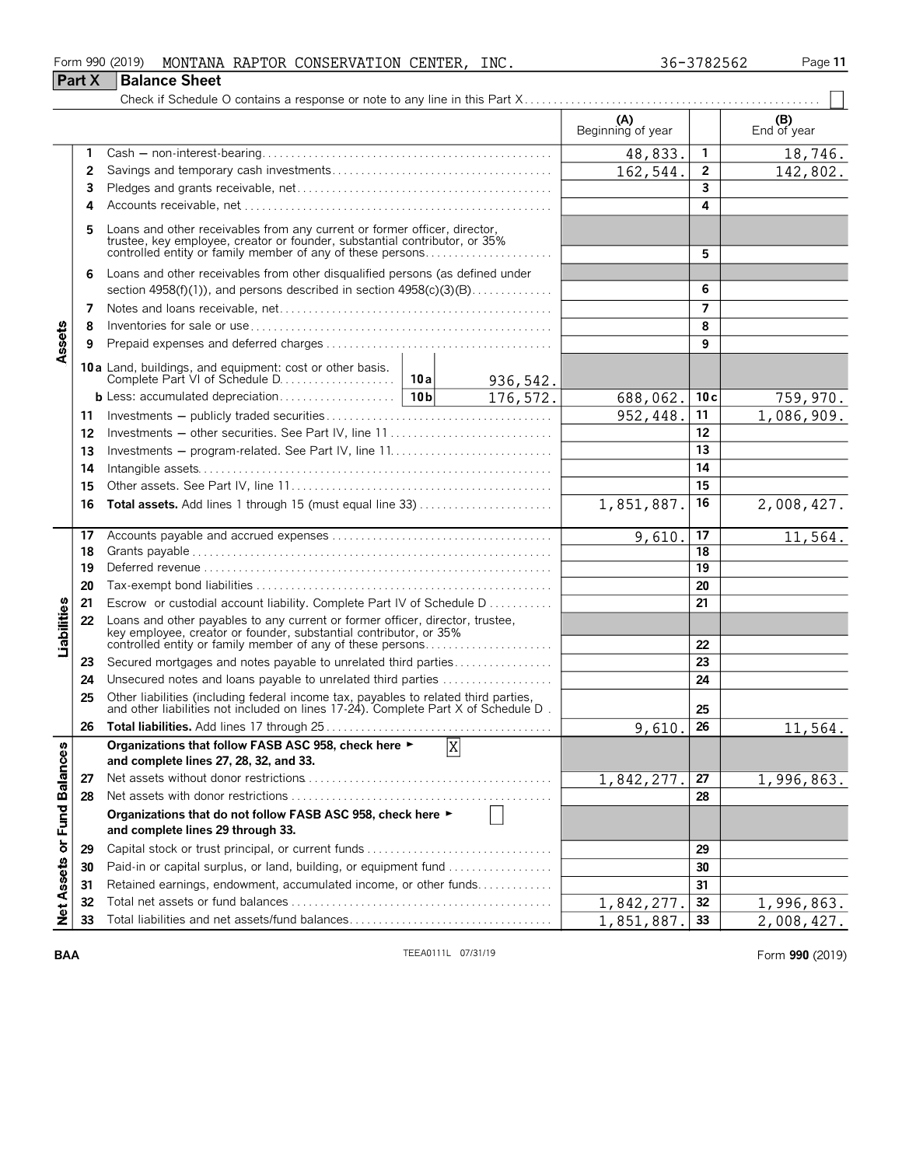| Form 990 (2019) |                      | MONTANA RAPTOR CONSERVATION C | <b>CENTER</b> | INC. | 36-3782562 | Page 11 |
|-----------------|----------------------|-------------------------------|---------------|------|------------|---------|
| <b>Part X</b>   | <b>Balance Sheet</b> |                               |               |      |            |         |

| -3782562 |  |
|----------|--|
|----------|--|

|                            |    |                                                                                                                                                                                                                    | (A)<br>Beginning of year |     | $( B )$<br>End of year |
|----------------------------|----|--------------------------------------------------------------------------------------------------------------------------------------------------------------------------------------------------------------------|--------------------------|-----|------------------------|
|                            | 1  |                                                                                                                                                                                                                    | 48,833.                  | 1   | 18,746.                |
|                            | 2  |                                                                                                                                                                                                                    | 162,544.                 | 2   | 142,802.               |
|                            | 3  |                                                                                                                                                                                                                    |                          | 3   |                        |
|                            | 4  |                                                                                                                                                                                                                    |                          | 4   |                        |
|                            | 5  | Loans and other receivables from any current or former officer, director, trustee, key employee, creator or founder, substantial contributor, or 35%<br>controlled entity or family member of any of these persons |                          | 5   |                        |
|                            | 6  | Loans and other receivables from other disqualified persons (as defined under<br>section $4958(f)(1)$ , and persons described in section $4958(c)(3)(B)$                                                           |                          | 6   |                        |
|                            | 7  |                                                                                                                                                                                                                    |                          | 7   |                        |
|                            | 8  |                                                                                                                                                                                                                    |                          | 8   |                        |
| Assets                     | 9  |                                                                                                                                                                                                                    |                          | 9   |                        |
|                            |    | 10a Land, buildings, and equipment: cost or other basis.<br>10a<br>936,542.                                                                                                                                        |                          |     |                        |
|                            |    | b Less: accumulated depreciation<br>10 <sub>b</sub><br>176,572.                                                                                                                                                    | 688,062.                 | 10c | 759,970.               |
|                            | 11 |                                                                                                                                                                                                                    | 952,448.                 | 11  | 1,086,909.             |
|                            | 12 | Investments - other securities. See Part IV, line 11                                                                                                                                                               |                          | 12  |                        |
|                            | 13 |                                                                                                                                                                                                                    |                          | 13  |                        |
|                            | 14 |                                                                                                                                                                                                                    |                          | 14  |                        |
|                            | 15 |                                                                                                                                                                                                                    |                          | 15  |                        |
|                            | 16 |                                                                                                                                                                                                                    | 1,851,887.               | 16  | 2,008,427.             |
|                            | 17 |                                                                                                                                                                                                                    | 9,610.                   | 17  | 11,564.                |
|                            | 18 |                                                                                                                                                                                                                    |                          | 18  |                        |
|                            | 19 |                                                                                                                                                                                                                    |                          | 19  |                        |
|                            | 20 |                                                                                                                                                                                                                    |                          | 20  |                        |
|                            | 21 | Escrow or custodial account liability. Complete Part IV of Schedule D                                                                                                                                              |                          | 21  |                        |
| Liabilities                | 22 | Loans and other payables to any current or former officer, director, trustee,<br>key employee, creator or founder, substantial contributor, or 35%<br>controlled entity or family member of any of these persons   |                          | 22  |                        |
|                            | 23 | Secured mortgages and notes payable to unrelated third parties                                                                                                                                                     |                          | 23  |                        |
|                            | 24 | Unsecured notes and loans payable to unrelated third parties                                                                                                                                                       |                          | 24  |                        |
|                            | 25 | Other liabilities (including federal income tax, payables to related third parties, and other liabilities not included on lines 17-24). Complete Part X of Schedule D.                                             |                          | 25  |                        |
|                            | 26 |                                                                                                                                                                                                                    | 9,610.                   | 26  | 11,564.                |
| ω                          |    | Organizations that follow FASB ASC 958, check here ►<br>$\mathbf{X}$<br>and complete lines 27, 28, 32, and 33.                                                                                                     |                          |     |                        |
|                            | 27 |                                                                                                                                                                                                                    | 1,842,277.               | 27  | 1,996,863.             |
|                            | 28 |                                                                                                                                                                                                                    |                          | 28  |                        |
| Net Assets or Fund Balance |    | Organizations that do not follow FASB ASC 958, check here ►<br>and complete lines 29 through 33.                                                                                                                   |                          |     |                        |
|                            | 29 |                                                                                                                                                                                                                    |                          | 29  |                        |
|                            | 30 | Paid-in or capital surplus, or land, building, or equipment fund                                                                                                                                                   |                          | 30  |                        |
|                            | 31 | Retained earnings, endowment, accumulated income, or other funds                                                                                                                                                   |                          | 31  |                        |
|                            | 32 |                                                                                                                                                                                                                    | 1,842,277.               | 32  | 1,996,863.             |
|                            | 33 | Total liabilities and net assets/fund balances                                                                                                                                                                     | 1,851,887.               | 33  | 2,008,427.             |

**BAA** TEEA0111L 07/31/19 Form **990** (2019)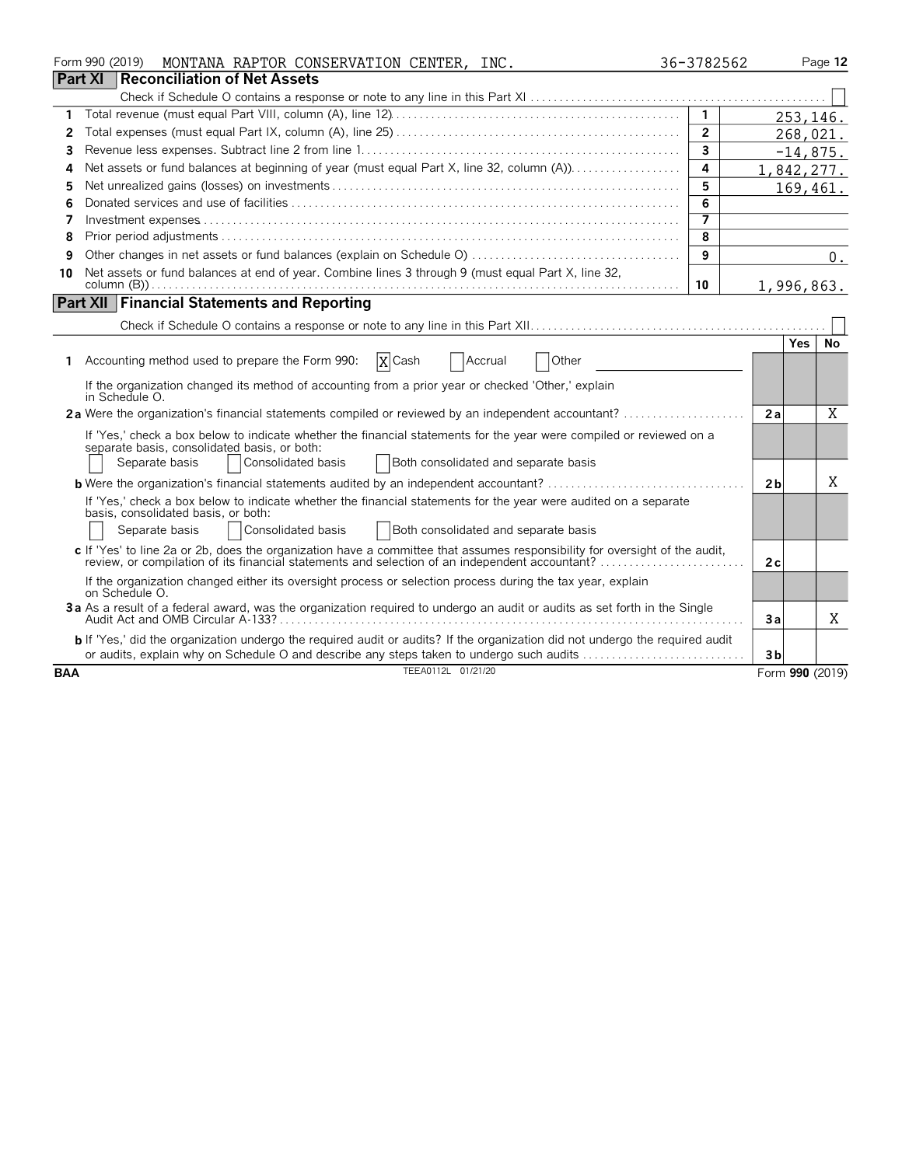|            | MONTANA RAPTOR CONSERVATION CENTER, INC.<br>Form 990 (2019)                                                                                                                                                                   | 36-3782562              |                 |     | Page 12    |
|------------|-------------------------------------------------------------------------------------------------------------------------------------------------------------------------------------------------------------------------------|-------------------------|-----------------|-----|------------|
|            | <b>Part XI Reconciliation of Net Assets</b>                                                                                                                                                                                   |                         |                 |     |            |
|            |                                                                                                                                                                                                                               |                         |                 |     |            |
| 1          |                                                                                                                                                                                                                               | $\mathbf{1}$            |                 |     | 253,146.   |
| 2          |                                                                                                                                                                                                                               | $\overline{2}$          |                 |     | 268,021.   |
| 3          |                                                                                                                                                                                                                               | 3                       |                 |     | $-14,875.$ |
| Δ          |                                                                                                                                                                                                                               | 4                       | 1,842,277.      |     |            |
| 5          |                                                                                                                                                                                                                               | 5                       |                 |     | 169,461.   |
| 6          |                                                                                                                                                                                                                               | 6                       |                 |     |            |
| 7          |                                                                                                                                                                                                                               |                         |                 |     |            |
| 8          |                                                                                                                                                                                                                               | $\overline{\mathbf{8}}$ |                 |     |            |
| 9          |                                                                                                                                                                                                                               | 9                       |                 |     | 0.         |
| 10         | Net assets or fund balances at end of year. Combine lines 3 through 9 (must equal Part X, line 32,                                                                                                                            | 10                      | 1,996,863.      |     |            |
|            | <b>Part XII Financial Statements and Reporting</b>                                                                                                                                                                            |                         |                 |     |            |
|            |                                                                                                                                                                                                                               |                         |                 |     |            |
|            |                                                                                                                                                                                                                               |                         |                 | Yes | No         |
| 1.         | $ X $ Cash<br>Accounting method used to prepare the Form 990:<br>Other<br><b>Accrual</b>                                                                                                                                      |                         |                 |     |            |
|            | If the organization changed its method of accounting from a prior year or checked 'Other,' explain<br>in Schedule O.                                                                                                          |                         |                 |     |            |
|            |                                                                                                                                                                                                                               |                         | 2a              |     | X          |
|            | If 'Yes,' check a box below to indicate whether the financial statements for the year were compiled or reviewed on a                                                                                                          |                         |                 |     |            |
|            | separate basis, consolidated basis, or both:                                                                                                                                                                                  |                         |                 |     |            |
|            | Separate basis<br>Consolidated basis<br>Both consolidated and separate basis                                                                                                                                                  |                         |                 |     |            |
|            | <b>b</b> Were the organization's financial statements audited by an independent accountant?                                                                                                                                   |                         | 2 <sub>b</sub>  |     | X          |
|            | If 'Yes,' check a box below to indicate whether the financial statements for the year were audited on a separate                                                                                                              |                         |                 |     |            |
|            | basis, consolidated basis, or both:                                                                                                                                                                                           |                         |                 |     |            |
|            | Both consolidated and separate basis<br>Separate basis<br>Consolidated basis                                                                                                                                                  |                         |                 |     |            |
|            | c If 'Yes' to line 2a or 2b, does the organization have a committee that assumes responsibility for oversight of the audit,<br>review, or compilation of its financial statements and selection of an independent accountant? |                         | 2c              |     |            |
|            | If the organization changed either its oversight process or selection process during the tax year, explain<br>on Schedule O.                                                                                                  |                         |                 |     |            |
|            | 3a As a result of a federal award, was the organization required to undergo an audit or audits as set forth in the Single                                                                                                     |                         | 3a              |     | X          |
|            | b If 'Yes,' did the organization undergo the required audit or audits? If the organization did not undergo the required audit                                                                                                 |                         |                 |     |            |
|            | or audits, explain why on Schedule O and describe any steps taken to undergo such audits                                                                                                                                      |                         | 3 <sub>b</sub>  |     |            |
| <b>BAA</b> | TEEA0112L 01/21/20                                                                                                                                                                                                            |                         | Form 990 (2019) |     |            |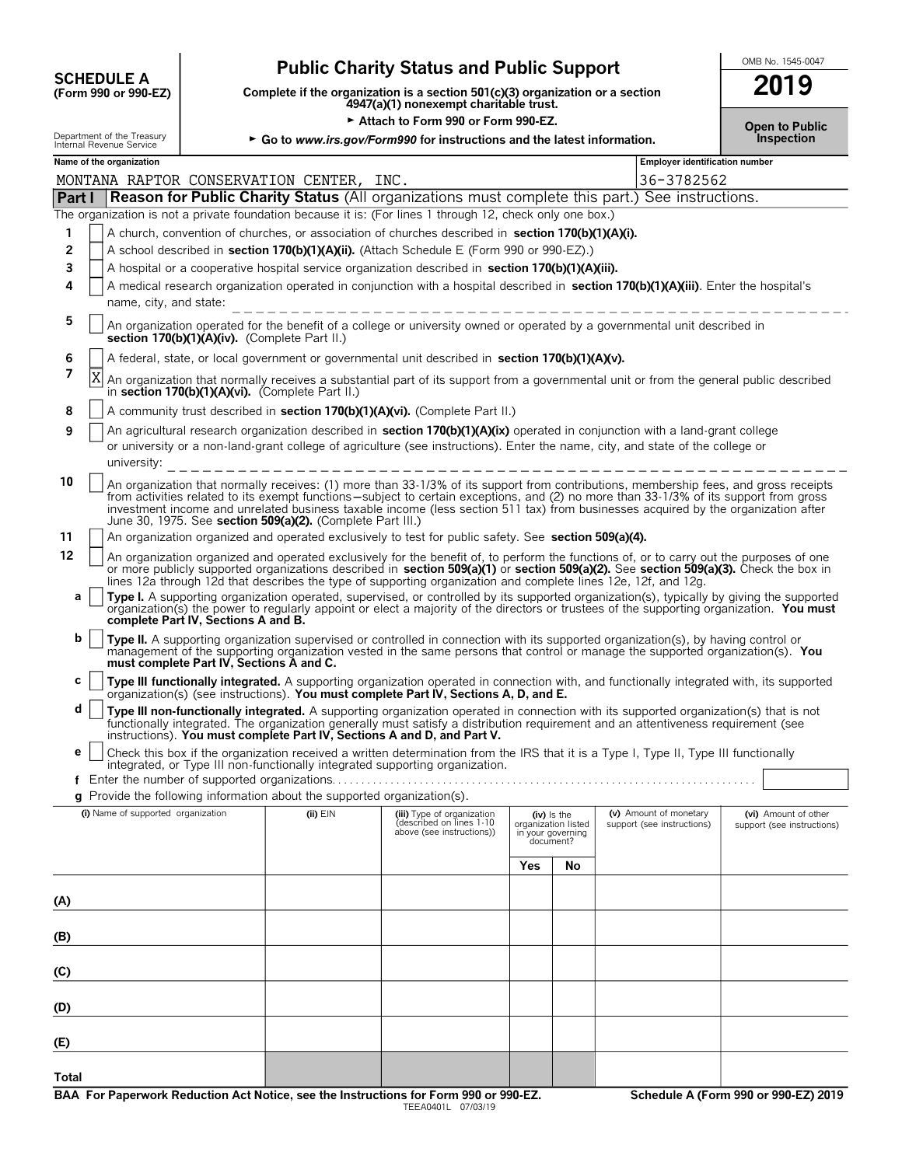| <b>SCHEDULE A</b>                                     |
|-------------------------------------------------------|
| $(T_{\alpha\mu m}$ QQQ $_{\alpha\nu}$ QQQ $_{\alpha}$ |

# **Public Charity Status and Public Support**<br>Dete if the organization is a section 501(c)(3) organization or a section **2019**

**COMPOUTE A**<br>
(Form 990 or 990-EZ) Complete if the organization is a section 501(c)(3) organization or a section<br>
4947(a)(1) nonexempt charitable trust.

|  | Open to Public |
|--|----------------|
|  | Inspection     |

| Attach to Form 990 or Form 990-EZ. |                                                                                                                                                                            |                                          |                                                                          |                                                                                                                                                                                                                                                                                                                                                                                                                                                                                                                                                 |     | <b>Open to Public</b>                                                  |  |                                                      |                                                    |
|------------------------------------|----------------------------------------------------------------------------------------------------------------------------------------------------------------------------|------------------------------------------|--------------------------------------------------------------------------|-------------------------------------------------------------------------------------------------------------------------------------------------------------------------------------------------------------------------------------------------------------------------------------------------------------------------------------------------------------------------------------------------------------------------------------------------------------------------------------------------------------------------------------------------|-----|------------------------------------------------------------------------|--|------------------------------------------------------|----------------------------------------------------|
|                                    | Department of the Treasury<br>Internal Revenue Service                                                                                                                     |                                          |                                                                          | ► Go to www.irs.gov/Form990 for instructions and the latest information.                                                                                                                                                                                                                                                                                                                                                                                                                                                                        |     |                                                                        |  |                                                      | Inspection                                         |
|                                    | Name of the organization                                                                                                                                                   |                                          |                                                                          |                                                                                                                                                                                                                                                                                                                                                                                                                                                                                                                                                 |     |                                                                        |  | <b>Employer identification number</b>                |                                                    |
|                                    |                                                                                                                                                                            |                                          | MONTANA RAPTOR CONSERVATION CENTER, INC.                                 |                                                                                                                                                                                                                                                                                                                                                                                                                                                                                                                                                 |     |                                                                        |  | 36-3782562                                           |                                                    |
|                                    |                                                                                                                                                                            |                                          |                                                                          | <b>Part I Reason for Public Charity Status</b> (All organizations must complete this part.) See instructions.<br>The organization is not a private foundation because it is: (For lines 1 through 12, check only one box.)                                                                                                                                                                                                                                                                                                                      |     |                                                                        |  |                                                      |                                                    |
| 1                                  |                                                                                                                                                                            |                                          |                                                                          | A church, convention of churches, or association of churches described in section 170(b)(1)(A)(i).                                                                                                                                                                                                                                                                                                                                                                                                                                              |     |                                                                        |  |                                                      |                                                    |
| 2                                  |                                                                                                                                                                            |                                          |                                                                          | A school described in section 170(b)(1)(A)(ii). (Attach Schedule E (Form 990 or 990-EZ).)                                                                                                                                                                                                                                                                                                                                                                                                                                                       |     |                                                                        |  |                                                      |                                                    |
| 3                                  |                                                                                                                                                                            |                                          |                                                                          | A hospital or a cooperative hospital service organization described in section 170(b)(1)(A)(iii).                                                                                                                                                                                                                                                                                                                                                                                                                                               |     |                                                                        |  |                                                      |                                                    |
| 4                                  | A medical research organization operated in conjunction with a hospital described in section 170(b)(1)(A)(iii). Enter the hospital's<br>name, city, and state:             |                                          |                                                                          |                                                                                                                                                                                                                                                                                                                                                                                                                                                                                                                                                 |     |                                                                        |  |                                                      |                                                    |
| 5                                  | An organization operated for the benefit of a college or university owned or operated by a governmental unit described in<br>section 170(b)(1)(A)(iv). (Complete Part II.) |                                          |                                                                          |                                                                                                                                                                                                                                                                                                                                                                                                                                                                                                                                                 |     |                                                                        |  |                                                      |                                                    |
| 6                                  |                                                                                                                                                                            |                                          |                                                                          | A federal, state, or local government or governmental unit described in section 170(b)(1)(A)(v).                                                                                                                                                                                                                                                                                                                                                                                                                                                |     |                                                                        |  |                                                      |                                                    |
| 7                                  | Χ                                                                                                                                                                          |                                          | in section 170(b)(1)(A)(vi). (Complete Part II.)                         | An organization that normally receives a substantial part of its support from a governmental unit or from the general public described                                                                                                                                                                                                                                                                                                                                                                                                          |     |                                                                        |  |                                                      |                                                    |
| 8                                  |                                                                                                                                                                            |                                          |                                                                          | A community trust described in section 170(b)(1)(A)(vi). (Complete Part II.)                                                                                                                                                                                                                                                                                                                                                                                                                                                                    |     |                                                                        |  |                                                      |                                                    |
| 9                                  | university:                                                                                                                                                                |                                          |                                                                          | An agricultural research organization described in section 170(b)(1)(A)(ix) operated in conjunction with a land-grant college<br>or university or a non-land-grant college of agriculture (see instructions). Enter the name, city, and state of the college or                                                                                                                                                                                                                                                                                 |     |                                                                        |  |                                                      |                                                    |
| 10                                 |                                                                                                                                                                            |                                          | June 30, 1975. See section 509(a)(2). (Complete Part III.)               | An organization that normally receives: (1) more than 33-1/3% of its support from contributions, membership fees, and gross receipts<br>from activities related to its exempt functions—subject to certain exceptions, and (2) no more than 33-1/3% of its support from gross<br>investment income and unrelated business taxable income (less section 511 tax) from businesses acquired by the organization after                                                                                                                              |     |                                                                        |  |                                                      |                                                    |
| 11                                 | An organization organized and operated exclusively to test for public safety. See section 509(a)(4).                                                                       |                                          |                                                                          |                                                                                                                                                                                                                                                                                                                                                                                                                                                                                                                                                 |     |                                                                        |  |                                                      |                                                    |
| 12<br>a                            |                                                                                                                                                                            |                                          |                                                                          | An organization organized and operated exclusively for the benefit of, to perform the functions of, or to carry out the purposes of one<br>or more publicly supported organizations described in section 509(a)(1) or section 509(a)(2). See section 509(a)(3). Check the box in<br>lines 12a through 12d that describes the type of supporting organization and complete lines 12e, 12f, and 12g.<br>Type I. A supporting organization operated, supervised, or controlled by its supported organization(s), typically by giving the supported |     |                                                                        |  |                                                      |                                                    |
|                                    |                                                                                                                                                                            | complete Part IV, Sections A and B.      |                                                                          | organization(s) the power to regularly appoint or elect a majority of the directors or trustees of the supporting organization. You must                                                                                                                                                                                                                                                                                                                                                                                                        |     |                                                                        |  |                                                      |                                                    |
| b                                  |                                                                                                                                                                            | must complete Part IV, Sections A and C. |                                                                          | Type II. A supporting organization supervised or controlled in connection with its supported organization(s), by having control or<br>management of the supporting organization vested in the same persons that control or manage the supported organization(s). You                                                                                                                                                                                                                                                                            |     |                                                                        |  |                                                      |                                                    |
| С                                  |                                                                                                                                                                            |                                          |                                                                          | Type III functionally integrated. A supporting organization operated in connection with, and functionally integrated with, its supported<br>organization(s) (see instructions). You must complete Part IV, Sections A, D, and E.                                                                                                                                                                                                                                                                                                                |     |                                                                        |  |                                                      |                                                    |
| d                                  |                                                                                                                                                                            |                                          |                                                                          | Type III non-functionally integrated. A supporting organization operated in connection with its supported organization(s) that is not<br>functionally integrated. The organization generally must satisfy a distribution requirement and an attentiveness requirement (see<br>instructions). You must complete Part IV, Sections A and D, and Part V.                                                                                                                                                                                           |     |                                                                        |  |                                                      |                                                    |
| е                                  |                                                                                                                                                                            |                                          |                                                                          | Check this box if the organization received a written determination from the IRS that it is a Type I, Type II, Type III functionally                                                                                                                                                                                                                                                                                                                                                                                                            |     |                                                                        |  |                                                      |                                                    |
|                                    |                                                                                                                                                                            |                                          | Enter the number of supported organizations                              | integrated, or Type III non-functionally integrated supporting organization.                                                                                                                                                                                                                                                                                                                                                                                                                                                                    |     |                                                                        |  |                                                      |                                                    |
|                                    |                                                                                                                                                                            |                                          | g Provide the following information about the supported organization(s). |                                                                                                                                                                                                                                                                                                                                                                                                                                                                                                                                                 |     |                                                                        |  |                                                      |                                                    |
| (i) Name of supported organization |                                                                                                                                                                            |                                          | $(ii)$ $EIN$                                                             | (iii) Type of organization<br>described on lines 1-10<br>above (see instructions))                                                                                                                                                                                                                                                                                                                                                                                                                                                              |     | $(iv)$ is the<br>organization listed<br>in your governing<br>document? |  | (v) Amount of monetary<br>support (see instructions) | (vi) Amount of other<br>support (see instructions) |
|                                    |                                                                                                                                                                            |                                          |                                                                          |                                                                                                                                                                                                                                                                                                                                                                                                                                                                                                                                                 | Yes | No                                                                     |  |                                                      |                                                    |
| (A)                                |                                                                                                                                                                            |                                          |                                                                          |                                                                                                                                                                                                                                                                                                                                                                                                                                                                                                                                                 |     |                                                                        |  |                                                      |                                                    |
| (B)                                |                                                                                                                                                                            |                                          |                                                                          |                                                                                                                                                                                                                                                                                                                                                                                                                                                                                                                                                 |     |                                                                        |  |                                                      |                                                    |
| (C)                                |                                                                                                                                                                            |                                          |                                                                          |                                                                                                                                                                                                                                                                                                                                                                                                                                                                                                                                                 |     |                                                                        |  |                                                      |                                                    |
| (D)                                |                                                                                                                                                                            |                                          |                                                                          |                                                                                                                                                                                                                                                                                                                                                                                                                                                                                                                                                 |     |                                                                        |  |                                                      |                                                    |
| (E)                                |                                                                                                                                                                            |                                          |                                                                          |                                                                                                                                                                                                                                                                                                                                                                                                                                                                                                                                                 |     |                                                                        |  |                                                      |                                                    |
|                                    |                                                                                                                                                                            |                                          |                                                                          |                                                                                                                                                                                                                                                                                                                                                                                                                                                                                                                                                 |     |                                                                        |  |                                                      |                                                    |

**Total**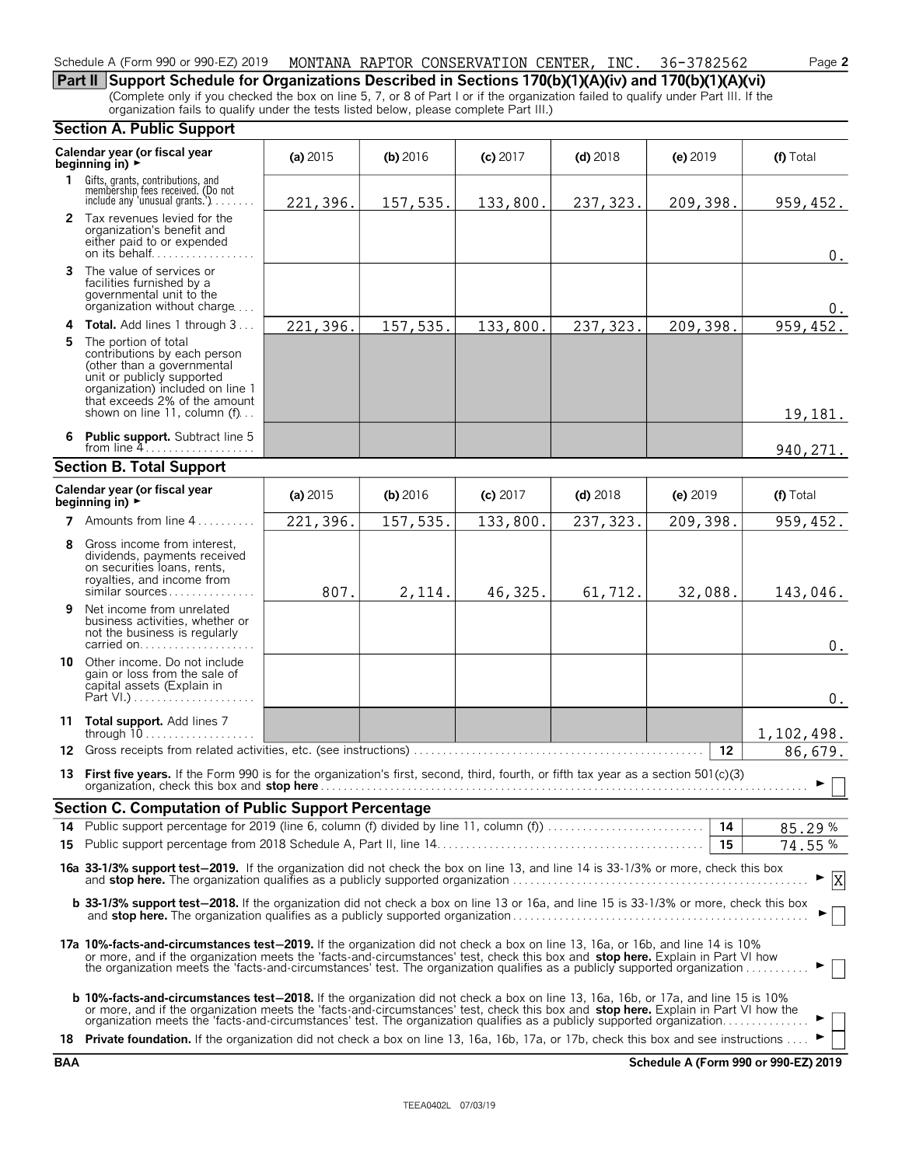#### Schedule A (Form 990 or 990-EZ) 2019 MONTANA RAPTOR CONSERVATION CENTER, INC. 36-3782562 Page **2**

**Part II Support Schedule for Organizations Described in Sections 170(b)(1)(A)(iv) and 170(b)(1)(A)(vi)** (Complete only if you checked the box on line 5, 7, or 8 of Part I or if the organization failed to qualify under Part III. If the organization fails to qualify under the tests listed below, please complete Part III.)

#### **Section A. Public Support**

|              | Calendar year (or fiscal year<br>beginning in) $\rightarrow$                                                                                                                                                                                                                                                                                                                                              | (a) 2015   | (b) 2016 | $(c)$ 2017 | $(d)$ 2018 | $(e)$ 2019      | (f) Total          |  |  |
|--------------|-----------------------------------------------------------------------------------------------------------------------------------------------------------------------------------------------------------------------------------------------------------------------------------------------------------------------------------------------------------------------------------------------------------|------------|----------|------------|------------|-----------------|--------------------|--|--|
| $\mathbf{1}$ | Gifts, grants, contributions, and<br>membership fees received. (Do not<br>include any 'unusual grants.') $\ldots$                                                                                                                                                                                                                                                                                         | 221,396.   | 157,535. | 133,800.   | 237, 323.  | 209,398.        | 959,452.           |  |  |
|              | 2 Tax revenues levied for the<br>organization's benefit and<br>either paid to or expended<br>on its behalf                                                                                                                                                                                                                                                                                                |            |          |            |            |                 | 0.                 |  |  |
|              | 3 The value of services or<br>facilities furnished by a<br>governmental unit to the<br>organization without charge                                                                                                                                                                                                                                                                                        |            |          |            |            |                 | 0.                 |  |  |
|              | 4 Total. Add lines 1 through 3                                                                                                                                                                                                                                                                                                                                                                            | 221,396.   | 157,535. | 133,800.   | 237, 323.  | 209,398.        | 959,452.           |  |  |
| 5.           | The portion of total<br>contributions by each person<br>(other than a governmental<br>unit or publicly supported<br>organization) included on line 1<br>that exceeds 2% of the amount<br>shown on line 11, column (f)                                                                                                                                                                                     |            |          |            |            |                 | 19,181.            |  |  |
|              | 6 Public support. Subtract line 5<br>from line $4$                                                                                                                                                                                                                                                                                                                                                        |            |          |            |            |                 | 940, 271.          |  |  |
|              | <b>Section B. Total Support</b>                                                                                                                                                                                                                                                                                                                                                                           |            |          |            |            |                 |                    |  |  |
|              | Calendar year (or fiscal year<br>beginning in) $\rightarrow$                                                                                                                                                                                                                                                                                                                                              | (a) $2015$ | (b) 2016 | $(c)$ 2017 | $(d)$ 2018 | (e) $2019$      | (f) Total          |  |  |
|              | 7 Amounts from line 4                                                                                                                                                                                                                                                                                                                                                                                     | 221,396.   | 157,535. | 133,800.   | 237, 323.  | 209,398.        | 959, 452.          |  |  |
|              | 8 Gross income from interest,<br>dividends, payments received<br>on securities loans, rents,<br>royalties, and income from<br>$similar$ sources                                                                                                                                                                                                                                                           | 807.       | 2,114.   | 46,325.    | 61,712.    | 32,088.         | 143,046.           |  |  |
| 9            | Net income from unrelated<br>business activities, whether or<br>not the business is regularly<br>carried on                                                                                                                                                                                                                                                                                               |            |          |            |            |                 | $\boldsymbol{0}$ . |  |  |
| 10           | Other income. Do not include<br>gain or loss from the sale of<br>capital assets (Explain in                                                                                                                                                                                                                                                                                                               |            |          |            |            |                 | $0$ .              |  |  |
|              | 11 Total support. Add lines 7                                                                                                                                                                                                                                                                                                                                                                             |            |          |            |            |                 | 1,102,498.         |  |  |
|              |                                                                                                                                                                                                                                                                                                                                                                                                           |            |          |            |            | 12 <sup>°</sup> | 86,679.            |  |  |
|              | 13 First five years. If the Form 990 is for the organization's first, second, third, fourth, or fifth tax year as a section 501(c)(3)                                                                                                                                                                                                                                                                     |            |          |            |            |                 |                    |  |  |
|              | <b>Section C. Computation of Public Support Percentage</b>                                                                                                                                                                                                                                                                                                                                                |            |          |            |            |                 |                    |  |  |
|              |                                                                                                                                                                                                                                                                                                                                                                                                           |            |          |            |            | 14              | 85.29%             |  |  |
|              | - 15<br>74.55%                                                                                                                                                                                                                                                                                                                                                                                            |            |          |            |            |                 |                    |  |  |
|              | 16a 33-1/3% support test-2019. If the organization did not check the box on line 13, and line 14 is 33-1/3% or more, check this box<br> X                                                                                                                                                                                                                                                                 |            |          |            |            |                 |                    |  |  |
|              | b 33-1/3% support test-2018. If the organization did not check a box on line 13 or 16a, and line 15 is 33-1/3% or more, check this box                                                                                                                                                                                                                                                                    |            |          |            |            |                 |                    |  |  |
|              | 17a 10%-facts-and-circumstances test-2019. If the organization did not check a box on line 13, 16a, or 16b, and line 14 is 10%<br>or more, and if the organization meets the 'facts-and-circumstances' test, check this box and stop here. Explain in Part VI how<br>the organization meets the 'facts-and-circumstances' test. The organization qualifies as a publicly supported organization           |            |          |            |            |                 |                    |  |  |
|              | <b>b 10%-facts-and-circumstances test-2018.</b> If the organization did not check a box on line 13, 16a, 16b, or 17a, and line 15 is 10%<br>or more, and if the organization meets the 'facts-and-circumstances' test, check this box and stop here. Explain in Part VI how the<br>organization meets the 'facts-and-circumstances' test. The organization qualifies as a publicly supported organization |            |          |            |            |                 |                    |  |  |
|              | 18 Private foundation. If the organization did not check a box on line 13, 16a, 16b, 17a, or 17b, check this box and see instructions                                                                                                                                                                                                                                                                     |            |          |            |            |                 |                    |  |  |

**BAA Schedule A (Form 990 or 990-EZ) 2019**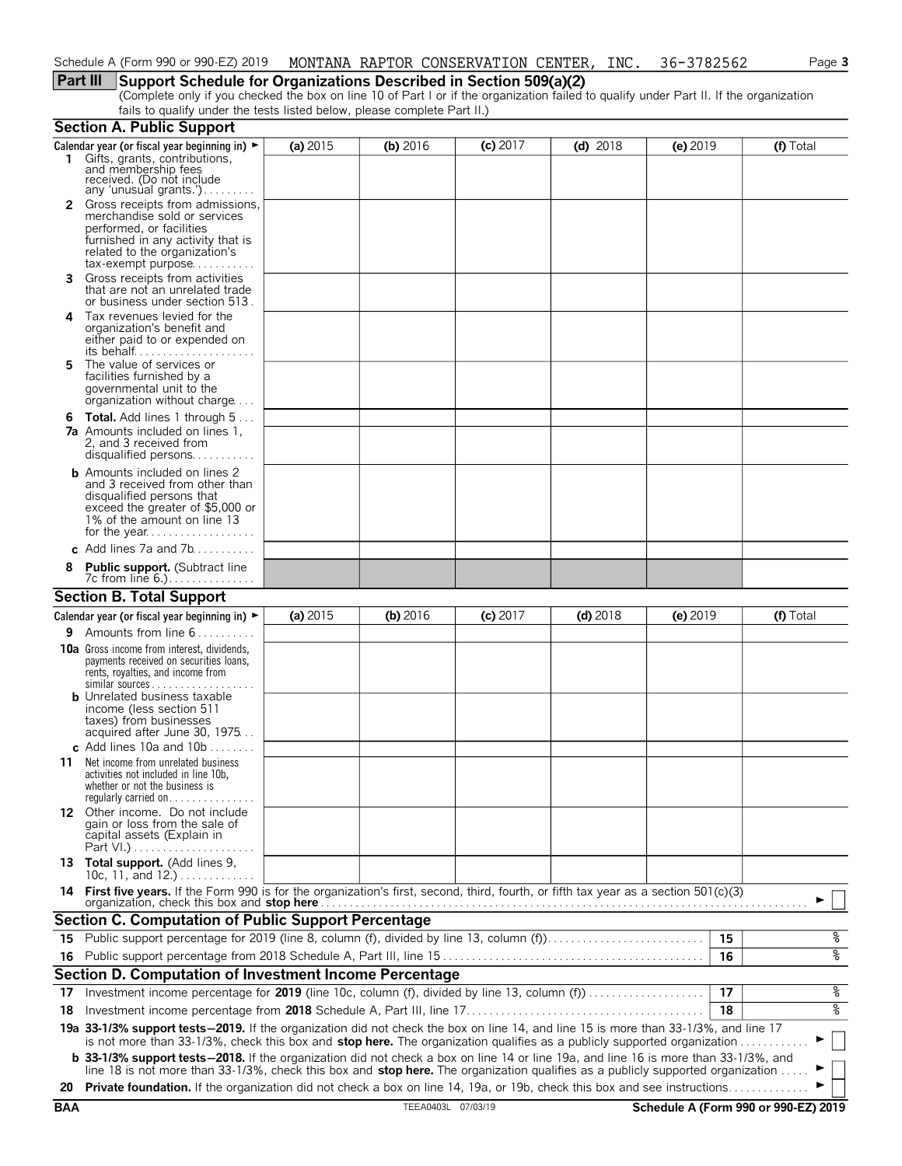#### **Part III Support Schedule for Organizations Described in Section 509(a)(2)**

(Complete only if you checked the box on line 10 of Part I or if the organization failed to qualify under Part II. If the organization fails to qualify under the tests listed below, please complete Part II.)

|            | <b>Section A. Public Support</b>                                                                                                                                                                                                                                               |          |                    |            |            |                                      |           |
|------------|--------------------------------------------------------------------------------------------------------------------------------------------------------------------------------------------------------------------------------------------------------------------------------|----------|--------------------|------------|------------|--------------------------------------|-----------|
|            | Calendar year (or fiscal year beginning in) $\blacktriangleright$<br>1 Gifts, grants, contributions, and membership fees<br>received. (Do not include                                                                                                                          | (a) 2015 | (b) 2016           | $(c)$ 2017 | $(d)$ 2018 | (e) 2019                             | (f) Total |
|            | any 'unusual grants.')<br><b>2</b> Gross receipts from admissions,<br>merchandise sold or services<br>performed, or facilities<br>furnished in any activity that is<br>related to the organization's<br>$tax\text{-}exempt$ purpose                                            |          |                    |            |            |                                      |           |
| 3          | Gross receipts from activities<br>that are not an unrelated trade<br>or business under section 513.                                                                                                                                                                            |          |                    |            |            |                                      |           |
| 4          | Tax revenues levied for the<br>organization's benefit and<br>either paid to or expended on<br>its behalf                                                                                                                                                                       |          |                    |            |            |                                      |           |
| 5          | The value of services or<br>facilities furnished by a<br>governmental unit to the<br>organization without charge                                                                                                                                                               |          |                    |            |            |                                      |           |
|            | <b>6 Total.</b> Add lines 1 through 5<br><b>7a</b> Amounts included on lines 1,<br>2, and 3 received from<br>disqualified persons                                                                                                                                              |          |                    |            |            |                                      |           |
|            | <b>b</b> Amounts included on lines 2<br>and 3 received from other than<br>disqualified persons that<br>exceed the greater of \$5,000 or<br>1% of the amount on line 13                                                                                                         |          |                    |            |            |                                      |           |
|            | c Add lines 7a and $7b$                                                                                                                                                                                                                                                        |          |                    |            |            |                                      |           |
|            | <b>Public support.</b> (Subtract line<br>7c from line 6.).                                                                                                                                                                                                                     |          |                    |            |            |                                      |           |
|            | <b>Section B. Total Support</b>                                                                                                                                                                                                                                                |          |                    |            |            |                                      |           |
|            | Calendar year (or fiscal year beginning in) $\blacktriangleright$                                                                                                                                                                                                              | (a) 2015 | (b) $2016$         | $(c)$ 2017 | $(d)$ 2018 | $(e)$ 2019                           | (f) Total |
|            | <b>9</b> Amounts from line $6 \ldots \ldots$                                                                                                                                                                                                                                   |          |                    |            |            |                                      |           |
|            | <b>10a</b> Gross income from interest, dividends,<br>payments received on securities loans,<br>rents, royalties, and income from<br>$similar$ sources<br><b>b</b> Unrelated business taxable<br>income (less section 511                                                       |          |                    |            |            |                                      |           |
|            | taxes) from businesses<br>acquired after June 30, 1975<br>c Add lines 10a and 10b                                                                                                                                                                                              |          |                    |            |            |                                      |           |
| 11         | Net income from unrelated business<br>activities not included in line 10b,<br>whether or not the business is<br>regularly carried on                                                                                                                                           |          |                    |            |            |                                      |           |
|            | 12 Other income. Do not include<br>gain or loss from the sale of<br>capital assets (Explain in                                                                                                                                                                                 |          |                    |            |            |                                      |           |
|            | 13 Total support. (Add lines 9,<br>10c, 11, and 12.)                                                                                                                                                                                                                           |          |                    |            |            |                                      |           |
|            | 14 First five years. If the Form 990 is for the organization's first, second, third, fourth, or fifth tax year as a section 501(c)(3)<br>organization, check this box and stop here.                                                                                           |          |                    |            |            |                                      |           |
|            | Section C. Computation of Public Support Percentage                                                                                                                                                                                                                            |          |                    |            |            |                                      |           |
| 15         | Public support percentage for 2019 (line 8, column (f), divided by line 13, column (f)                                                                                                                                                                                         |          |                    |            |            | 15                                   | နွ        |
| 16         |                                                                                                                                                                                                                                                                                |          |                    |            |            | 16                                   | ್ಠಿ       |
|            | Section D. Computation of Investment Income Percentage                                                                                                                                                                                                                         |          |                    |            |            |                                      |           |
| 17         | Investment income percentage for 2019 (line 10c, column (f), divided by line 13, column (f))                                                                                                                                                                                   |          |                    |            |            | 17                                   | %         |
| 18         |                                                                                                                                                                                                                                                                                |          |                    |            |            | 18                                   | ४         |
|            | 19a 33-1/3% support tests-2019. If the organization did not check the box on line 14, and line 15 is more than 33-1/3%, and line 17<br>is not more than 33-1/3%, check this box and stop here. The organization qualifies as a publicly supported organization                 |          |                    |            |            |                                      |           |
|            | <b>b</b> 33-1/3% support tests-2018. If the organization did not check a box on line 14 or line 19a, and line 16 is more than 33-1/3%, and<br>line 18 is not more than 33-1/3%, check this box and stop here. The organization qualifies as a publicly supported organization. |          |                    |            |            |                                      |           |
| 20         | <b>Private foundation.</b> If the organization did not check a box on line 14, 19a, or 19b, check this box and see instructions.                                                                                                                                               |          |                    |            |            |                                      |           |
| <b>BAA</b> |                                                                                                                                                                                                                                                                                |          | TEEA0403L 07/03/19 |            |            | Schedule A (Form 990 or 990-EZ) 2019 |           |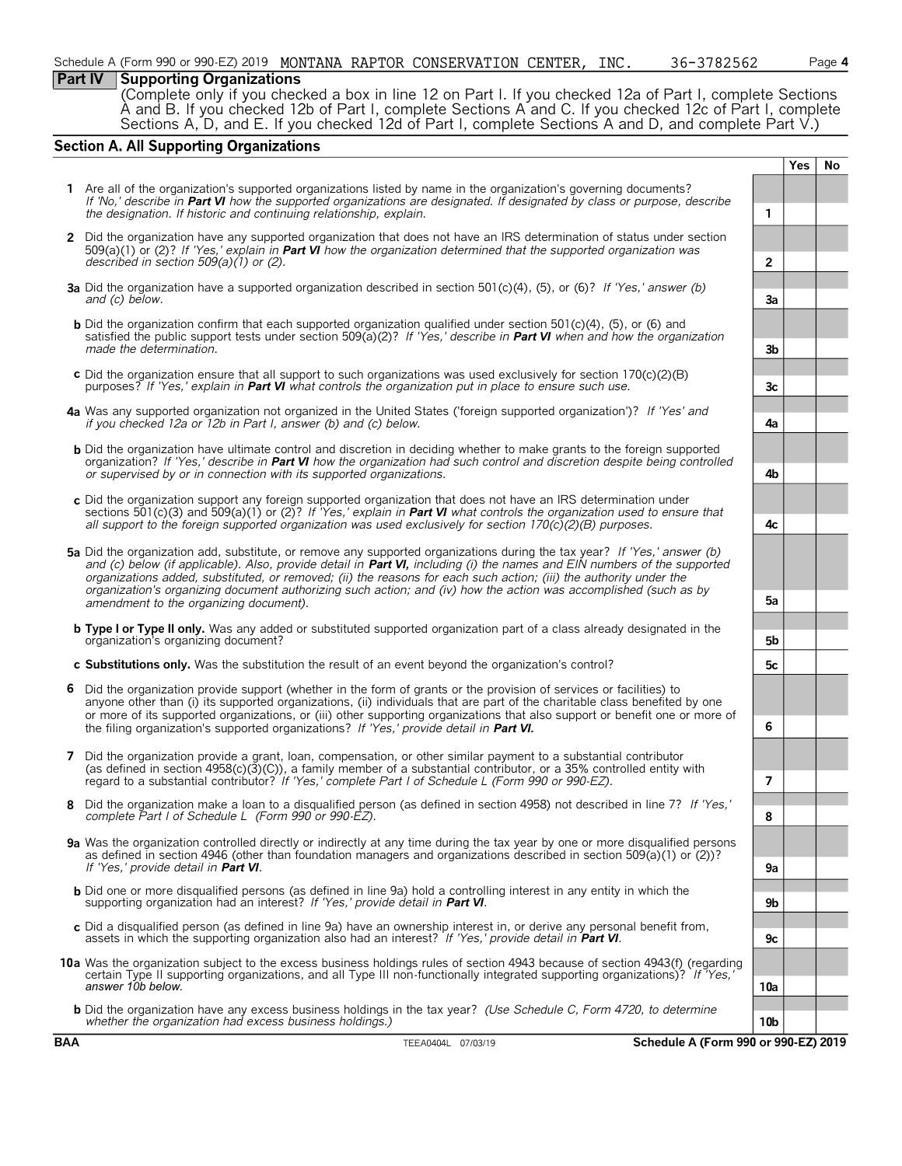### **Part IV Supporting Organizations**

(Complete only if you checked a box in line 12 on Part I. If you checked 12a of Part I, complete Sections A and B. If you checked 12b of Part I, complete Sections A and C. If you checked 12c of Part I, complete Sections A, D, and E. If you checked 12d of Part I, complete Sections A and D, and complete Part V.)

#### **Section A. All Supporting Organizations**

|     |                                                                                                                                                                                                                                                                                                                                                                                                                                                                                                |                | <b>Yes</b> | No |  |  |
|-----|------------------------------------------------------------------------------------------------------------------------------------------------------------------------------------------------------------------------------------------------------------------------------------------------------------------------------------------------------------------------------------------------------------------------------------------------------------------------------------------------|----------------|------------|----|--|--|
|     | 1 Are all of the organization's supported organizations listed by name in the organization's governing documents?<br>If 'No,' describe in Part VI how the supported organizations are designated. If designated by class or purpose, describe<br>the designation. If historic and continuing relationship, explain.                                                                                                                                                                            | 1              |            |    |  |  |
|     | 2 Did the organization have any supported organization that does not have an IRS determination of status under section<br>509(a)(1) or (2)? If 'Yes,' explain in <b>Part VI</b> how the organization determined that the supported organization was<br>described in section $509(a)(1)$ or (2).                                                                                                                                                                                                | $\overline{2}$ |            |    |  |  |
|     | <b>3a</b> Did the organization have a supported organization described in section $501(c)(4)$ , (5), or (6)? If 'Yes,' answer (b)<br>and (c) below.                                                                                                                                                                                                                                                                                                                                            | За             |            |    |  |  |
|     | <b>b</b> Did the organization confirm that each supported organization qualified under section 501(c)(4), (5), or (6) and<br>satisfied the public support tests under section 509(a)(2)? If 'Yes,' describe in Part VI when and how the organization<br>made the determination.                                                                                                                                                                                                                | 3b             |            |    |  |  |
|     | c Did the organization ensure that all support to such organizations was used exclusively for section $170(c)(2)(B)$<br>purposes? If 'Yes,' explain in Part VI what controls the organization put in place to ensure such use.                                                                                                                                                                                                                                                                 | Зc             |            |    |  |  |
|     | 4a Was any supported organization not organized in the United States ('foreign supported organization')? If 'Yes' and<br>if you checked 12a or 12b in Part I, answer (b) and (c) below.                                                                                                                                                                                                                                                                                                        | 4a             |            |    |  |  |
|     | <b>b</b> Did the organization have ultimate control and discretion in deciding whether to make grants to the foreign supported<br>organization? If 'Yes,' describe in Part VI how the organization had such control and discretion despite being controlled<br>or supervised by or in connection with its supported organizations.                                                                                                                                                             | 4b             |            |    |  |  |
|     | c Did the organization support any foreign supported organization that does not have an IRS determination under<br>sections 501(c)(3) and 509(a)(1) or (2)? If 'Yes,' explain in <b>Part VI</b> what controls the organization used to ensure that<br>all support to the foreign supported organization was used exclusively for section $170(c)(2)(B)$ purposes.                                                                                                                              | 4с             |            |    |  |  |
|     | 5a Did the organization add, substitute, or remove any supported organizations during the tax year? If 'Yes,' answer (b)<br>and (c) below (if applicable). Also, provide detail in Part VI, including (i) the names and EIN numbers of the supported<br>organizations added, substituted, or removed; (ii) the reasons for each such action; (iii) the authority under the<br>organization's organizing document authorizing such action; and (iv) how the action was accomplished (such as by |                |            |    |  |  |
|     | amendment to the organizing document).                                                                                                                                                                                                                                                                                                                                                                                                                                                         |                |            |    |  |  |
|     | <b>b</b> Type I or Type II only. Was any added or substituted supported organization part of a class already designated in the<br>organization's organizing document?                                                                                                                                                                                                                                                                                                                          | 5b             |            |    |  |  |
|     | c Substitutions only. Was the substitution the result of an event beyond the organization's control?                                                                                                                                                                                                                                                                                                                                                                                           | 5c             |            |    |  |  |
|     | 6 Did the organization provide support (whether in the form of grants or the provision of services or facilities) to<br>anyone other than (i) its supported organizations, (ii) individuals that are part of the charitable class benefited by one<br>or more of its supported organizations, or (iii) other supporting organizations that also support or benefit one or more of<br>the filing organization's supported organizations? If 'Yes,' provide detail in Part VI.                   | 6              |            |    |  |  |
|     | 7 Did the organization provide a grant, loan, compensation, or other similar payment to a substantial contributor<br>(as defined in section $4958(c)(3)(C)$ ), a family member of a substantial contributor, or a 35% controlled entity with<br>regard to a substantial contributor? If 'Yes,' complete Part I of Schedule L (Form 990 or 990-EZ).                                                                                                                                             | 7              |            |    |  |  |
| 8   | Did the organization make a loan to a disqualified person (as defined in section 4958) not described in line 7? If 'Yes,'<br>complete Part I of Schedule L (Form 990 or 990-EZ).                                                                                                                                                                                                                                                                                                               | 8              |            |    |  |  |
|     | 9a Was the organization controlled directly or indirectly at any time during the tax year by one or more disqualified persons<br>as defined in section 4946 (other than foundation managers and organizations described in section 509(a)(1) or (2))?<br>If 'Yes,' provide detail in Part VI.                                                                                                                                                                                                  | 9a             |            |    |  |  |
|     | <b>b</b> Did one or more disqualified persons (as defined in line 9a) hold a controlling interest in any entity in which the<br>supporting organization had an interest? If 'Yes,' provide detail in <b>Part VI</b> .                                                                                                                                                                                                                                                                          | 9b             |            |    |  |  |
|     | c Did a disqualified person (as defined in line 9a) have an ownership interest in, or derive any personal benefit from,<br>assets in which the supporting organization also had an interest? If 'Yes,' provide detail in Part VI.                                                                                                                                                                                                                                                              | 9с             |            |    |  |  |
|     | 10a Was the organization subject to the excess business holdings rules of section 4943 because of section 4943(f) (regarding<br>certain Type II supporting organizations, and all Type III non-functionally integrated supporting organizations)? If Yes,<br>answer 10b below.                                                                                                                                                                                                                 | 10a            |            |    |  |  |
|     | <b>b</b> Did the organization have any excess business holdings in the tax year? (Use Schedule C, Form 4720, to determine<br>whether the organization had excess business holdings.)                                                                                                                                                                                                                                                                                                           | 10b            |            |    |  |  |
| BAA | Schedule A (Form 990 or 990-EZ) 2019<br>TEEA0404L 07/03/19                                                                                                                                                                                                                                                                                                                                                                                                                                     |                |            |    |  |  |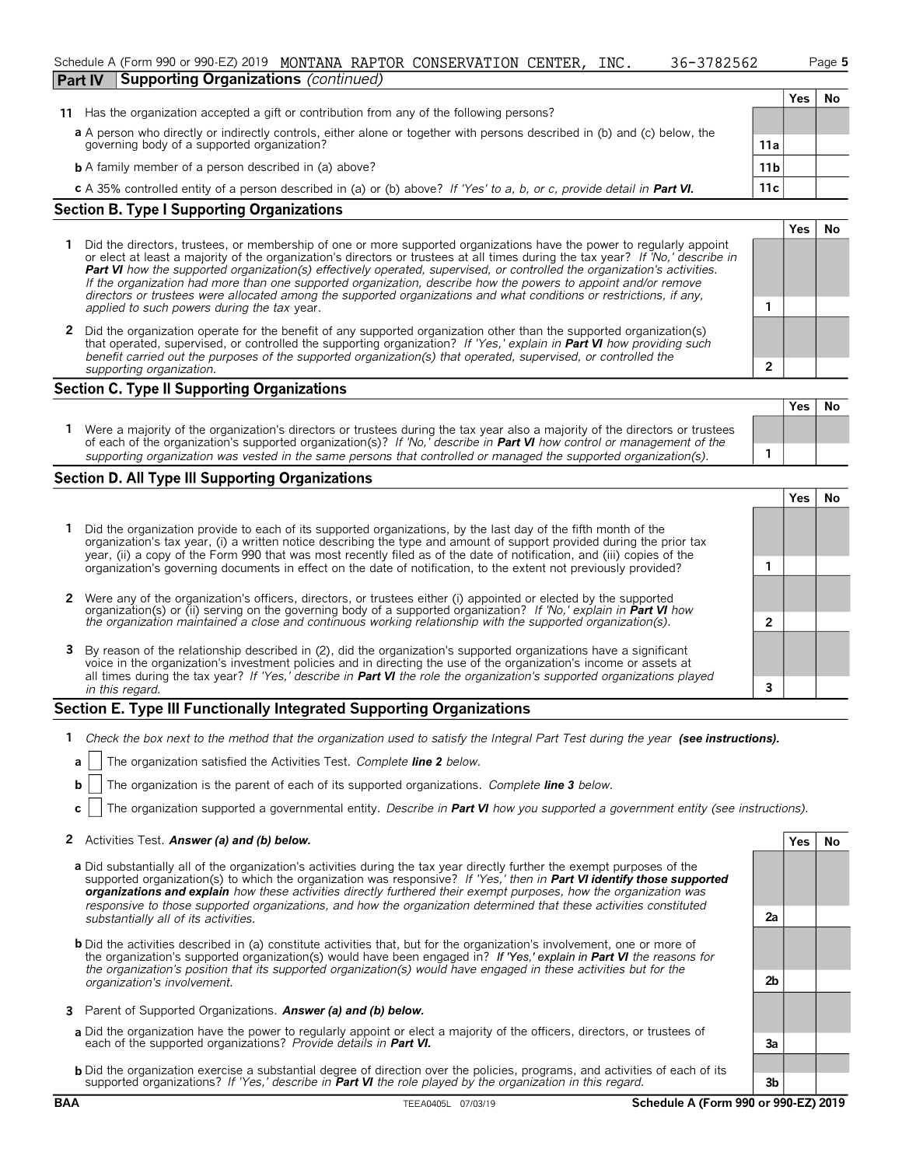#### Schedule A (Form 990 or 990-EZ) 2019 MONTANA RAPTOR CONSERVATION CENTER, INC. 36-3782562 Page 5 **Part IV Supporting Organizations** *(continued)*

| 62 | Pa |
|----|----|
|    |    |

**Yes No**

**Yes No**

|                                                                                                                           |                 | Yes | No |
|---------------------------------------------------------------------------------------------------------------------------|-----------------|-----|----|
| 11 Has the organization accepted a gift or contribution from any of the following persons?                                |                 |     |    |
| a A person who directly or indirectly controls, either alone or together with persons described in (b) and (c) below, the |                 |     |    |
| governing body of a supported organization?                                                                               | 11a             |     |    |
| <b>b</b> A family member of a person described in (a) above?                                                              | 11 <sub>b</sub> |     |    |
| c A 35% controlled entity of a person described in (a) or (b) above? If 'Yes' to a, b, or c, provide detail in Part VI.   | 11c             |     |    |

#### **Section B. Type I Supporting Organizations**

- **1** Did the directors, trustees, or membership of one or more supported organizations have the power to regularly appoint or elect at least a majority of the organization's directors or trustees at all times during the tax year? *If 'No,' describe in Part VI how the supported organization(s) effectively operated, supervised, or controlled the organization's activities. If the organization had more than one supported organization, describe how the powers to appoint and/or remove directors or trustees were allocated among the supported organizations and what conditions or restrictions, if any, applied to such powers during the tax* year. **1**
- **2** Did the organization operate for the benefit of any supported organization other than the supported organization(s) that operated, supervised, or controlled the supporting organization? *If 'Yes,' explain in Part VI how providing such benefit carried out the purposes of the supported organization(s) that operated, supervised, or controlled the supporting organization.* **2**

#### **Section C. Type II Supporting Organizations**

| Were a majority of the organization's directors or trustees during the tax year also a majority of the directors or trustees<br>of each of the organization's supported organization(s)? If 'No,' describe in <b>Part VI</b> how control or management of the |                                                                                                                  | Tesi | - IVO |
|---------------------------------------------------------------------------------------------------------------------------------------------------------------------------------------------------------------------------------------------------------------|------------------------------------------------------------------------------------------------------------------|------|-------|
|                                                                                                                                                                                                                                                               |                                                                                                                  |      |       |
|                                                                                                                                                                                                                                                               | supporting organization was vested in the same persons that controlled or managed the supported organization(s). |      |       |

#### **Section D. All Type III Supporting Organizations**

|                                                                                                                                                                                                                                                                                                                                                                      |  | res |  |  |  |
|----------------------------------------------------------------------------------------------------------------------------------------------------------------------------------------------------------------------------------------------------------------------------------------------------------------------------------------------------------------------|--|-----|--|--|--|
| 1 Did the organization provide to each of its supported organizations, by the last day of the fifth month of the<br>organization's tax year, (i) a written notice describing the type and amount of support provided during the prior tax<br>year, (ii) a copy of the Form 990 that was most recently filed as of the date of notification, and (iii) copies of the  |  |     |  |  |  |
| organization's governing documents in effect on the date of notification, to the extent not previously provided?                                                                                                                                                                                                                                                     |  |     |  |  |  |
| 2 Were any of the organization's officers, directors, or trustees either (i) appointed or elected by the supported                                                                                                                                                                                                                                                   |  |     |  |  |  |
| organization(s) or (ii) serving on the governing body of a supported organization? If No, explain in <b>Part VI</b> how<br>the organization maintained a close and continuous working relationship with the supported organization(s).                                                                                                                               |  |     |  |  |  |
| 3 By reason of the relationship described in (2), did the organization's supported organizations have a significant<br>voice in the organization's investment policies and in directing the use of the organization's income or assets at<br>all times during the tax year? If 'Yes,' describe in Part VI the role the organization's supported organizations played |  |     |  |  |  |
| in this regard.                                                                                                                                                                                                                                                                                                                                                      |  |     |  |  |  |

#### **Section E. Type III Functionally Integrated Supporting Organizations**

- **1** *Check the box next to the method that the organization used to satisfy the Integral Part Test during the year (see instructions).*
- **a** The organization satisfied the Activities Test. *Complete line 2 below.*
- **b** The organization is the parent of each of its supported organizations. *Complete line 3 below.*
- **c** The organization supported a governmental entity. *Describe in Part VI how you supported a government entity (see instructions).*

#### **2** Activities Test. **Answer (a) and (b) below. Yes No**

- **a** Did substantially all of the organization's activities during the tax year directly further the exempt purposes of the supported organization(s) to which the organization was responsive? *If 'Yes,' then in Part VI identify those supported organizations and explain how these activities directly furthered their exempt purposes, how the organization was responsive to those supported organizations, and how the organization determined that these activities constituted substantially all of its activities.* **2a**
- **b** Did the activities described in (a) constitute activities that, but for the organization's involvement, one or more of the organization's supported organization(s) would have been engaged in? *If 'Yes,' explain in Part VI the reasons for the organization's position that its supported organization(s) would have engaged in these activities but for the organization's involvement.* **2b**
- **3** Parent of Supported Organizations. *Answer (a) and (b) below.*
- **a** Did the organization have the power to regularly appoint or elect a majority of the officers, directors, or trustees of each of the supported organizations? *Provide details in Part VI.* **3a**
- **b** Did the organization exercise a substantial degree of direction over the policies, programs, and activities of each of its supported organizations? *If 'Yes,' describe in Part VI the role played by the organization in this regard.* **3b**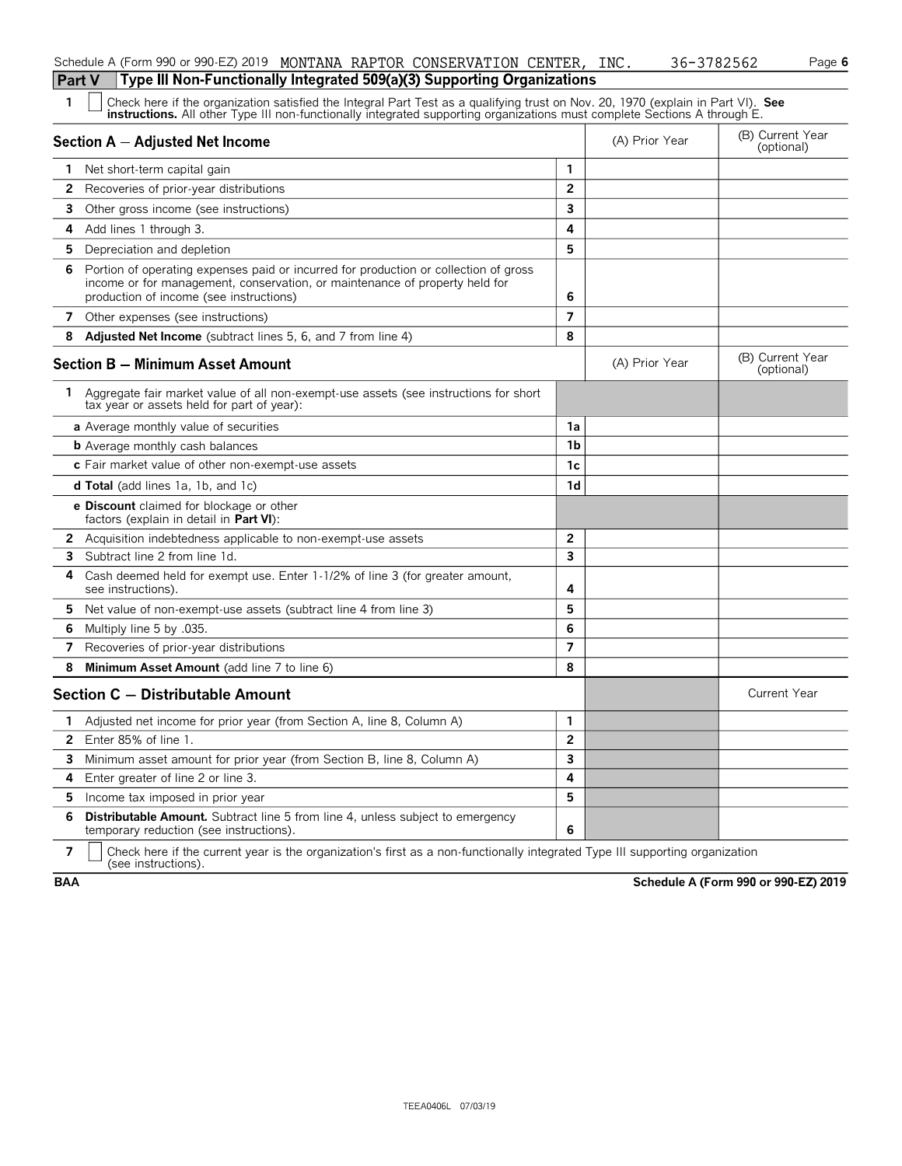| <b>Part V</b> | Type III Non-Functionally Integrated 509(a)(3) Supporting Organizations                                                                                                                                                                                       |                |                |                                |  |  |  |  |  |  |
|---------------|---------------------------------------------------------------------------------------------------------------------------------------------------------------------------------------------------------------------------------------------------------------|----------------|----------------|--------------------------------|--|--|--|--|--|--|
| 1             | Check here if the organization satisfied the Integral Part Test as a qualifying trust on Nov. 20, 1970 (explain in Part VI). See<br>instructions. All other Type III non-functionally integrated supporting organizations must complete Sections A through E. |                |                |                                |  |  |  |  |  |  |
|               | <b>Section A - Adjusted Net Income</b>                                                                                                                                                                                                                        |                | (A) Prior Year | (B) Current Year<br>(optional) |  |  |  |  |  |  |
| 1.            | Net short-term capital gain                                                                                                                                                                                                                                   | 1              |                |                                |  |  |  |  |  |  |
| 2             | Recoveries of prior-year distributions                                                                                                                                                                                                                        | $\overline{2}$ |                |                                |  |  |  |  |  |  |
| 3             | Other gross income (see instructions)                                                                                                                                                                                                                         | 3              |                |                                |  |  |  |  |  |  |
| 4             | Add lines 1 through 3.                                                                                                                                                                                                                                        | 4              |                |                                |  |  |  |  |  |  |
| 5.            | Depreciation and depletion                                                                                                                                                                                                                                    | 5              |                |                                |  |  |  |  |  |  |
| 6             | Portion of operating expenses paid or incurred for production or collection of gross<br>income or for management, conservation, or maintenance of property held for<br>production of income (see instructions)                                                | 6              |                |                                |  |  |  |  |  |  |
|               | 7 Other expenses (see instructions)                                                                                                                                                                                                                           | $\overline{7}$ |                |                                |  |  |  |  |  |  |
| 8             | Adjusted Net Income (subtract lines 5, 6, and 7 from line 4)                                                                                                                                                                                                  | 8              |                |                                |  |  |  |  |  |  |
|               | <b>Section B - Minimum Asset Amount</b>                                                                                                                                                                                                                       |                | (A) Prior Year | (B) Current Year<br>(optional) |  |  |  |  |  |  |
| 1.            | Aggregate fair market value of all non-exempt-use assets (see instructions for short<br>tax year or assets held for part of year):                                                                                                                            |                |                |                                |  |  |  |  |  |  |
|               | a Average monthly value of securities                                                                                                                                                                                                                         | 1a             |                |                                |  |  |  |  |  |  |
|               | <b>b</b> Average monthly cash balances                                                                                                                                                                                                                        | 1b             |                |                                |  |  |  |  |  |  |
|               | c Fair market value of other non-exempt-use assets                                                                                                                                                                                                            | 1c             |                |                                |  |  |  |  |  |  |
|               | <b>d Total</b> (add lines 1a, 1b, and 1c)                                                                                                                                                                                                                     | 1d             |                |                                |  |  |  |  |  |  |
|               | e Discount claimed for blockage or other<br>factors (explain in detail in Part VI):                                                                                                                                                                           |                |                |                                |  |  |  |  |  |  |
|               | 2 Acquisition indebtedness applicable to non-exempt-use assets                                                                                                                                                                                                | $\overline{2}$ |                |                                |  |  |  |  |  |  |
| 3             | Subtract line 2 from line 1d.                                                                                                                                                                                                                                 | 3              |                |                                |  |  |  |  |  |  |
| 4             | Cash deemed held for exempt use. Enter 1-1/2% of line 3 (for greater amount,<br>see instructions).                                                                                                                                                            | 4              |                |                                |  |  |  |  |  |  |
| 5             | Net value of non-exempt-use assets (subtract line 4 from line 3)                                                                                                                                                                                              | 5              |                |                                |  |  |  |  |  |  |
| 6             | Multiply line 5 by .035.                                                                                                                                                                                                                                      | 6              |                |                                |  |  |  |  |  |  |
| 7             | Recoveries of prior-year distributions                                                                                                                                                                                                                        | $\overline{7}$ |                |                                |  |  |  |  |  |  |
| 8             | Minimum Asset Amount (add line 7 to line 6)                                                                                                                                                                                                                   | 8              |                |                                |  |  |  |  |  |  |
|               | Section C - Distributable Amount                                                                                                                                                                                                                              |                |                | <b>Current Year</b>            |  |  |  |  |  |  |
| 1.            | Adjusted net income for prior year (from Section A, line 8, Column A)                                                                                                                                                                                         | 1              |                |                                |  |  |  |  |  |  |
| 2             | Enter 85% of line 1.                                                                                                                                                                                                                                          | 2              |                |                                |  |  |  |  |  |  |
| 3.            | Minimum asset amount for prior year (from Section B, line 8, Column A)                                                                                                                                                                                        | 3              |                |                                |  |  |  |  |  |  |
| 4             | Enter greater of line 2 or line 3.                                                                                                                                                                                                                            | 4              |                |                                |  |  |  |  |  |  |
| 5.            | Income tax imposed in prior year                                                                                                                                                                                                                              | 5              |                |                                |  |  |  |  |  |  |
| 6             | <b>Distributable Amount.</b> Subtract line 5 from line 4, unless subject to emergency<br>temporary reduction (see instructions).                                                                                                                              | 6              |                |                                |  |  |  |  |  |  |
|               |                                                                                                                                                                                                                                                               |                |                |                                |  |  |  |  |  |  |

Schedule A (Form 990 or 990-EZ) 2019 MONTANA RAPTOR CONSERVATION CENTER, INC. 36-3782562 Page 6

**7**  $\parallel$  Check here if the current year is the organization's first as a non-functionally integrated Type III supporting organization (see instructions).

**BAA Schedule A (Form 990 or 990-EZ) 2019**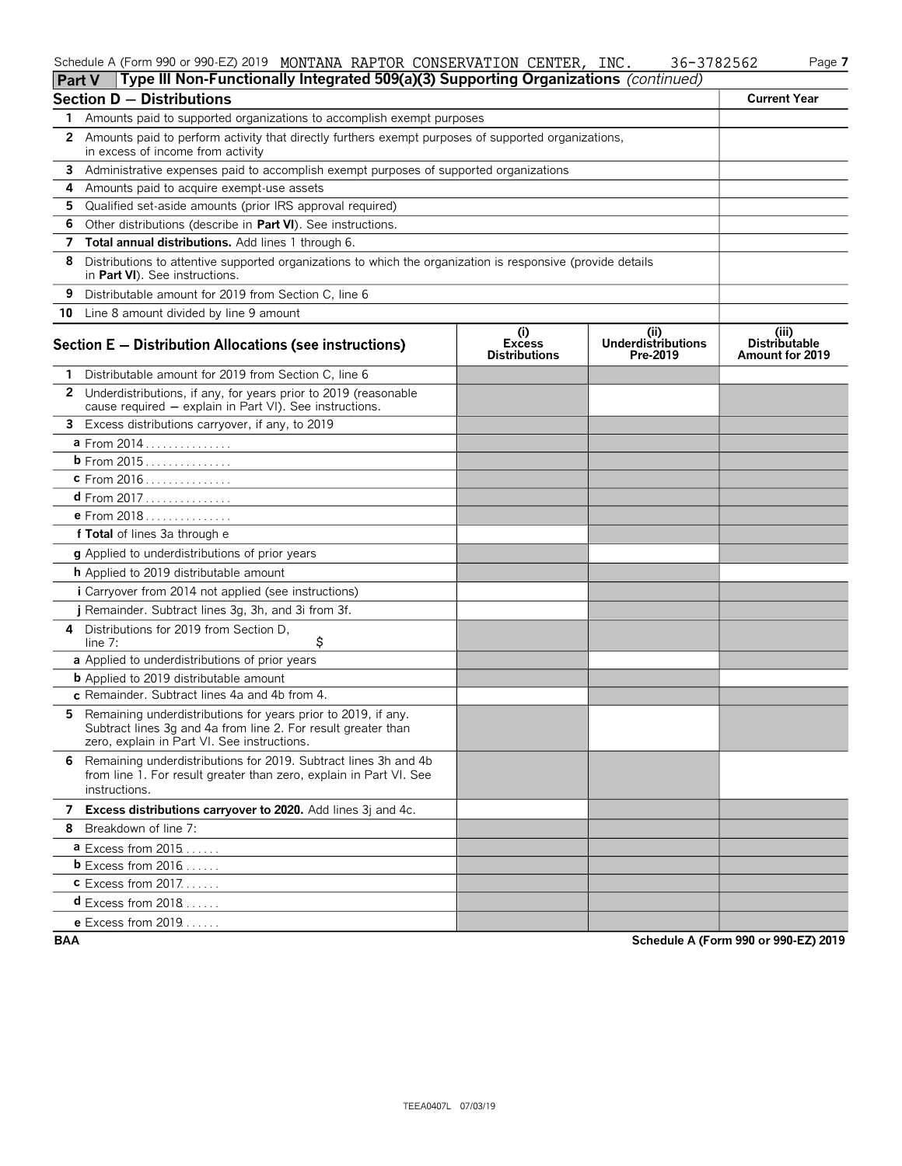#### Schedule A (Form 990 or 990-EZ) 2019 MONTANA RAPTOR CONSERVATION CENTER,INC. 36-3782562 Page **7** MONTANA RAPTOR CONSERVATION CENTER, INC. 36-3782562

| Part V | Type III Non-Functionally Integrated 509(a)(3) Supporting Organizations (continued)                                                                                           |                                              |                                       |                                                         |
|--------|-------------------------------------------------------------------------------------------------------------------------------------------------------------------------------|----------------------------------------------|---------------------------------------|---------------------------------------------------------|
|        | <b>Section D - Distributions</b>                                                                                                                                              |                                              |                                       | <b>Current Year</b>                                     |
| 1.     | Amounts paid to supported organizations to accomplish exempt purposes                                                                                                         |                                              |                                       |                                                         |
|        | 2 Amounts paid to perform activity that directly furthers exempt purposes of supported organizations,<br>in excess of income from activity                                    |                                              |                                       |                                                         |
| 3      | Administrative expenses paid to accomplish exempt purposes of supported organizations                                                                                         |                                              |                                       |                                                         |
| 4      | Amounts paid to acquire exempt-use assets                                                                                                                                     |                                              |                                       |                                                         |
| 5.     | Qualified set-aside amounts (prior IRS approval required)                                                                                                                     |                                              |                                       |                                                         |
| 6      | Other distributions (describe in Part VI). See instructions.                                                                                                                  |                                              |                                       |                                                         |
| 7      | Total annual distributions. Add lines 1 through 6.                                                                                                                            |                                              |                                       |                                                         |
| 8      | Distributions to attentive supported organizations to which the organization is responsive (provide details<br>in Part VI). See instructions.                                 |                                              |                                       |                                                         |
| 9      | Distributable amount for 2019 from Section C, line 6                                                                                                                          |                                              |                                       |                                                         |
| 10     | Line 8 amount divided by line 9 amount                                                                                                                                        |                                              |                                       |                                                         |
|        | <b>Section E - Distribution Allocations (see instructions)</b>                                                                                                                | (i)<br><b>Excess</b><br><b>Distributions</b> | (i)<br>Underdistributions<br>Pre-2019 | (iii)<br><b>Distributable</b><br><b>Amount for 2019</b> |
| 1.     | Distributable amount for 2019 from Section C, line 6                                                                                                                          |                                              |                                       |                                                         |
|        | 2 Underdistributions, if any, for years prior to 2019 (reasonable<br>cause required - explain in Part VI). See instructions.                                                  |                                              |                                       |                                                         |
|        | 3 Excess distributions carryover, if any, to 2019                                                                                                                             |                                              |                                       |                                                         |
|        | a From 2014                                                                                                                                                                   |                                              |                                       |                                                         |
|        | <b>b</b> From 2015                                                                                                                                                            |                                              |                                       |                                                         |
|        | <b>c</b> From 2016                                                                                                                                                            |                                              |                                       |                                                         |
|        | <b>d</b> From 2017                                                                                                                                                            |                                              |                                       |                                                         |
|        | <b>e</b> From $2018$                                                                                                                                                          |                                              |                                       |                                                         |
|        | f Total of lines 3a through e                                                                                                                                                 |                                              |                                       |                                                         |
|        | <b>g</b> Applied to underdistributions of prior years                                                                                                                         |                                              |                                       |                                                         |
|        | <b>h</b> Applied to 2019 distributable amount                                                                                                                                 |                                              |                                       |                                                         |
|        | i Carryover from 2014 not applied (see instructions)                                                                                                                          |                                              |                                       |                                                         |
|        | j Remainder. Subtract lines 3g, 3h, and 3i from 3f.                                                                                                                           |                                              |                                       |                                                         |
|        | 4 Distributions for 2019 from Section D.<br>\$<br>line $7:$                                                                                                                   |                                              |                                       |                                                         |
|        | a Applied to underdistributions of prior years                                                                                                                                |                                              |                                       |                                                         |
|        | <b>b</b> Applied to 2019 distributable amount                                                                                                                                 |                                              |                                       |                                                         |
|        | c Remainder. Subtract lines 4a and 4b from 4.                                                                                                                                 |                                              |                                       |                                                         |
| 5.     | Remaining underdistributions for years prior to 2019, if any.<br>Subtract lines 3g and 4a from line 2. For result greater than<br>zero, explain in Part VI. See instructions. |                                              |                                       |                                                         |
| 6      | Remaining underdistributions for 2019. Subtract lines 3h and 4b<br>from line 1. For result greater than zero, explain in Part VI. See<br>instructions.                        |                                              |                                       |                                                         |
|        | 7 Excess distributions carryover to 2020. Add lines 3j and 4c.                                                                                                                |                                              |                                       |                                                         |
|        | 8 Breakdown of line 7:                                                                                                                                                        |                                              |                                       |                                                         |
|        | a Excess from 2015                                                                                                                                                            |                                              |                                       |                                                         |
|        | <b>b</b> Excess from $2016$                                                                                                                                                   |                                              |                                       |                                                         |
|        | $c$ Excess from 2017                                                                                                                                                          |                                              |                                       |                                                         |
|        | $d$ Excess from 2018                                                                                                                                                          |                                              |                                       |                                                         |
|        | <b>e</b> Excess from 2019                                                                                                                                                     |                                              |                                       |                                                         |

**BAA Schedule A (Form 990 or 990-EZ) 2019**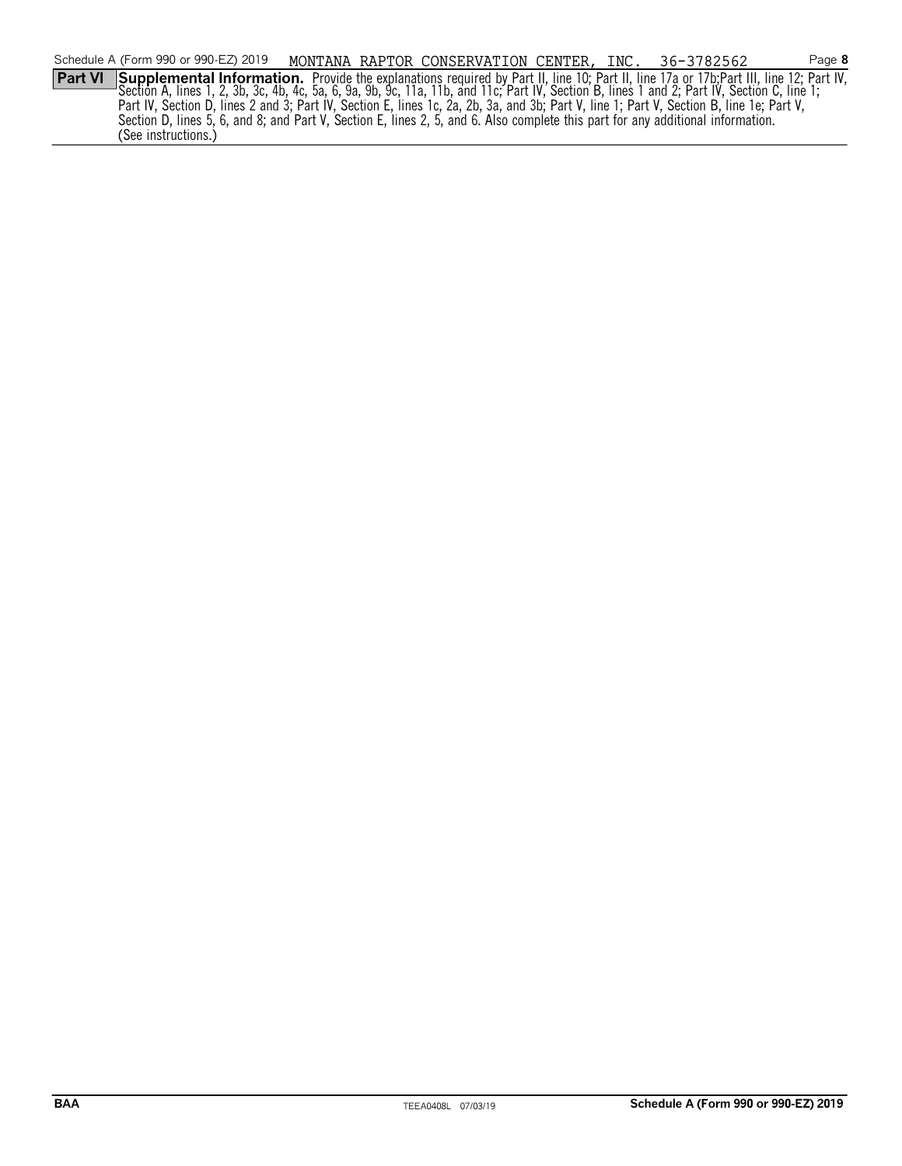|                | Schedule A (Form 990 or 990-EZ) 2019                                                                                                                                                                                           |  | MONTANA RAPTOR CONSERVATION CENTER, INC. 36-3782562 |  | Page 8 |
|----------------|--------------------------------------------------------------------------------------------------------------------------------------------------------------------------------------------------------------------------------|--|-----------------------------------------------------|--|--------|
| <b>Part VI</b> | Supplemental Information. Provide the explanations required by Part II, line 10; Part II, line 17a or 17b; Part III, line 12; Part IV, Section A, lines 1, 2, 3b, 3c, 4b, 4c, 5a, 6, 9a, 9b, 9c, 11a, 11b, and 1: Part IV, Sec |  |                                                     |  |        |
|                |                                                                                                                                                                                                                                |  |                                                     |  |        |
|                | Part IV, Section D, lines 2 and 3; Part IV, Section E, lines 1c, 2a, 2b, 3a, and 3b; Part V, line 1; Part V, Section B, line 1e; Part V,                                                                                       |  |                                                     |  |        |
|                | Section D, lines 5, 6, and 8; and Part V, Section E, lines 2, 5, and 6. Also complete this part for any additional information.                                                                                                |  |                                                     |  |        |
|                | (See instructions.)                                                                                                                                                                                                            |  |                                                     |  |        |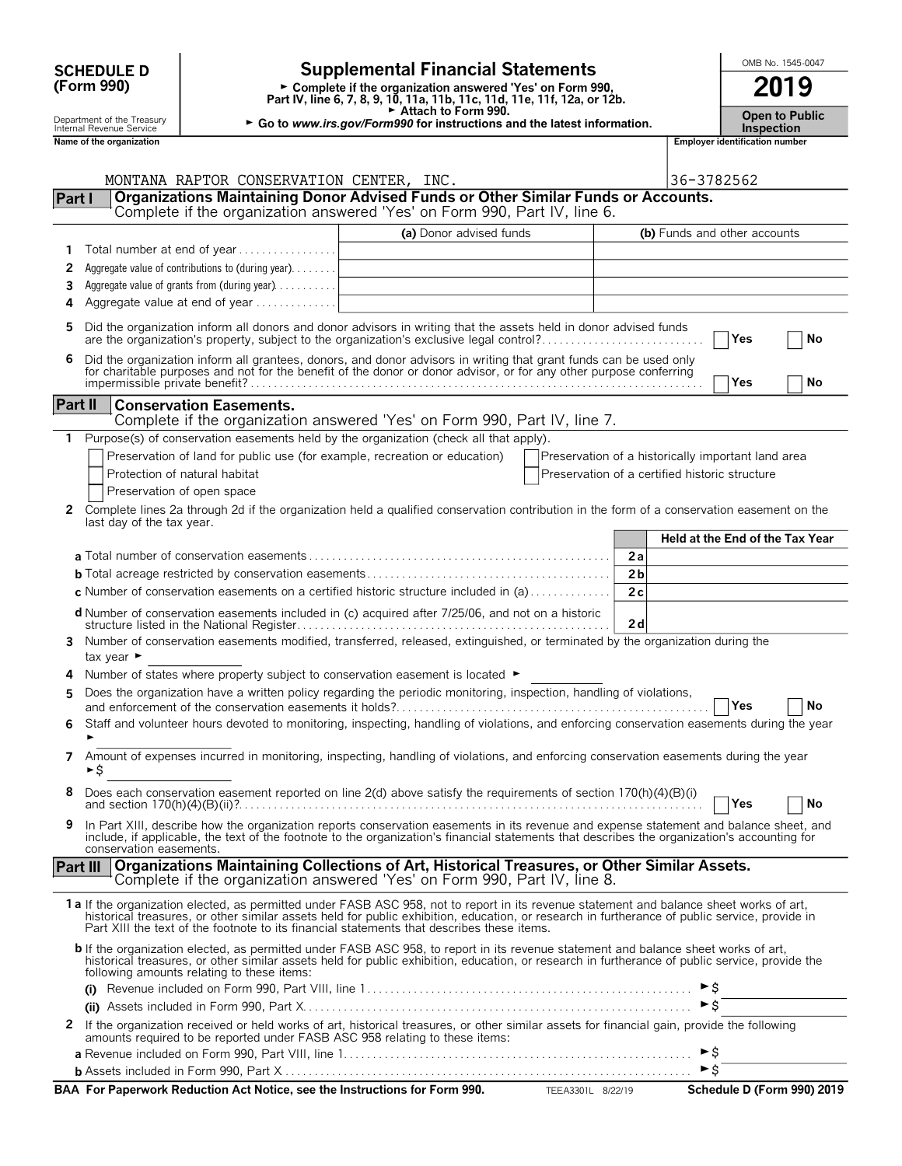|                | <b>SCHEDULE D</b>                                      |                                                                                |                                                                                                                                                                                                                                                                                                                                                                                        | OMB No. 1545-0047                                  |                     |                                            |  |    |
|----------------|--------------------------------------------------------|--------------------------------------------------------------------------------|----------------------------------------------------------------------------------------------------------------------------------------------------------------------------------------------------------------------------------------------------------------------------------------------------------------------------------------------------------------------------------------|----------------------------------------------------|---------------------|--------------------------------------------|--|----|
|                | (Form 990)                                             |                                                                                | <b>Supplemental Financial Statements</b><br>► Complete if the organization answered 'Yes' on Form 990,<br>Part IV, line 6, 7, 8, 9, 10, 11a, 11b, 11c, 11d, 11e, 11f, 12a, or 12b.                                                                                                                                                                                                     |                                                    | 2019                |                                            |  |    |
|                | Department of the Treasury<br>Internal Revenue Service |                                                                                | Attach to Form 990.<br>► Go to www.irs.gov/Form990 for instructions and the latest information.                                                                                                                                                                                                                                                                                        |                                                    |                     | <b>Open to Public</b><br><b>Inspection</b> |  |    |
|                | Name of the organization                               |                                                                                |                                                                                                                                                                                                                                                                                                                                                                                        |                                                    |                     | <b>Employer identification number</b>      |  |    |
|                |                                                        | MONTANA RAPTOR CONSERVATION CENTER, INC.                                       |                                                                                                                                                                                                                                                                                                                                                                                        |                                                    | 36-3782562          |                                            |  |    |
| Part I         |                                                        |                                                                                | Organizations Maintaining Donor Advised Funds or Other Similar Funds or Accounts.                                                                                                                                                                                                                                                                                                      |                                                    |                     |                                            |  |    |
|                |                                                        |                                                                                | Complete if the organization answered 'Yes' on Form 990, Part IV, line 6.                                                                                                                                                                                                                                                                                                              |                                                    |                     |                                            |  |    |
|                |                                                        |                                                                                | (a) Donor advised funds                                                                                                                                                                                                                                                                                                                                                                |                                                    |                     | (b) Funds and other accounts               |  |    |
| 1              |                                                        | Total number at end of year                                                    | the control of the control of the control of the control of the control of                                                                                                                                                                                                                                                                                                             |                                                    |                     |                                            |  |    |
| 2              |                                                        | Aggregate value of contributions to (during year).                             | <u> 1989 - Johann Stein, mars an deus Frankryk († 1958)</u>                                                                                                                                                                                                                                                                                                                            |                                                    |                     |                                            |  |    |
| 3<br>4         |                                                        | Aggregate value of grants from (during year)<br>Aggregate value at end of year | <u> 1980 - Johann Barbara, martin amerikan basar da</u>                                                                                                                                                                                                                                                                                                                                |                                                    |                     |                                            |  |    |
|                |                                                        |                                                                                |                                                                                                                                                                                                                                                                                                                                                                                        |                                                    |                     |                                            |  |    |
| 5              |                                                        |                                                                                | Did the organization inform all donors and donor advisors in writing that the assets held in donor advised funds<br>are the organization's property, subject to the organization's exclusive legal control?                                                                                                                                                                            |                                                    |                     | Yes                                        |  | No |
| 6              |                                                        |                                                                                | Did the organization inform all grantees, donors, and donor advisors in writing that grant funds can be used only<br>for charitable purposes and not for the benefit of the donor or donor advisor, or for any other purpose conferring                                                                                                                                                |                                                    |                     |                                            |  |    |
|                |                                                        |                                                                                |                                                                                                                                                                                                                                                                                                                                                                                        |                                                    |                     | Yes                                        |  | No |
| <b>Part II</b> |                                                        | <b>Conservation Easements.</b>                                                 |                                                                                                                                                                                                                                                                                                                                                                                        |                                                    |                     |                                            |  |    |
|                |                                                        |                                                                                | Complete if the organization answered 'Yes' on Form 990, Part IV, line 7.                                                                                                                                                                                                                                                                                                              |                                                    |                     |                                            |  |    |
| 1              |                                                        |                                                                                | Purpose(s) of conservation easements held by the organization (check all that apply).<br>Preservation of land for public use (for example, recreation or education)                                                                                                                                                                                                                    | Preservation of a historically important land area |                     |                                            |  |    |
|                |                                                        | Protection of natural habitat                                                  |                                                                                                                                                                                                                                                                                                                                                                                        | Preservation of a certified historic structure     |                     |                                            |  |    |
|                |                                                        | Preservation of open space                                                     |                                                                                                                                                                                                                                                                                                                                                                                        |                                                    |                     |                                            |  |    |
| 2              |                                                        |                                                                                | Complete lines 2a through 2d if the organization held a qualified conservation contribution in the form of a conservation easement on the                                                                                                                                                                                                                                              |                                                    |                     |                                            |  |    |
|                | last day of the tax year.                              |                                                                                |                                                                                                                                                                                                                                                                                                                                                                                        |                                                    |                     |                                            |  |    |
|                |                                                        |                                                                                |                                                                                                                                                                                                                                                                                                                                                                                        |                                                    |                     | <b>Held at the End of the Tax Year</b>     |  |    |
|                |                                                        |                                                                                |                                                                                                                                                                                                                                                                                                                                                                                        | 2a                                                 |                     |                                            |  |    |
|                |                                                        |                                                                                | c Number of conservation easements on a certified historic structure included in $(a)$                                                                                                                                                                                                                                                                                                 | 2 <sub>b</sub><br>2c                               |                     |                                            |  |    |
|                |                                                        |                                                                                | d Number of conservation easements included in (c) acquired after 7/25/06, and not on a historic                                                                                                                                                                                                                                                                                       |                                                    |                     |                                            |  |    |
| 3              |                                                        |                                                                                | Number of conservation easements modified, transferred, released, extinguished, or terminated by the organization during the                                                                                                                                                                                                                                                           | 2d                                                 |                     |                                            |  |    |
|                | tax year ►                                             |                                                                                |                                                                                                                                                                                                                                                                                                                                                                                        |                                                    |                     |                                            |  |    |
| 4              |                                                        |                                                                                | Number of states where property subject to conservation easement is located ►                                                                                                                                                                                                                                                                                                          |                                                    |                     |                                            |  |    |
| 5              |                                                        |                                                                                | Does the organization have a written policy regarding the periodic monitoring, inspection, handling of violations,                                                                                                                                                                                                                                                                     |                                                    |                     |                                            |  |    |
|                |                                                        |                                                                                |                                                                                                                                                                                                                                                                                                                                                                                        |                                                    |                     | Yes                                        |  | No |
| 6              |                                                        |                                                                                | Staff and volunteer hours devoted to monitoring, inspecting, handling of violations, and enforcing conservation easements during the year                                                                                                                                                                                                                                              |                                                    |                     |                                            |  |    |
| 7              | ►S                                                     |                                                                                | Amount of expenses incurred in monitoring, inspecting, handling of violations, and enforcing conservation easements during the year                                                                                                                                                                                                                                                    |                                                    |                     |                                            |  |    |
| 8              |                                                        |                                                                                | Does each conservation easement reported on line 2(d) above satisfy the requirements of section 170(h)(4)(B)(i)                                                                                                                                                                                                                                                                        |                                                    |                     | Yes                                        |  | No |
| 9              | conservation easements.                                |                                                                                | In Part XIII, describe how the organization reports conservation easements in its revenue and expense statement and balance sheet, and<br>include, if applicable, the text of the footnote to the organization's financial statements that describes the organization's accounting for                                                                                                 |                                                    |                     |                                            |  |    |
|                |                                                        |                                                                                | Part III Organizations Maintaining Collections of Art, Historical Treasures, or Other Similar Assets.                                                                                                                                                                                                                                                                                  |                                                    |                     |                                            |  |    |
|                |                                                        |                                                                                | Complete if the organization answered 'Yes' on Form 990, Part IV, line 8.                                                                                                                                                                                                                                                                                                              |                                                    |                     |                                            |  |    |
|                |                                                        |                                                                                | 1a If the organization elected, as permitted under FASB ASC 958, not to report in its revenue statement and balance sheet works of art,<br>historical treasures, or other similar assets held for public exhibition, education, or research in furtherance of public service, provide in<br>Part XIII the text of the footnote to its financial statements that describes these items. |                                                    |                     |                                            |  |    |
|                |                                                        | following amounts relating to these items:                                     | b If the organization elected, as permitted under FASB ASC 958, to report in its revenue statement and balance sheet works of art,<br>historical treasures, or other similar assets held for public exhibition, education, or research in furtherance of public service, provide the                                                                                                   |                                                    |                     |                                            |  |    |
|                |                                                        |                                                                                |                                                                                                                                                                                                                                                                                                                                                                                        |                                                    | ► \$                |                                            |  |    |
|                |                                                        |                                                                                |                                                                                                                                                                                                                                                                                                                                                                                        |                                                    | $\triangleright$ \$ |                                            |  |    |
|                |                                                        |                                                                                | 2 If the organization received or held works of art, historical treasures, or other similar assets for financial gain, provide the following<br>amounts required to be reported under FASB ASC 958 relating to these items:                                                                                                                                                            |                                                    |                     |                                            |  |    |
|                |                                                        |                                                                                |                                                                                                                                                                                                                                                                                                                                                                                        |                                                    | ►\$                 |                                            |  |    |
|                |                                                        |                                                                                |                                                                                                                                                                                                                                                                                                                                                                                        |                                                    |                     |                                            |  |    |

| BAA For Paperwork Reduction Act Notice, see the Instructions for Form 990. | TEEA3301L 8/22/19 | Schedule D (Form 990) 2019 |
|----------------------------------------------------------------------------|-------------------|----------------------------|
|                                                                            |                   |                            |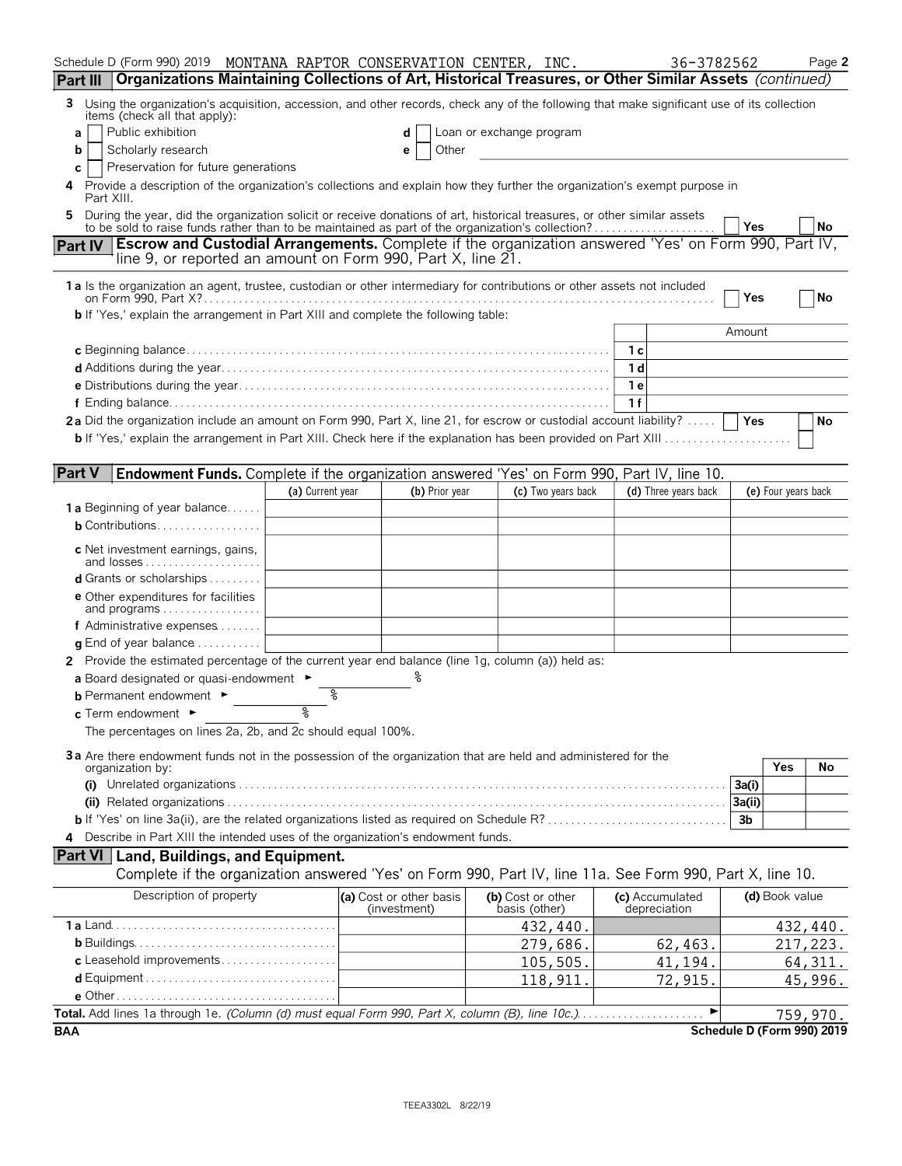| Schedule D (Form 990) 2019 MONTANA RAPTOR CONSERVATION CENTER, INC.                                                                                                                                                               |                  |                                         |                          |                    | 36-3782562                      |            |                     | Page 2                                 |
|-----------------------------------------------------------------------------------------------------------------------------------------------------------------------------------------------------------------------------------|------------------|-----------------------------------------|--------------------------|--------------------|---------------------------------|------------|---------------------|----------------------------------------|
| Organizations Maintaining Collections of Art, Historical Treasures, or Other Similar Assets (continued)<br>Part III                                                                                                               |                  |                                         |                          |                    |                                 |            |                     |                                        |
| Using the organization's acquisition, accession, and other records, check any of the following that make significant use of its collection<br>3                                                                                   |                  |                                         |                          |                    |                                 |            |                     |                                        |
| items (check all that apply):<br>Public exhibition<br>a                                                                                                                                                                           |                  | d                                       | Loan or exchange program |                    |                                 |            |                     |                                        |
| Scholarly research<br>b                                                                                                                                                                                                           |                  | Other<br>е                              |                          |                    |                                 |            |                     |                                        |
| Preservation for future generations<br>С                                                                                                                                                                                          |                  |                                         |                          |                    |                                 |            |                     |                                        |
| Provide a description of the organization's collections and explain how they further the organization's exempt purpose in                                                                                                         |                  |                                         |                          |                    |                                 |            |                     |                                        |
| Part XIII.                                                                                                                                                                                                                        |                  |                                         |                          |                    |                                 |            |                     |                                        |
| During the year, did the organization solicit or receive donations of art, historical treasures, or other similar assets<br>5<br>to be sold to raise funds rather than to be maintained as part of the organization's collection? |                  |                                         |                          |                    |                                 | Yes        |                     | No                                     |
| <b>Escrow and Custodial Arrangements.</b> Complete if the organization answered 'Yes' on Form 990, Part IV,<br><b>Part IV</b>                                                                                                     |                  |                                         |                          |                    |                                 |            |                     |                                        |
| line 9, or reported an amount on Form 990, Part X, line 21.                                                                                                                                                                       |                  |                                         |                          |                    |                                 |            |                     |                                        |
| 1a Is the organization an agent, trustee, custodian or other intermediary for contributions or other assets not included                                                                                                          |                  |                                         |                          |                    |                                 |            |                     |                                        |
|                                                                                                                                                                                                                                   |                  |                                         |                          |                    |                                 | Yes        |                     | No                                     |
| b If 'Yes,' explain the arrangement in Part XIII and complete the following table:                                                                                                                                                |                  |                                         |                          |                    |                                 |            |                     |                                        |
|                                                                                                                                                                                                                                   |                  |                                         |                          |                    |                                 | Amount     |                     |                                        |
|                                                                                                                                                                                                                                   |                  |                                         |                          |                    | 1 с                             |            |                     |                                        |
|                                                                                                                                                                                                                                   |                  |                                         |                          |                    | 1 d                             |            |                     |                                        |
|                                                                                                                                                                                                                                   |                  |                                         |                          |                    | 1 e<br>1f                       |            |                     |                                        |
| 2a Did the organization include an amount on Form 990, Part X, line 21, for escrow or custodial account liability?                                                                                                                |                  |                                         |                          |                    |                                 | <b>Yes</b> |                     | No                                     |
| <b>b</b> If 'Yes,' explain the arrangement in Part XIII. Check here if the explanation has been provided on Part XIII                                                                                                             |                  |                                         |                          |                    |                                 |            |                     |                                        |
|                                                                                                                                                                                                                                   |                  |                                         |                          |                    |                                 |            |                     |                                        |
| <b>Part V</b><br><b>Endowment Funds.</b> Complete if the organization answered 'Yes' on Form 990, Part IV, line 10.                                                                                                               |                  |                                         |                          |                    |                                 |            |                     |                                        |
|                                                                                                                                                                                                                                   | (a) Current year | (b) Prior year                          |                          | (c) Two years back | (d) Three years back            |            | (e) Four years back |                                        |
| <b>1a</b> Beginning of year balance                                                                                                                                                                                               |                  |                                         |                          |                    |                                 |            |                     |                                        |
| <b>b</b> Contributions                                                                                                                                                                                                            |                  |                                         |                          |                    |                                 |            |                     |                                        |
| c Net investment earnings, gains,<br>and losses                                                                                                                                                                                   |                  |                                         |                          |                    |                                 |            |                     |                                        |
| <b>d</b> Grants or scholarships $\ldots$                                                                                                                                                                                          |                  |                                         |                          |                    |                                 |            |                     |                                        |
| <b>e</b> Other expenditures for facilities                                                                                                                                                                                        |                  |                                         |                          |                    |                                 |            |                     |                                        |
| and programs<br>f Administrative expenses                                                                                                                                                                                         |                  |                                         |                          |                    |                                 |            |                     |                                        |
| <b>q</b> End of year balance $\dots\dots\dots\dots$                                                                                                                                                                               |                  |                                         |                          |                    |                                 |            |                     |                                        |
| 2 Provide the estimated percentage of the current year end balance (line 1g, column (a)) held as:                                                                                                                                 |                  |                                         |                          |                    |                                 |            |                     |                                        |
| a Board designated or quasi-endowment $\blacktriangleright$                                                                                                                                                                       |                  |                                         |                          |                    |                                 |            |                     |                                        |
| <b>b</b> Permanent endowment $\blacktriangleright$                                                                                                                                                                                | ႜ                |                                         |                          |                    |                                 |            |                     |                                        |
| c. Term endowment $\blacktriangleright$                                                                                                                                                                                           | ž                |                                         |                          |                    |                                 |            |                     |                                        |
| The percentages on lines 2a, 2b, and 2c should equal 100%.                                                                                                                                                                        |                  |                                         |                          |                    |                                 |            |                     |                                        |
| 3a Are there endowment funds not in the possession of the organization that are held and administered for the                                                                                                                     |                  |                                         |                          |                    |                                 |            |                     |                                        |
| organization by:                                                                                                                                                                                                                  |                  |                                         |                          |                    |                                 |            | Yes                 | No                                     |
|                                                                                                                                                                                                                                   |                  |                                         |                          |                    |                                 | 3a(i)      |                     |                                        |
|                                                                                                                                                                                                                                   |                  |                                         |                          |                    |                                 | 3a(ii)     |                     |                                        |
|                                                                                                                                                                                                                                   |                  |                                         |                          |                    |                                 | 3b         |                     |                                        |
| 4 Describe in Part XIII the intended uses of the organization's endowment funds.                                                                                                                                                  |                  |                                         |                          |                    |                                 |            |                     |                                        |
| Part VI   Land, Buildings, and Equipment.                                                                                                                                                                                         |                  |                                         |                          |                    |                                 |            |                     |                                        |
| Complete if the organization answered 'Yes' on Form 990, Part IV, line 11a. See Form 990, Part X, line 10.                                                                                                                        |                  |                                         |                          |                    |                                 |            |                     |                                        |
| Description of property                                                                                                                                                                                                           |                  | (a) Cost or other basis<br>(investment) | basis (other)            | (b) Cost or other  | (c) Accumulated<br>depreciation |            | (d) Book value      |                                        |
|                                                                                                                                                                                                                                   |                  |                                         |                          | 432, 440.          |                                 |            |                     | 432,440.                               |
|                                                                                                                                                                                                                                   |                  |                                         |                          | 279,686.           | 62,463.                         |            |                     | 217,223.                               |
| c Leasehold improvements                                                                                                                                                                                                          |                  |                                         |                          | 105,505.           | 41,194.                         |            |                     | 64, 311.                               |
|                                                                                                                                                                                                                                   |                  |                                         |                          | 118, 911.          | 72,915.                         |            |                     | 45,996.                                |
| Total. Add lines 1a through 1e. (Column (d) must equal Form 990, Part X, column (B), line 10c.)                                                                                                                                   |                  |                                         |                          |                    | ►                               |            |                     |                                        |
| <b>BAA</b>                                                                                                                                                                                                                        |                  |                                         |                          |                    |                                 |            |                     | 759,970.<br>Schedule D (Form 990) 2019 |
|                                                                                                                                                                                                                                   |                  |                                         |                          |                    |                                 |            |                     |                                        |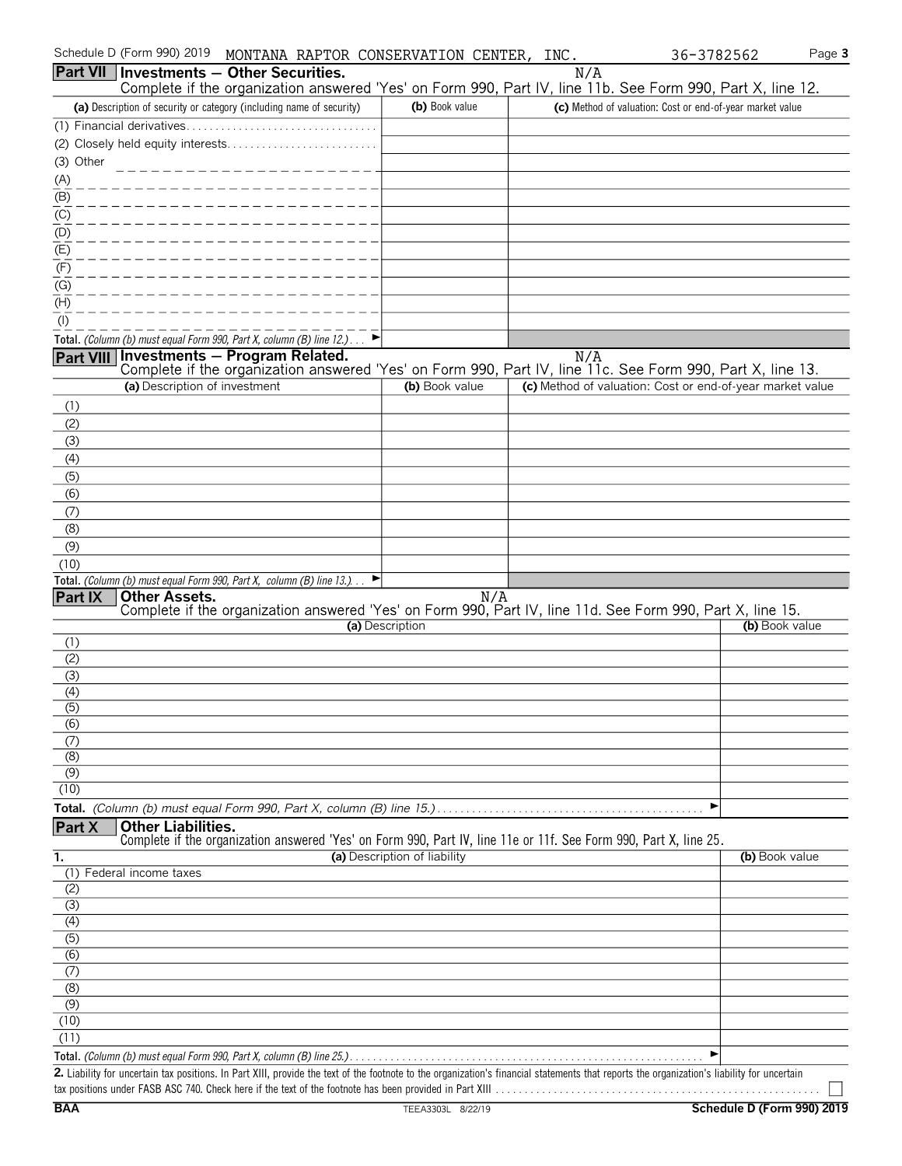|                                      | Schedule D (Form 990) 2019    | MONTANA RAPTOR CONSERVATION CENTER, INC.                                                                                                                                                    |                              |     |                                                           | 36-3782562     | Page 3 |
|--------------------------------------|-------------------------------|---------------------------------------------------------------------------------------------------------------------------------------------------------------------------------------------|------------------------------|-----|-----------------------------------------------------------|----------------|--------|
|                                      |                               | <b>Part VII Investments - Other Securities.</b><br>Complete if the organization answered 'Yes' on Form 990, Part IV, line 11b. See Form 990, Part X, line 12.                               |                              |     | N/A                                                       |                |        |
|                                      |                               | (a) Description of security or category (including name of security)                                                                                                                        | (b) Book value               |     | (c) Method of valuation: Cost or end-of-year market value |                |        |
|                                      | (1) Financial derivatives     |                                                                                                                                                                                             |                              |     |                                                           |                |        |
|                                      |                               |                                                                                                                                                                                             |                              |     |                                                           |                |        |
| (3) Other                            |                               |                                                                                                                                                                                             |                              |     |                                                           |                |        |
| (A)                                  |                               |                                                                                                                                                                                             |                              |     |                                                           |                |        |
| (B)                                  |                               |                                                                                                                                                                                             |                              |     |                                                           |                |        |
| (C)                                  |                               |                                                                                                                                                                                             |                              |     |                                                           |                |        |
| (D)                                  |                               |                                                                                                                                                                                             |                              |     |                                                           |                |        |
| $\overline{E}$                       |                               |                                                                                                                                                                                             |                              |     |                                                           |                |        |
| (F)                                  |                               |                                                                                                                                                                                             |                              |     |                                                           |                |        |
| (G)                                  |                               |                                                                                                                                                                                             |                              |     |                                                           |                |        |
| (H)                                  |                               |                                                                                                                                                                                             |                              |     |                                                           |                |        |
| $($ l $)$                            |                               |                                                                                                                                                                                             |                              |     |                                                           |                |        |
| <b>Part VIII</b>                     |                               | Total. (Column (b) must equal Form 990, Part X, column (B) line 12.)<br><b>Investments - Program Related.</b>                                                                               |                              |     | N/A                                                       |                |        |
|                                      |                               | Complete if the organization answered 'Yes' on Form 990, Part IV, line 11c. See Form 990, Part X, line 13.                                                                                  |                              |     |                                                           |                |        |
|                                      | (a) Description of investment |                                                                                                                                                                                             | (b) Book value               |     | (c) Method of valuation: Cost or end-of-year market value |                |        |
| (1)                                  |                               |                                                                                                                                                                                             |                              |     |                                                           |                |        |
| (2)                                  |                               |                                                                                                                                                                                             |                              |     |                                                           |                |        |
| (3)                                  |                               |                                                                                                                                                                                             |                              |     |                                                           |                |        |
| (4)                                  |                               |                                                                                                                                                                                             |                              |     |                                                           |                |        |
| (5)                                  |                               |                                                                                                                                                                                             |                              |     |                                                           |                |        |
| (6)                                  |                               |                                                                                                                                                                                             |                              |     |                                                           |                |        |
| (7)<br>(8)                           |                               |                                                                                                                                                                                             |                              |     |                                                           |                |        |
| (9)                                  |                               |                                                                                                                                                                                             |                              |     |                                                           |                |        |
| (10)                                 |                               |                                                                                                                                                                                             |                              |     |                                                           |                |        |
|                                      |                               | Total. (Column (b) must equal Form 990, Part X, column (B) line 13.)                                                                                                                        |                              |     |                                                           |                |        |
| <b>Part IX</b>                       | <b>Other Assets.</b>          | Complete if the organization answered 'Yes' on Form 990, Part IV, line 11d. See Form 990, Part X, line 15.                                                                                  |                              | N/A |                                                           |                |        |
|                                      |                               |                                                                                                                                                                                             | (a) Description              |     |                                                           | (b) Book value |        |
| (1)                                  |                               |                                                                                                                                                                                             |                              |     |                                                           |                |        |
| (2)                                  |                               |                                                                                                                                                                                             |                              |     |                                                           |                |        |
| (3)                                  |                               |                                                                                                                                                                                             |                              |     |                                                           |                |        |
| (4)                                  |                               |                                                                                                                                                                                             |                              |     |                                                           |                |        |
| (5)<br>(6)                           |                               |                                                                                                                                                                                             |                              |     |                                                           |                |        |
| (7)                                  |                               |                                                                                                                                                                                             |                              |     |                                                           |                |        |
| (8)                                  |                               |                                                                                                                                                                                             |                              |     |                                                           |                |        |
| (9)                                  |                               |                                                                                                                                                                                             |                              |     |                                                           |                |        |
| (10)                                 |                               |                                                                                                                                                                                             |                              |     |                                                           |                |        |
|                                      |                               |                                                                                                                                                                                             |                              |     |                                                           | ▶              |        |
| Part X                               | <b>Other Liabilities.</b>     | Complete if the organization answered 'Yes' on Form 990, Part IV, line 11e or 11f. See Form 990, Part X, line 25.                                                                           |                              |     |                                                           |                |        |
| 1.                                   |                               |                                                                                                                                                                                             | (a) Description of liability |     |                                                           | (b) Book value |        |
|                                      | (1) Federal income taxes      |                                                                                                                                                                                             |                              |     |                                                           |                |        |
| (2)                                  |                               |                                                                                                                                                                                             |                              |     |                                                           |                |        |
| $\overline{3)}$                      |                               |                                                                                                                                                                                             |                              |     |                                                           |                |        |
| (4)                                  |                               |                                                                                                                                                                                             |                              |     |                                                           |                |        |
| $\overline{(5)}$<br>$\overline{(6)}$ |                               |                                                                                                                                                                                             |                              |     |                                                           |                |        |
| (7)                                  |                               |                                                                                                                                                                                             |                              |     |                                                           |                |        |
| (8)                                  |                               |                                                                                                                                                                                             |                              |     |                                                           |                |        |
| (9)                                  |                               |                                                                                                                                                                                             |                              |     |                                                           |                |        |
| (10)                                 |                               |                                                                                                                                                                                             |                              |     |                                                           |                |        |
| (11)                                 |                               |                                                                                                                                                                                             |                              |     |                                                           |                |        |
|                                      |                               |                                                                                                                                                                                             |                              |     |                                                           |                |        |
|                                      |                               | 2. Liability for uncertain tax positions. In Part XIII, provide the text of the footnote to the organization's financial statements that reports the organization's liability for uncertain |                              |     |                                                           |                |        |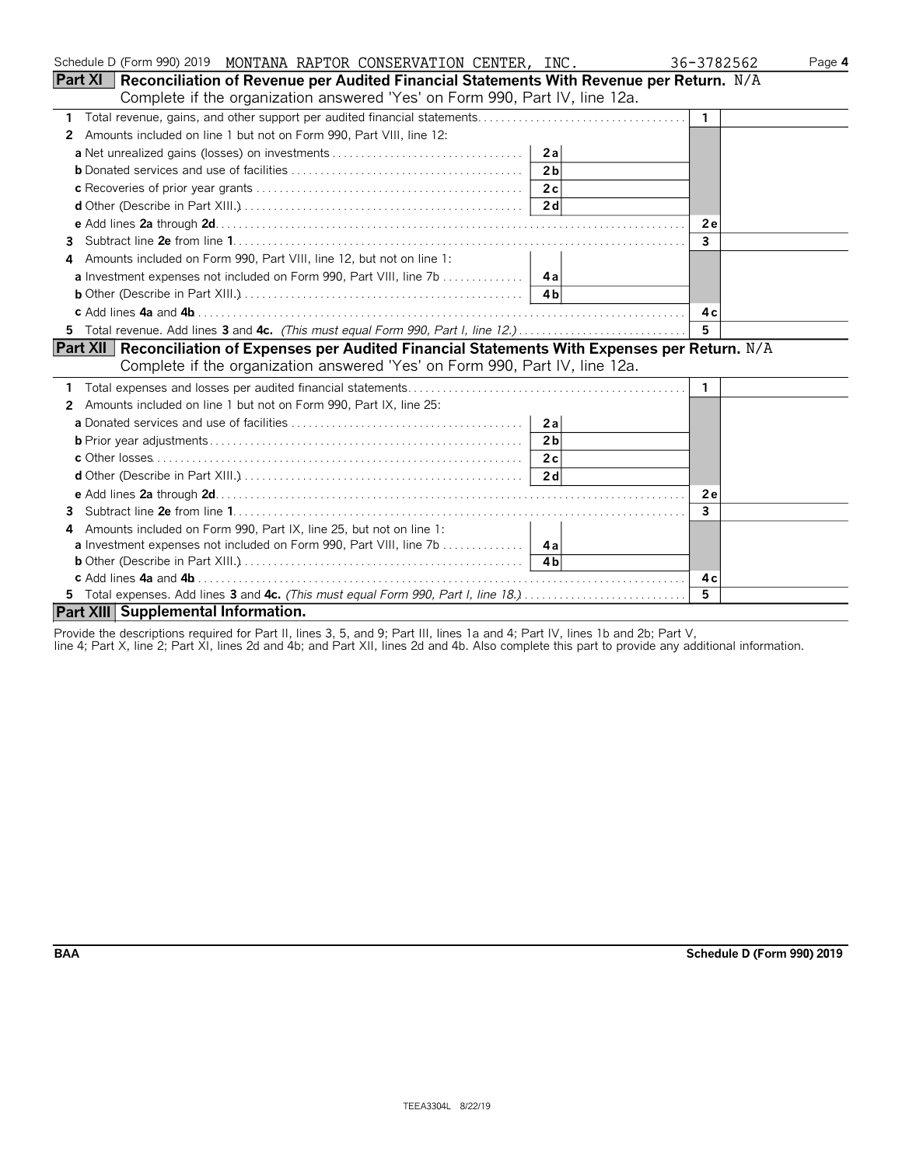| Schedule D (Form 990) 2019 MONTANA RAPTOR CONSERVATION CENTER, INC.                                  |                | 36-3782562     | Page 4 |
|------------------------------------------------------------------------------------------------------|----------------|----------------|--------|
| Reconciliation of Revenue per Audited Financial Statements With Revenue per Return. N/A<br>Part XI   |                |                |        |
| Complete if the organization answered 'Yes' on Form 990, Part IV, line 12a.                          |                |                |        |
| 1                                                                                                    |                | 1              |        |
| Amounts included on line 1 but not on Form 990, Part VIII, line 12:<br>2                             |                |                |        |
|                                                                                                      | 2a             |                |        |
|                                                                                                      | 2 <sub>b</sub> |                |        |
|                                                                                                      | 2c             |                |        |
|                                                                                                      | 2 d            |                |        |
|                                                                                                      |                | 2e             |        |
| 3                                                                                                    |                | $\overline{3}$ |        |
| Amounts included on Form 990, Part VIII, line 12, but not on line 1:<br>4                            |                |                |        |
|                                                                                                      |                |                |        |
|                                                                                                      |                |                |        |
|                                                                                                      |                | 4 c            |        |
| 5 Total revenue. Add lines 3 and 4c. (This must equal Form 990, Part I, line 12.)                    |                | 5              |        |
| Part XII   Reconciliation of Expenses per Audited Financial Statements With Expenses per Return. N/A |                |                |        |
| Complete if the organization answered 'Yes' on Form 990, Part IV, line 12a.                          |                |                |        |
|                                                                                                      |                | 1              |        |
| Amounts included on line 1 but not on Form 990, Part IX, line 25:<br>2                               |                |                |        |
|                                                                                                      | 2a             |                |        |
|                                                                                                      | 2 <sub>b</sub> |                |        |
|                                                                                                      | 2c             |                |        |
|                                                                                                      | 2d             |                |        |
|                                                                                                      |                | <b>2e</b>      |        |
| 3                                                                                                    |                | 3              |        |
| Amounts included on Form 990, Part IX, line 25, but not on line 1:<br>4                              |                |                |        |
| <b>a</b> Investment expenses not included on Form 990, Part VIII, line 7b 4a                         |                |                |        |
|                                                                                                      |                |                |        |
|                                                                                                      |                | 4 c            |        |
| 5 Total expenses. Add lines 3 and 4c. (This must equal Form 990, Part I, line 18.)                   |                | 5.             |        |
| Part XIII Supplemental Information.                                                                  |                |                |        |

Provide the descriptions required for Part II, lines 3, 5, and 9; Part III, lines 1a and 4; Part IV, lines 1b and 2b; Part V,

line 4; Part X, line 2; Part XI, lines 2d and 4b; and Part XII, lines 2d and 4b. Also complete this part to provide any additional information.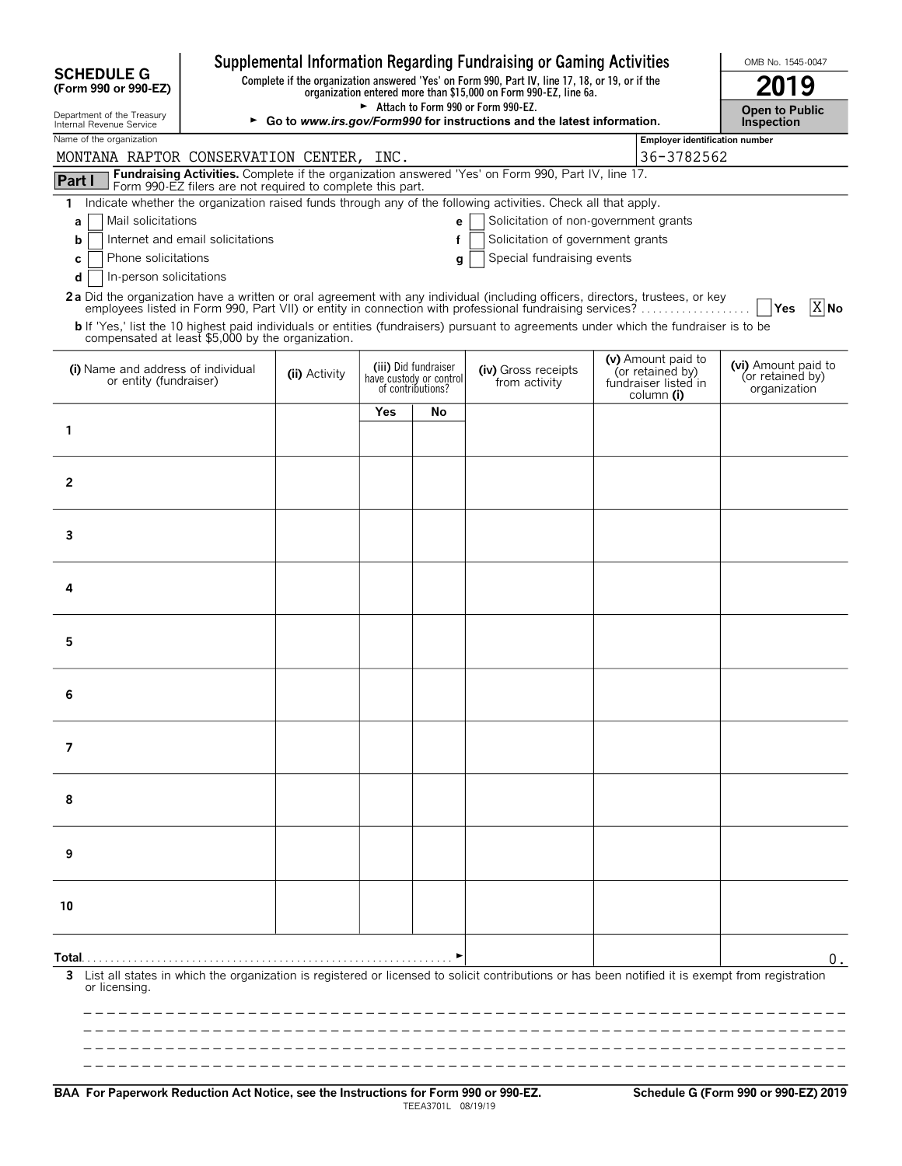|                                                                                                                                                                                                                                          |                                                                            |  |                                                                      |                                      | Supplemental Information Regarding Fundraising or Gaming Activities                                                                                                 |                                                                              |                                                         | OMB No. 1545-0047                          |  |
|------------------------------------------------------------------------------------------------------------------------------------------------------------------------------------------------------------------------------------------|----------------------------------------------------------------------------|--|----------------------------------------------------------------------|--------------------------------------|---------------------------------------------------------------------------------------------------------------------------------------------------------------------|------------------------------------------------------------------------------|---------------------------------------------------------|--------------------------------------------|--|
| <b>SCHEDULE G</b><br>(Form 990 or 990-EZ)                                                                                                                                                                                                |                                                                            |  |                                                                      |                                      | Complete if the organization answered 'Yes' on Form 990, Part IV, line 17, 18, or 19, or if the<br>organization entered more than \$15,000 on Form 990-EZ, line 6a. |                                                                              |                                                         | 2019                                       |  |
| Department of the Treasury<br>Internal Revenue Service                                                                                                                                                                                   |                                                                            |  |                                                                      |                                      | Attach to Form 990 or Form 990-EZ.<br>► Go to www.irs.gov/Form990 for instructions and the latest information.                                                      |                                                                              |                                                         | <b>Open to Public</b><br><b>Inspection</b> |  |
| Name of the organization<br>MONTANA RAPTOR CONSERVATION CENTER, INC.                                                                                                                                                                     |                                                                            |  |                                                                      |                                      |                                                                                                                                                                     |                                                                              | <b>Employer identification number</b><br>36-3782562     |                                            |  |
| Part I                                                                                                                                                                                                                                   |                                                                            |  |                                                                      |                                      | Fundraising Activities. Complete if the organization answered 'Yes' on Form 990, Part IV, line 17.                                                                  |                                                                              |                                                         |                                            |  |
| Form 990-EZ filers are not required to complete this part.<br>Indicate whether the organization raised funds through any of the following activities. Check all that apply.<br>1.                                                        |                                                                            |  |                                                                      |                                      |                                                                                                                                                                     |                                                                              |                                                         |                                            |  |
| Mail solicitations<br>a                                                                                                                                                                                                                  |                                                                            |  |                                                                      |                                      |                                                                                                                                                                     |                                                                              |                                                         |                                            |  |
| b                                                                                                                                                                                                                                        | Internet and email solicitations<br>Solicitation of government grants<br>f |  |                                                                      |                                      |                                                                                                                                                                     |                                                                              |                                                         |                                            |  |
| Phone solicitations<br>С<br>In-person solicitations<br>d                                                                                                                                                                                 |                                                                            |  |                                                                      | g                                    | Special fundraising events                                                                                                                                          |                                                                              |                                                         |                                            |  |
| 2a Did the organization have a written or oral agreement with any individual (including officers, directors, trustees, or key<br>employees listed in Form 990, Part VII) or entity in connection with professional fundraising services? |                                                                            |  |                                                                      |                                      |                                                                                                                                                                     |                                                                              |                                                         | $X$ No<br>Yes                              |  |
| b If 'Yes,' list the 10 highest paid individuals or entities (fundraisers) pursuant to agreements under which the fundraiser is to be<br>compensated at least \$5,000 by the organization.                                               |                                                                            |  |                                                                      |                                      |                                                                                                                                                                     |                                                                              |                                                         |                                            |  |
| (i) Name and address of individual<br>or entity (fundraiser)                                                                                                                                                                             | (ii) Activity                                                              |  | (iii) Did fundraiser<br>have custody or control<br>of contributions? | (iv) Gross receipts<br>from activity |                                                                                                                                                                     | (v) Amount paid to<br>(or retained by)<br>fundraiser listed in<br>column (i) | (vi) Amount paid to<br>(or retained by)<br>organization |                                            |  |
|                                                                                                                                                                                                                                          |                                                                            |  | <b>Yes</b>                                                           | No                                   |                                                                                                                                                                     |                                                                              |                                                         |                                            |  |
| 1                                                                                                                                                                                                                                        |                                                                            |  |                                                                      |                                      |                                                                                                                                                                     |                                                                              |                                                         |                                            |  |
|                                                                                                                                                                                                                                          |                                                                            |  |                                                                      |                                      |                                                                                                                                                                     |                                                                              |                                                         |                                            |  |
| $\overline{2}$                                                                                                                                                                                                                           |                                                                            |  |                                                                      |                                      |                                                                                                                                                                     |                                                                              |                                                         |                                            |  |
|                                                                                                                                                                                                                                          |                                                                            |  |                                                                      |                                      |                                                                                                                                                                     |                                                                              |                                                         |                                            |  |
| 3                                                                                                                                                                                                                                        |                                                                            |  |                                                                      |                                      |                                                                                                                                                                     |                                                                              |                                                         |                                            |  |
| 4                                                                                                                                                                                                                                        |                                                                            |  |                                                                      |                                      |                                                                                                                                                                     |                                                                              |                                                         |                                            |  |
|                                                                                                                                                                                                                                          |                                                                            |  |                                                                      |                                      |                                                                                                                                                                     |                                                                              |                                                         |                                            |  |
| 5                                                                                                                                                                                                                                        |                                                                            |  |                                                                      |                                      |                                                                                                                                                                     |                                                                              |                                                         |                                            |  |
|                                                                                                                                                                                                                                          |                                                                            |  |                                                                      |                                      |                                                                                                                                                                     |                                                                              |                                                         |                                            |  |
| 6                                                                                                                                                                                                                                        |                                                                            |  |                                                                      |                                      |                                                                                                                                                                     |                                                                              |                                                         |                                            |  |
|                                                                                                                                                                                                                                          |                                                                            |  |                                                                      |                                      |                                                                                                                                                                     |                                                                              |                                                         |                                            |  |
| 7                                                                                                                                                                                                                                        |                                                                            |  |                                                                      |                                      |                                                                                                                                                                     |                                                                              |                                                         |                                            |  |
| 8                                                                                                                                                                                                                                        |                                                                            |  |                                                                      |                                      |                                                                                                                                                                     |                                                                              |                                                         |                                            |  |
|                                                                                                                                                                                                                                          |                                                                            |  |                                                                      |                                      |                                                                                                                                                                     |                                                                              |                                                         |                                            |  |
| 9                                                                                                                                                                                                                                        |                                                                            |  |                                                                      |                                      |                                                                                                                                                                     |                                                                              |                                                         |                                            |  |
|                                                                                                                                                                                                                                          |                                                                            |  |                                                                      |                                      |                                                                                                                                                                     |                                                                              |                                                         |                                            |  |
| 10                                                                                                                                                                                                                                       |                                                                            |  |                                                                      |                                      |                                                                                                                                                                     |                                                                              |                                                         |                                            |  |
|                                                                                                                                                                                                                                          |                                                                            |  |                                                                      |                                      |                                                                                                                                                                     |                                                                              |                                                         |                                            |  |
| Total. .<br>List all states in which the organization is registered or licensed to solicit contributions or has been notified it is exempt from registration<br>3<br>or licensing.                                                       |                                                                            |  |                                                                      |                                      |                                                                                                                                                                     |                                                                              |                                                         | 0.                                         |  |
|                                                                                                                                                                                                                                          |                                                                            |  |                                                                      |                                      |                                                                                                                                                                     |                                                                              |                                                         |                                            |  |
|                                                                                                                                                                                                                                          |                                                                            |  |                                                                      |                                      |                                                                                                                                                                     |                                                                              |                                                         |                                            |  |
|                                                                                                                                                                                                                                          |                                                                            |  |                                                                      |                                      |                                                                                                                                                                     |                                                                              |                                                         |                                            |  |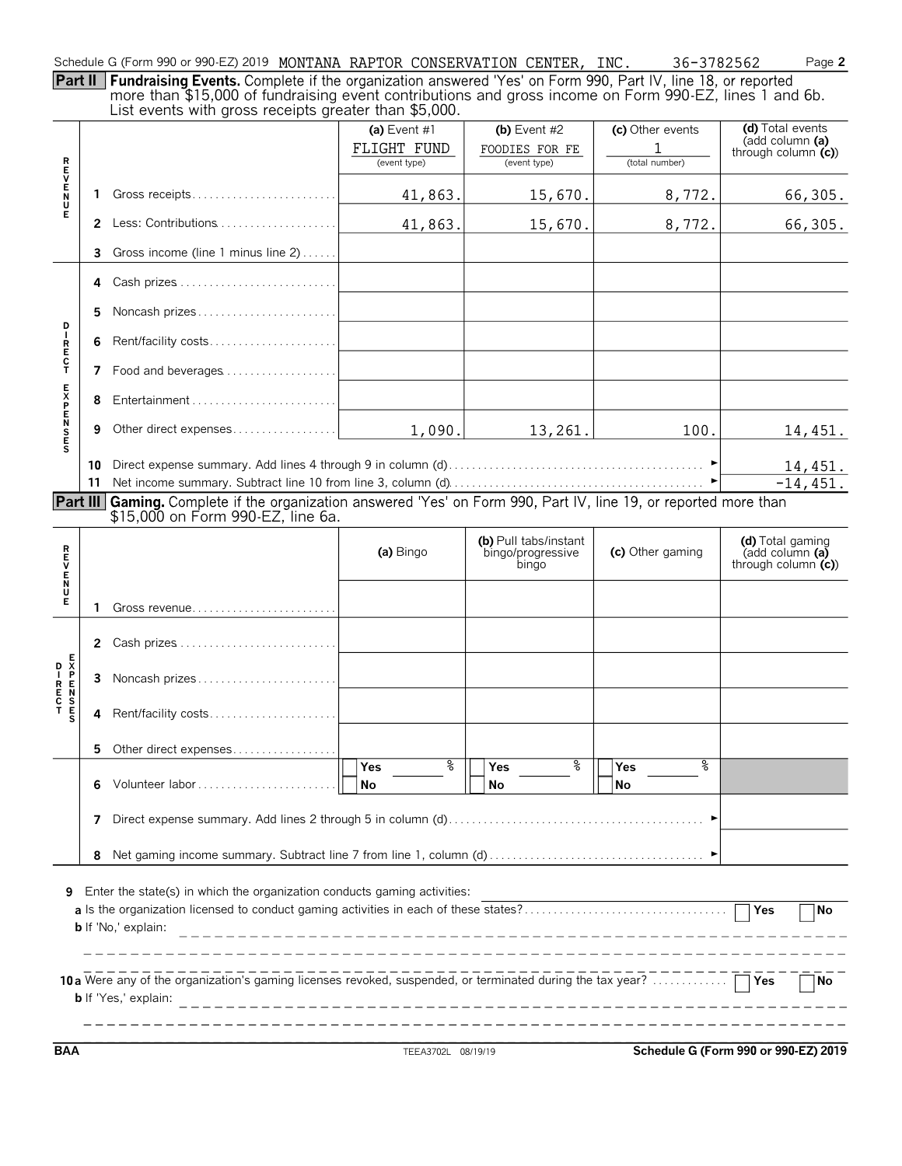|     |  |  |  |  |  | Schedule G (Form 990 or 990-EZ) 2019 MONTANA RAPTOR CONSERVATION CENTER, |  | INC |  | $-3782562$ | $P$ age $\geq$ |
|-----|--|--|--|--|--|--------------------------------------------------------------------------|--|-----|--|------------|----------------|
| $-$ |  |  |  |  |  |                                                                          |  |     |  |            |                |

**Part II** more than \$15,000 of fundraising event contributions and gross income on Form 990-EZ, lines 1 and 6b. List events with gross receipts greater than \$5,000.

|                  |    | $\sim$ . The control matrix of the control divergence in the control of the control divergence in the control of the control of the control of the control of the control of the control of the control of the control of the c |                                               |                                                     |                                         |                                                             |
|------------------|----|---------------------------------------------------------------------------------------------------------------------------------------------------------------------------------------------------------------------------------|-----------------------------------------------|-----------------------------------------------------|-----------------------------------------|-------------------------------------------------------------|
|                  |    |                                                                                                                                                                                                                                 | (a) Event $#1$<br>FLIGHT FUND<br>(event type) | (b) Event $#2$<br>FOODIES FOR FE<br>(event type)    | (c) Other events<br>1<br>(total number) | (d) Total events<br>(add column (a)<br>through column $(c)$ |
| <b>REVENU</b>    | 1  | Gross receipts                                                                                                                                                                                                                  | 41,863.                                       | 15,670.                                             | 8,772.                                  | 66,305.                                                     |
| Ē                |    | 2 Less: Contributions                                                                                                                                                                                                           | 41,863.                                       | 15,670.                                             | 8,772.                                  | 66,305.                                                     |
|                  | 3  | Gross income (line 1 minus line 2)                                                                                                                                                                                              |                                               |                                                     |                                         |                                                             |
|                  | 4  |                                                                                                                                                                                                                                 |                                               |                                                     |                                         |                                                             |
|                  | 5  | Noncash prizes                                                                                                                                                                                                                  |                                               |                                                     |                                         |                                                             |
| P<br>I           | 6  | Rent/facility costs                                                                                                                                                                                                             |                                               |                                                     |                                         |                                                             |
| R<br>E<br>C<br>T | 7  | Food and beverages                                                                                                                                                                                                              |                                               |                                                     |                                         |                                                             |
|                  | 8  |                                                                                                                                                                                                                                 |                                               |                                                     |                                         |                                                             |
| <b>EXPENSES</b>  | 9  | Other direct expenses                                                                                                                                                                                                           | 1,090.                                        | 13,261.                                             | 100.                                    | 14,451.                                                     |
|                  | 10 |                                                                                                                                                                                                                                 |                                               |                                                     |                                         | 14,451.                                                     |
|                  | 11 |                                                                                                                                                                                                                                 | $-14, 451.$                                   |                                                     |                                         |                                                             |
|                  |    | Part III Gaming. Complete if the organization answered 'Yes' on Form 990, Part IV, line 19, or reported more than<br>\$15,000 on Form 990-EZ, line 6a.                                                                          |                                               |                                                     |                                         |                                                             |
|                  |    |                                                                                                                                                                                                                                 |                                               |                                                     |                                         |                                                             |
| ロマロスロ            |    |                                                                                                                                                                                                                                 | (a) Bingo                                     | (b) Pull tabs/instant<br>bingo/progressive<br>bingo | (c) Other gaming                        | (d) Total gaming<br>(add column (a)<br>through column $(c)$ |
| Е                | 1  |                                                                                                                                                                                                                                 |                                               |                                                     |                                         |                                                             |
|                  |    | 2 Cash prizes                                                                                                                                                                                                                   |                                               |                                                     |                                         |                                                             |
|                  | 3  | Noncash prizes                                                                                                                                                                                                                  |                                               |                                                     |                                         |                                                             |
|                  | 4  | Rent/facility costs                                                                                                                                                                                                             |                                               |                                                     |                                         |                                                             |
|                  | 5. | Other direct expenses                                                                                                                                                                                                           |                                               |                                                     |                                         |                                                             |
|                  | 6  | Volunteer labor                                                                                                                                                                                                                 | g<br><b>Yes</b><br>No                         | နွ<br>Yes<br>No                                     | နွ<br>Yes<br>No                         |                                                             |
|                  | 7  |                                                                                                                                                                                                                                 |                                               |                                                     |                                         |                                                             |
|                  | 8  |                                                                                                                                                                                                                                 |                                               |                                                     |                                         |                                                             |
| 9                |    | Enter the state(s) in which the organization conducts gaming activities:<br><b>b</b> If 'No,' explain:                                                                                                                          |                                               |                                                     |                                         | Yes<br>No                                                   |
|                  |    | 10a Were any of the organization's gaming licenses revoked, suspended, or terminated during the tax year?<br><b>b</b> If 'Yes,' explain:                                                                                        |                                               |                                                     |                                         | $\sqsupset$ Yes<br> No                                      |

**BAA** TEEA3702L 08/19/19 **Schedule G (Form 990 or 990-EZ) 2019**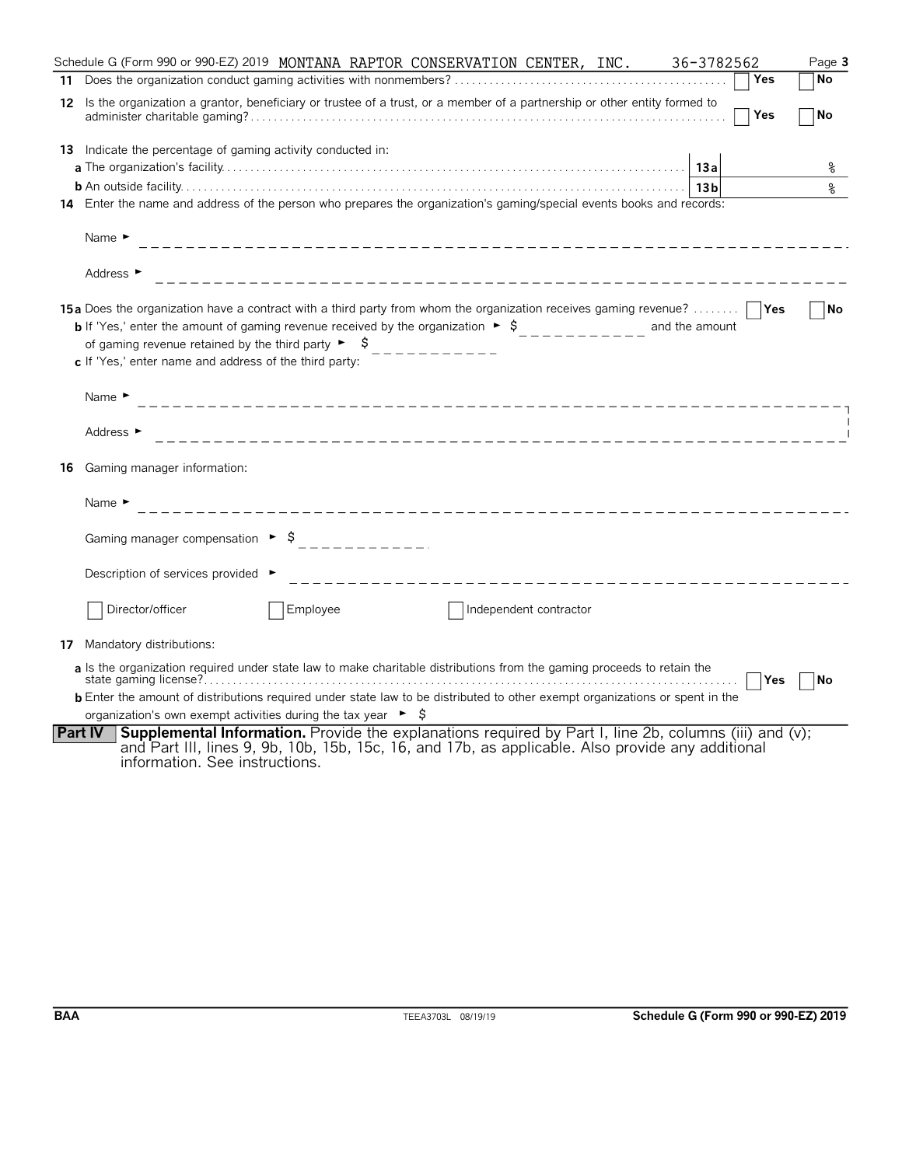|    | Schedule G (Form 990 or 990-EZ) 2019 MONTANA RAPTOR CONSERVATION CENTER, INC.<br>36-3782562                                                                                                                                                                                                                                                                                                    | Page 3 |
|----|------------------------------------------------------------------------------------------------------------------------------------------------------------------------------------------------------------------------------------------------------------------------------------------------------------------------------------------------------------------------------------------------|--------|
| 11 | Yes                                                                                                                                                                                                                                                                                                                                                                                            | No     |
|    | 12 Is the organization a grantor, beneficiary or trustee of a trust, or a member of a partnership or other entity formed to<br>Yes                                                                                                                                                                                                                                                             | No     |
|    | 13 Indicate the percentage of gaming activity conducted in:<br>13a                                                                                                                                                                                                                                                                                                                             | ႜ      |
|    | 13 <sub>b</sub><br>14 Enter the name and address of the person who prepares the organization's gaming/special events books and records:                                                                                                                                                                                                                                                        | န့     |
|    | Name $\blacktriangleright$                                                                                                                                                                                                                                                                                                                                                                     |        |
|    | Address ►                                                                                                                                                                                                                                                                                                                                                                                      |        |
|    | <b>15a</b> Does the organization have a contract with a third party from whom the organization receives gaming revenue?<br><b>b</b> If 'Yes,' enter the amount of gaming revenue received by the organization $\bullet$ \$<br>---------- and the amount<br>of gaming revenue retained by the third party $\triangleright$ $\uparrow$<br>c If 'Yes,' enter name and address of the third party: | ∣No    |
|    | Name $\blacktriangleright$                                                                                                                                                                                                                                                                                                                                                                     |        |
|    | Address ►                                                                                                                                                                                                                                                                                                                                                                                      |        |
| 16 | Gaming manager information:                                                                                                                                                                                                                                                                                                                                                                    |        |
|    | Name $\blacktriangleright$                                                                                                                                                                                                                                                                                                                                                                     |        |
|    |                                                                                                                                                                                                                                                                                                                                                                                                |        |
|    | Description of services provided ▶                                                                                                                                                                                                                                                                                                                                                             |        |
|    | Director/officer<br>Employee<br>Independent contractor                                                                                                                                                                                                                                                                                                                                         |        |
|    | 17 Mandatory distributions:                                                                                                                                                                                                                                                                                                                                                                    |        |
|    | a Is the organization required under state law to make charitable distributions from the gaming proceeds to retain the<br>Yes                                                                                                                                                                                                                                                                  | No     |
|    | <b>b</b> Enter the amount of distributions required under state law to be distributed to other exempt organizations or spent in the                                                                                                                                                                                                                                                            |        |
|    | organization's own exempt activities during the tax year $\triangleright$ $\uparrow$                                                                                                                                                                                                                                                                                                           |        |
|    | Supplemental Information. Provide the explanations required by Part I, line 2b, columns (iii) and (v);<br><b>Part IV</b><br>and Part III, lines 9, 9b, 10b, 15b, 15c, 16, and 17b, as applicable. Also provide any additional<br>information. See instructions.                                                                                                                                |        |